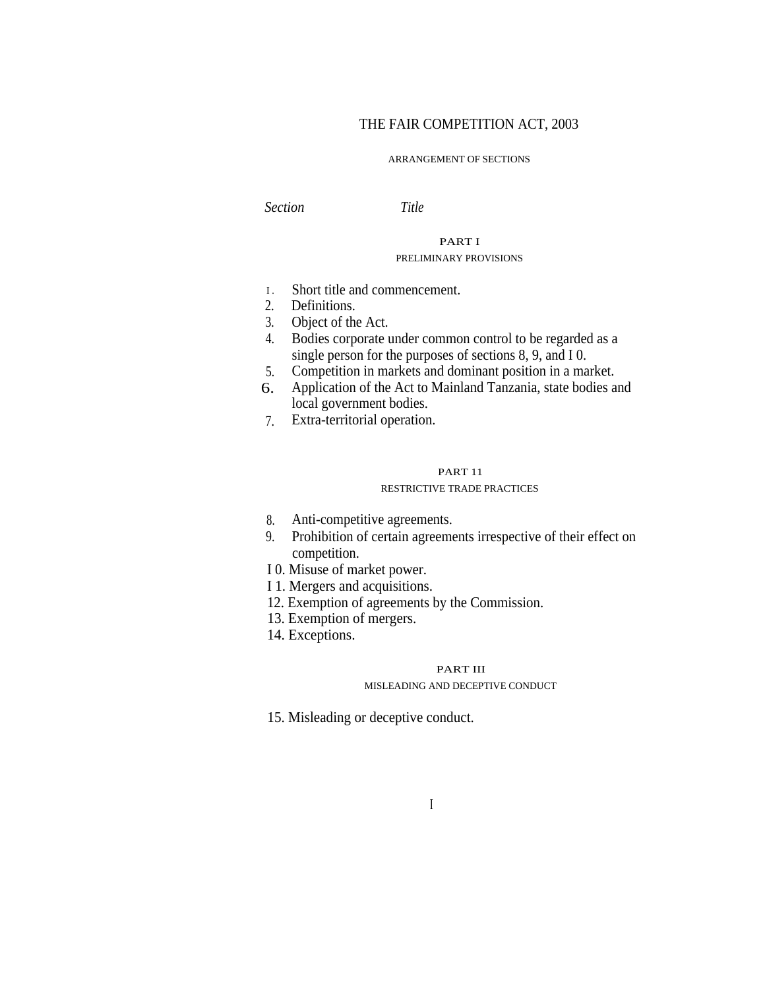# THE FAIR COMPETITION ACT, 2003

#### ARRANGEMENT OF SECTIONS

*Section Title*

# PART I PRELIMINARY PROVISIONS

- Short title and commencement.  $I.$
- Definitions. 2.
- 3. Object of the Act.
- Bodies corporate under common control to be regarded as a single person for the purposes of sections 8, 9, and I 0. 4.
- Competition in markets and dominant position in a market. 5.
- Application of the Act to Mainland Tanzania, state bodies and local government bodies. 6.
- Extra-territorial operation. 7.

#### PART 11

#### RESTRICTIVE TRADE PRACTICES

- Anti-competitive agreements. 8.
- Prohibition of certain agreements irrespective of their effect on 9. competition.
- I 0. Misuse of market power.
- I 1. Mergers and acquisitions.
- 12. Exemption of agreements by the Commission.
- 13. Exemption of mergers.
- 14. Exceptions.

#### PART III

#### MISLEADING AND DECEPTIVE CONDUCT

15. Misleading or deceptive conduct.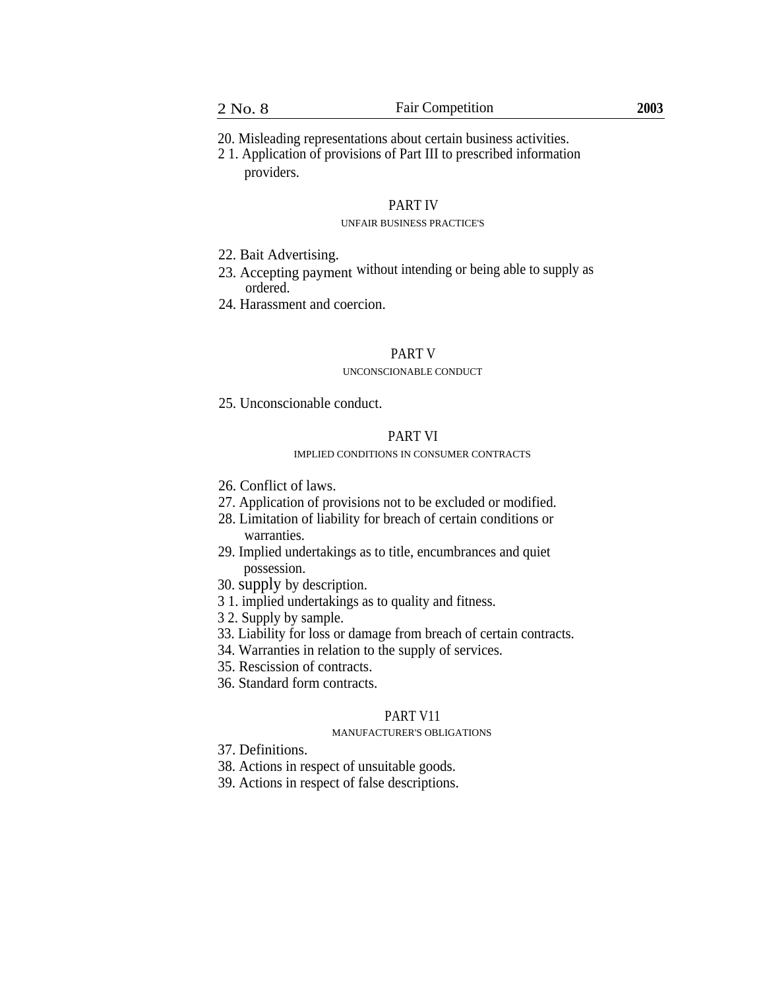20. Misleading representations about certain business activities.

2 1. Application of provisions of Part III to prescribed information providers.

#### PART IV

#### UNFAIR BUSINESS PRACTICE'S

- 22. Bait Advertising.
- 23. Accepting payment without intending or being able to supply as ordered.
- 24. Harassment and coercion.

#### PART V

#### UNCONSCIONABLE CONDUCT

25. Unconscionable conduct.

# PART VI

## IMPLIED CONDITIONS IN CONSUMER CONTRACTS

- 26. Conflict of laws.
- 27. Application of provisions not to be excluded or modified.
- 28. Limitation of liability for breach of certain conditions or warranties.
- 29. Implied undertakings as to title, encumbrances and quiet possession.
- 30. supply by description.
- 3 1. implied undertakings as to quality and fitness.
- 3 2. Supply by sample.
- 33. Liability for loss or damage from breach of certain contracts.
- 34. Warranties in relation to the supply of services.
- 35. Rescission of contracts.
- 36. Standard form contracts.

# PART V11

#### MANUFACTURER'S OBLIGATIONS

- 37. Definitions.
- 38. Actions in respect of unsuitable goods.
- 39. Actions in respect of false descriptions.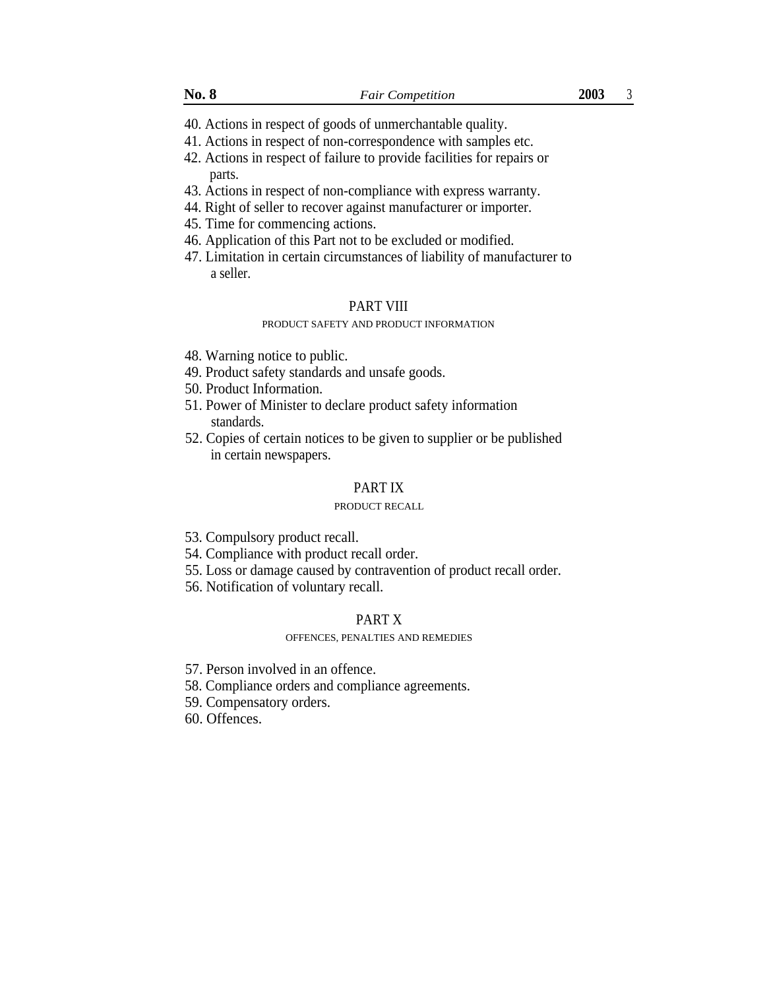- 40. Actions in respect of goods of unmerchantable quality.
- 41. Actions in respect of non-correspondence with samples etc.
- 42. Actions in respect of failure to provide facilities for repairs or parts.
- 43. Actions in respect of non-compliance with express warranty.
- 44. Right of seller to recover against manufacturer or importer.
- 45. Time for commencing actions.
- 46. Application of this Part not to be excluded or modified.
- 47. Limitation in certain circumstances of liability of manufacturer to a seller.

#### PART VIII

#### PRODUCT SAFETY AND PRODUCT INFORMATION

- 48. Warning notice to public.
- 49. Product safety standards and unsafe goods.
- 50. Product Information.
- 51. Power of Minister to declare product safety information standards.
- 52. Copies of certain notices to be given to supplier or be published in certain newspapers.

# PART IX

# PRODUCT RECALL

- 53. Compulsory product recall.
- 54. Compliance with product recall order.
- 55. Loss or damage caused by contravention of product recall order.
- 56. Notification of voluntary recall.

# PART X

#### OFFENCES, PENALTIES AND REMEDIES

- 57. Person involved in an offence.
- 58. Compliance orders and compliance agreements.
- 59. Compensatory orders.
- 60. Offences.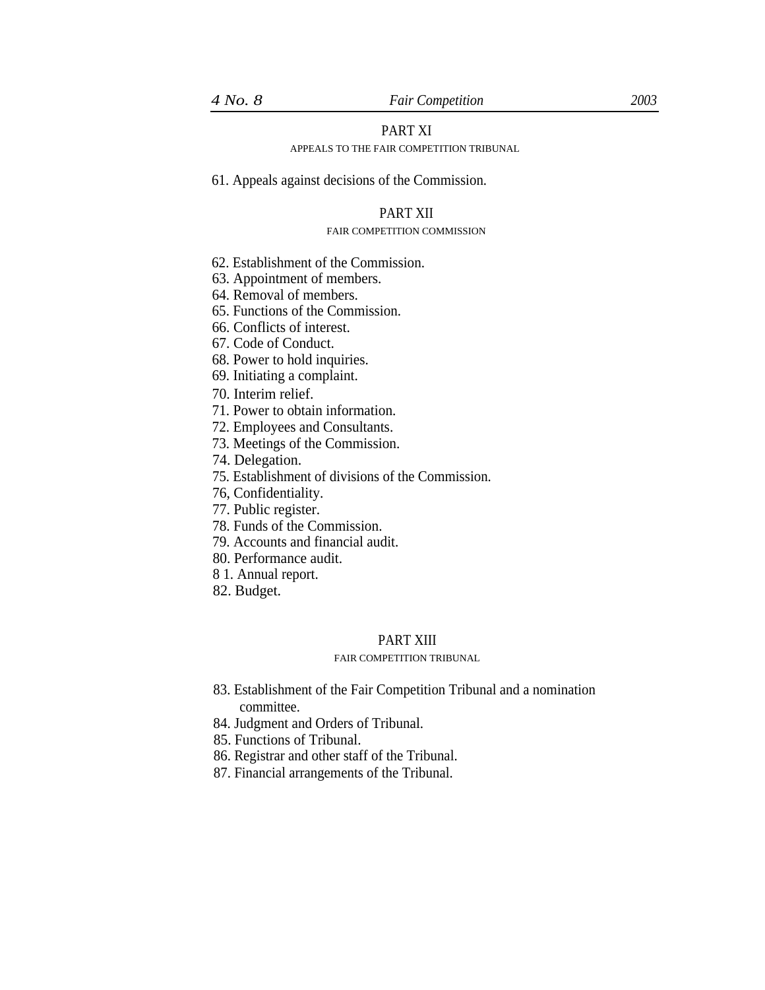# PART XI

# APPEALS TO THE FAIR COMPETITION TRIBUNAL

61. Appeals against decisions of the Commission.

## PART XII

#### FAIR COMPETITION COMMISSION

- 62. Establishment of the Commission.
- 63. Appointment of members.
- 64. Removal of members.
- 65. Functions of the Commission.
- 66. Conflicts of interest.
- 67. Code of Conduct.
- 68. Power to hold inquiries.
- 69. Initiating a complaint.

70. Interim relief.

- 71. Power to obtain information.
- 72. Employees and Consultants.
- 73. Meetings of the Commission.
- 74. Delegation.
- 75. Establishment of divisions of the Commission.
- 76, Confidentiality.
- 77. Public register.
- 78. Funds of the Commission.
- 79. Accounts and financial audit.
- 80. Performance audit.
- 8 1. Annual report.
- 82. Budget.

# PART XIII

#### FAIR COMPETITION TRIBUNAL

- 83. Establishment of the Fair Competition Tribunal and a nomination committee.
- 84. Judgment and Orders of Tribunal.
- 85. Functions of Tribunal.
- 86. Registrar and other staff of the Tribunal.
- 87. Financial arrangements of the Tribunal.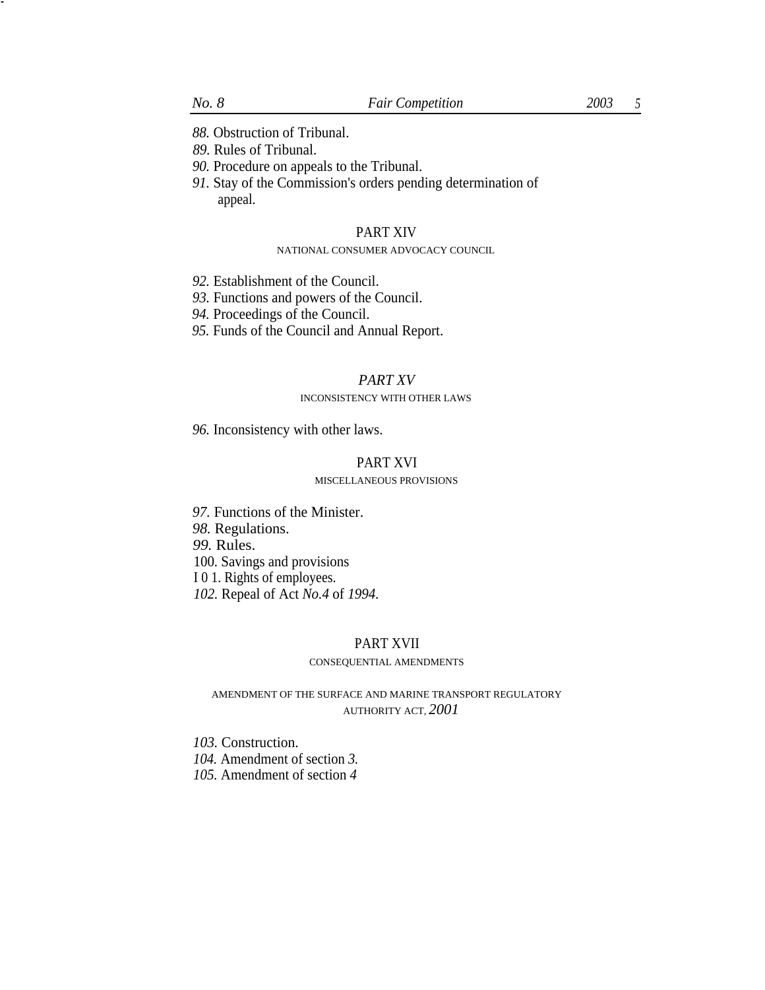*88.* Obstruction of Tribunal.

*89.* Rules of Tribunal.

- *90.* Procedure on appeals to the Tribunal.
- *91.* Stay of the Commission's orders pending determination of appeal.

#### PART XIV

## NATIONAL CONSUMER ADVOCACY COUNCIL

- *92.* Establishment of the Council.
- *93.* Functions and powers of the Council.
- *94.* Proceedings of the Council.
- *95.* Funds of the Council and Annual Report.

# *PART XV*

#### INCONSISTENCY WITH OTHER LAWS

*96.* Inconsistency with other laws.

# PART XVI

#### MISCELLANEOUS PROVISIONS

*97.* Functions of the Minister. *98.* Regulations. *99.* Rules. 100. Savings and provisions I 0 1. Rights of employees. *102.* Repeal of Act *No.4* of *1994.*

# PART XVII

# CONSEQUENTIAL AMENDMENTS

AMENDMENT OF THE SURFACE AND MARINE TRANSPORT REGULATORY AUTHORITY ACT, *2001*

*103.* Construction.

*104.* Amendment of section *3.*

*105.* Amendment of section *4*

-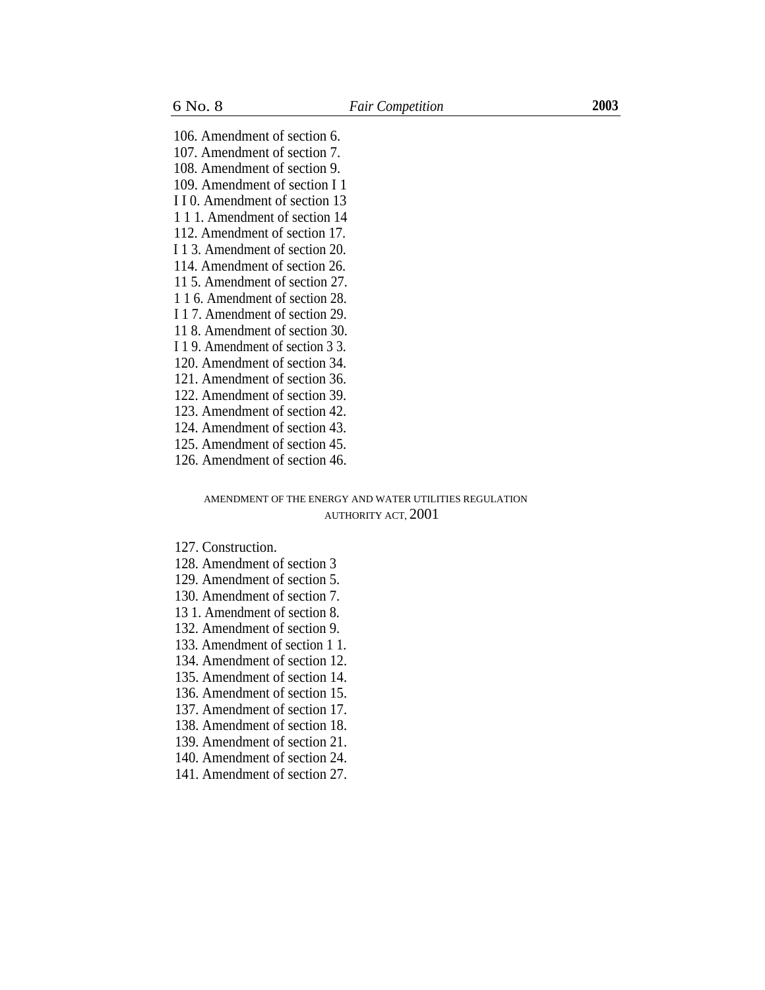106. Amendment of section 6. 107. Amendment of section 7. 108. Amendment of section 9. 109. Amendment of section I 1 I I 0. Amendment of section 13 1 1 1. Amendment of section 14 112. Amendment of section 17. I 1 3. Amendment of section 20. 114. Amendment of section 26. 11 5. Amendment of section 27. 1 1 6. Amendment of section 28. I 1 7. Amendment of section 29. 11 8. Amendment of section 30. I 1 9. Amendment of section 3 3. 120. Amendment of section 34. 121. Amendment of section 36. 122. Amendment of section 39. 123. Amendment of section 42. 124. Amendment of section 43.

- 125. Amendment of section 45.
- 126. Amendment of section 46.

## AMENDMENT OF THE ENERGY AND WATER UTILITIES REGULATION AUTHORITY ACT, 2001

127. Construction.

- 128. Amendment of section 3
- 129. Amendment of section 5.
- 130. Amendment of section 7.
- 13 1. Amendment of section 8.
- 132. Amendment of section 9.
- 133. Amendment of section 1 1.
- 134. Amendment of section 12.
- 135. Amendment of section 14.
- 136. Amendment of section 15.
- 137. Amendment of section 17.
- 138. Amendment of section 18.
- 139. Amendment of section 21.
- 140. Amendment of section 24.
- 141. Amendment of section 27.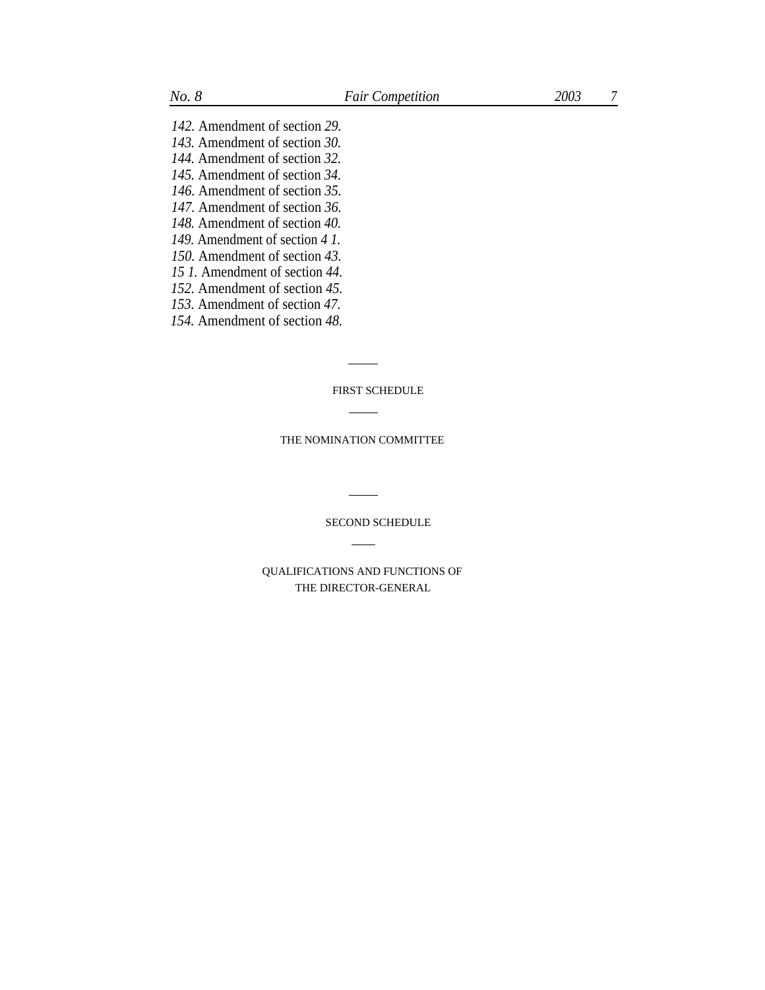*142.* Amendment of section *29. 143.* Amendment of section *30. 144.* Amendment of section *32. 145.* Amendment of section *34. 146.* Amendment of section *35. 147.* Amendment of section *36. 148.* Amendment of section *40. 149.* Amendment of section *4 1. 150.* Amendment of section *43. 15 1.* Amendment of section *44.*

- *152.* Amendment of section *45.*
- *153.* Amendment of section *47.*
- *154.* Amendment of section *48.*

FIRST SCHEDULE

THE NOMINATION COMMITTEE

SECOND SCHEDULE

QUALIFICATIONS AND FUNCTIONS OF THE DIRECTOR-GENERAL

 $\overline{\phantom{a}}$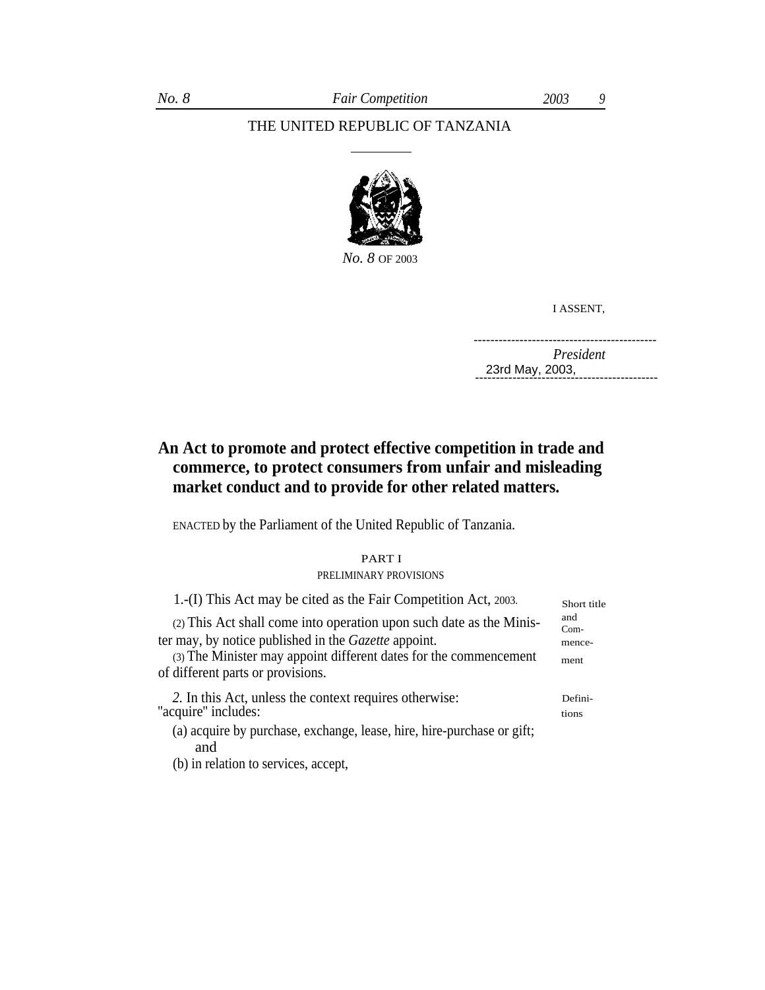# THE UNITED REPUBLIC OF TANZANIA



*No. 8* OF 2003

I ASSENT,

*President* -------------------------------------------- -------------------------------------------- 23rd May, 2003,

# **An Act to promote and protect effective competition in trade and commerce, to protect consumers from unfair and misleading market conduct and to provide for other related matters.**

ENACTED by the Parliament of the United Republic of Tanzania.

PART I PRELIMINARY PROVISIONS

| 1.-(I) This Act may be cited as the Fair Competition Act, 2003.                                                                                                                                  | Short title                     |
|--------------------------------------------------------------------------------------------------------------------------------------------------------------------------------------------------|---------------------------------|
| (2) This Act shall come into operation upon such date as the Minis-<br>ter may, by notice published in the Gazette appoint.<br>(3) The Minister may appoint different dates for the commencement | and<br>$Com-$<br>mence-<br>ment |
| of different parts or provisions.                                                                                                                                                                |                                 |
| 2. In this Act, unless the context requires otherwise:<br>"acquire" includes:                                                                                                                    | Defini-<br>tions                |
| (a) acquire by purchase, exchange, lease, hire, hire-purchase or gift;<br>and                                                                                                                    |                                 |

(b) in relation to services, accept,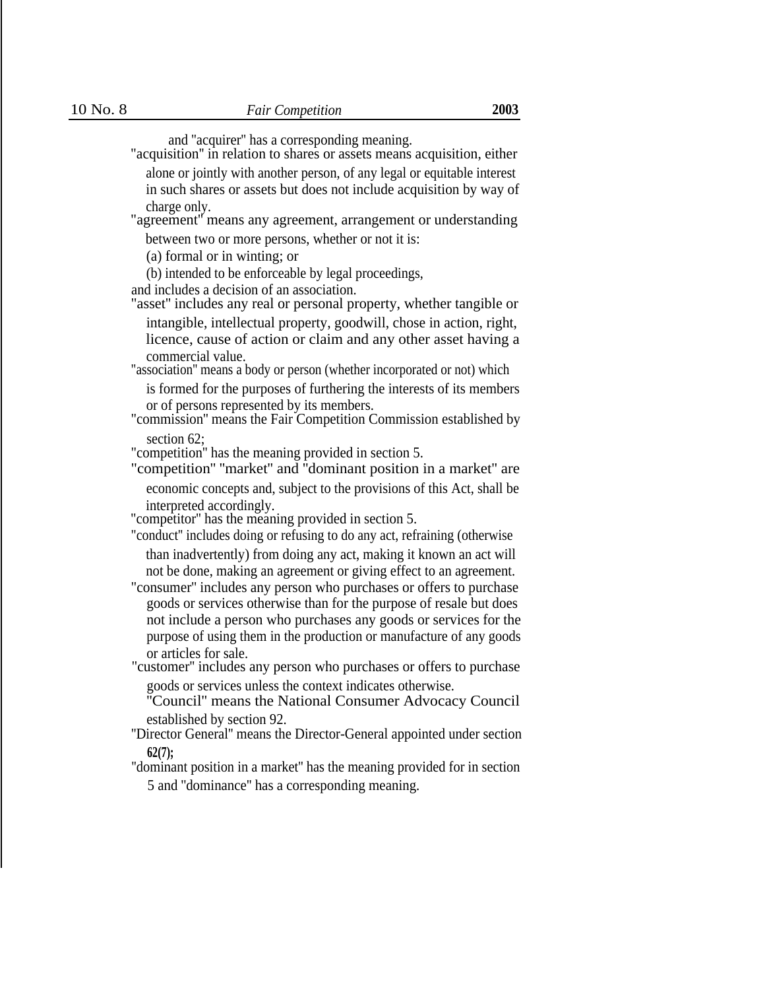and ''acquirer'' has a corresponding meaning.

"acquisition'' in relation to shares or assets means acquisition, either alone or jointly with another person, of any legal or equitable interest in such shares or assets but does not include acquisition by way of charge only.

"agreement'' means any agreement, arrangement or understanding between two or more persons, whether or not it is:

(a) formal or in winting; or

(b) intended to be enforceable by legal proceedings,

and includes a decision of an association.

"asset'' includes any real or personal property, whether tangible or

intangible, intellectual property, goodwill, chose in action, right, licence, cause of action or claim and any other asset having a commercial value.

"association'' means a body or person (whether incorporated or not) which

is formed for the purposes of furthering the interests of its members or of persons represented by its members.

"commission'' means the Fair Competition Commission established by section 62:

"competition'' has the meaning provided in section 5.

"competition'' ''market'' and ''dominant position in a market'' are economic concepts and, subject to the provisions of this Act, shall be interpreted accordingly.

"competitor'' has the meaning provided in section 5.

"conduct'' includes doing or refusing to do any act, refraining (otherwise than inadvertently) from doing any act, making it known an act will not be done, making an agreement or giving effect to an agreement.

"consumer'' includes any person who purchases or offers to purchase goods or services otherwise than for the purpose of resale but does not include a person who purchases any goods or services for the purpose of using them in the production or manufacture of any goods or articles for sale.

"customer'' includes any person who purchases or offers to purchase goods or services unless the context indicates otherwise.

''Council'' means the National Consumer Advocacy Council established by section 92.

''Director General'' means the Director-General appointed under section **62(7);**

''dominant position in a market'' has the meaning provided for in section 5 and ''dominance'' has a corresponding meaning.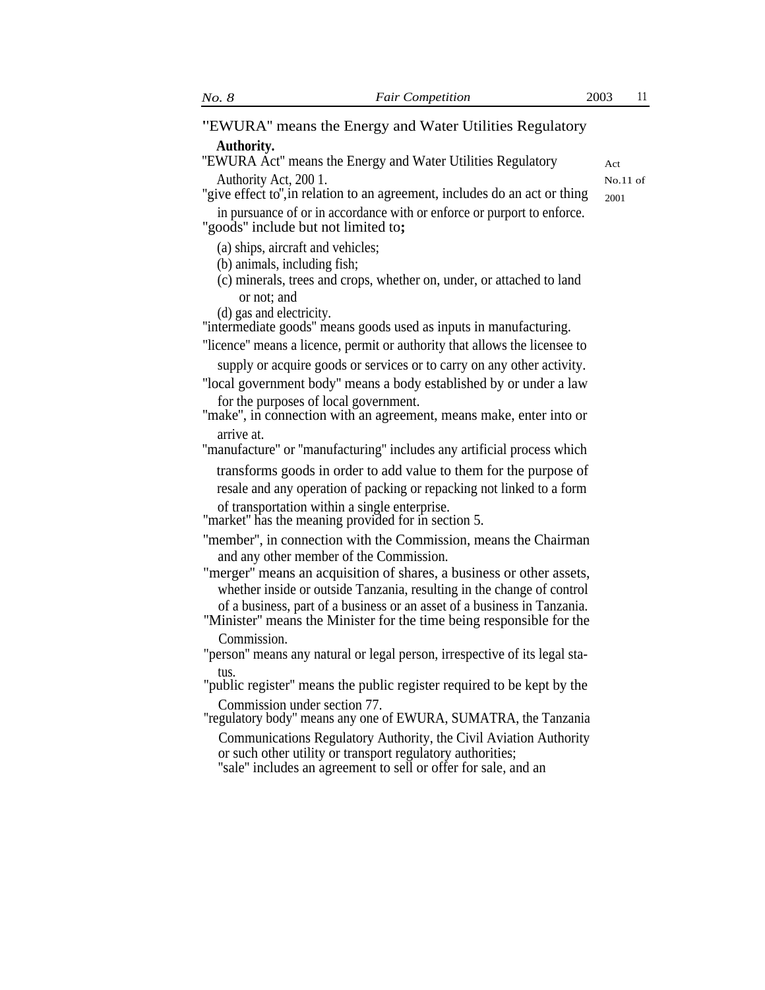**'**'EWURA'' means the Energy and Water Utilities Regulatory **Authority.**

"EWURA Act" means the Energy and Water Utilities Regulatory <sub>Act</sub> Authority Act, 200 1.

No.11 of

"give effect to", in relation to an agreement, includes do an act or thing  $_{2001}$ 

in pursuance of or in accordance with or enforce or purport to enforce. ''goods'' include but not limited to**;**

(a) ships, aircraft and vehicles;

(b) animals, including fish;

(c) minerals, trees and crops, whether on, under, or attached to land or not; and

(d) gas and electricity.

''intermediate goods'' means goods used as inputs in manufacturing.

''licence'' means a licence, permit or authority that allows the licensee to

supply or acquire goods or services or to carry on any other activity. ''local government body'' means a body established by or under a law for the purposes of local government.

''make'', in connection with an agreement, means make, enter into or

arrive at.

''manufacture'' or ''manufacturing'' includes any artificial process which

transforms goods in order to add value to them for the purpose of resale and any operation of packing or repacking not linked to a form of transportation within a single enterprise.

''market'' has the meaning provided for in section 5.

- ''member'', in connection with the Commission, means the Chairman and any other member of the Commission.
- "merger'' means an acquisition of shares, a business or other assets, whether inside or outside Tanzania, resulting in the change of control of a business, part of a business or an asset of a business in Tanzania.
- ''Minister'' means the Minister for the time being responsible for the Commission.
- "person'' means any natural or legal person, irrespective of its legal status.

''public register'' means the public register required to be kept by the Commission under section 77.

''regulatory body'' means any one of EWURA, SUMATRA, the Tanzania Communications Regulatory Authority, the Civil Aviation Authority or such other utility or transport regulatory authorities;

''sale'' includes an agreement to sell or offer for sale, and an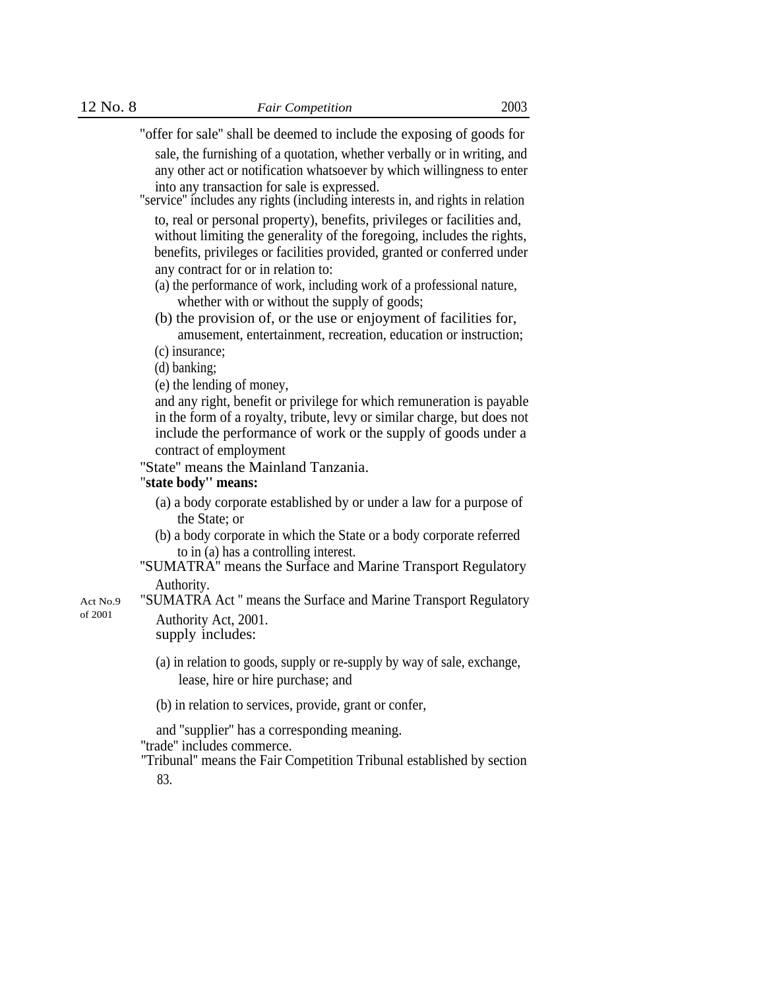"offer for sale'' shall be deemed to include the exposing of goods for

sale, the furnishing of a quotation, whether verbally or in writing, and any other act or notification whatsoever by which willingness to enter into any transaction for sale is expressed.

"service'' includes any rights (including interests in, and rights in relation to, real or personal property), benefits, privileges or facilities and, without limiting the generality of the foregoing, includes the rights, benefits, privileges or facilities provided, granted or conferred under any contract for or in relation to:

(a) the performance of work, including work of a professional nature, whether with or without the supply of goods;

(b) the provision of, or the use or enjoyment of facilities for, amusement, entertainment, recreation, education or instruction;

(c) insurance;

(d) banking;

(e) the lending of money,

and any right, benefit or privilege for which remuneration is payable in the form of a royalty, tribute, levy or similar charge, but does not include the performance of work or the supply of goods under a contract of employment

"State" means the Mainland Tanzania.

# "**state body'' means:**

- (a) a body corporate established by or under a law for a purpose of the State; or
- (b) a body corporate in which the State or a body corporate referred to in (a) has a controlling interest.
- ''SUMATRA'' means the Surface and Marine Transport Regulatory Authority.

Act No.9 "SUMATRA Act " means the Surface and Marine Transport Regulatory of 2001 Authority Act, 2001.

supply includes:

- (a) in relation to goods, supply or re-supply by way of sale, exchange, lease, hire or hire purchase; and
- (b) in relation to services, provide, grant or confer,

and ''supplier'' has a corresponding meaning.

''trade'' includes commerce.

''Tribunal'' means the Fair Competition Tribunal established by section 83.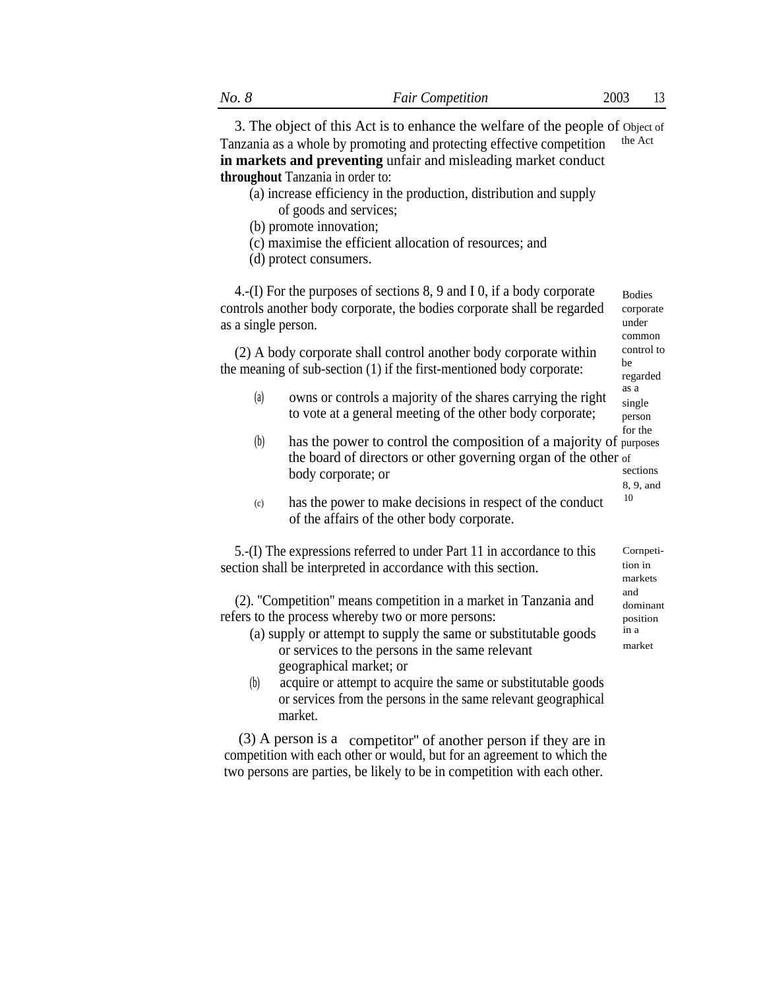3. The object of this Act is to enhance the welfare of the people of Object of Tanzania as a whole by promoting and protecting effective competition the Act **in markets and preventing** unfair and misleading market conduct **throughout** Tanzania in order to:

- (a) increase efficiency in the production, distribution and supply of goods and services;
- (b) promote innovation;
- (c) maximise the efficient allocation of resources; and
- (d) protect consumers.

4.-(I) For the purposes of sections 8, 9 and I 0, if a body corporate controls another body corporate, the bodies corporate shall be regarded as a single person. Bodies corporate under common

(2) A body corporate shall control another body corporate within  $\frac{\text{control to}}{\text{be}}$ the meaning of sub-section  $(1)$  if the first-mentioned body corporate:

- (a) owns or controls a majority of the shares carrying the right to vote at a general meeting of the other body corporate;
- for the (b) has the power to control the composition of a majority of purposes the board of directors or other governing organ of the other of body corporate; or sections 8, 9, and
- has the power to make decisions in respect of the conduct  $10$ of the affairs of the other body corporate. (c)

5.-(I) The expressions referred to under Part 11 in accordance to this section shall be interpreted in accordance with this section.

(2). "Competition" means competition in a market in Tanzania and dominant refers to the process whereby two or more persons: position

- (a) supply or attempt to supply the same or substitutable goods  $\frac{1}{2}$  in a market or services to the persons in the same relevant geographical market; or
- (b) acquire or attempt to acquire the same or substitutable goods or services from the persons in the same relevant geographical market.

(3) A person is a competitor'' of another person if they are in competition with each other or would, but for an agreement to which the two persons are parties, be likely to be in competition with each other.

Cornpetition in markets

regarded as a

single person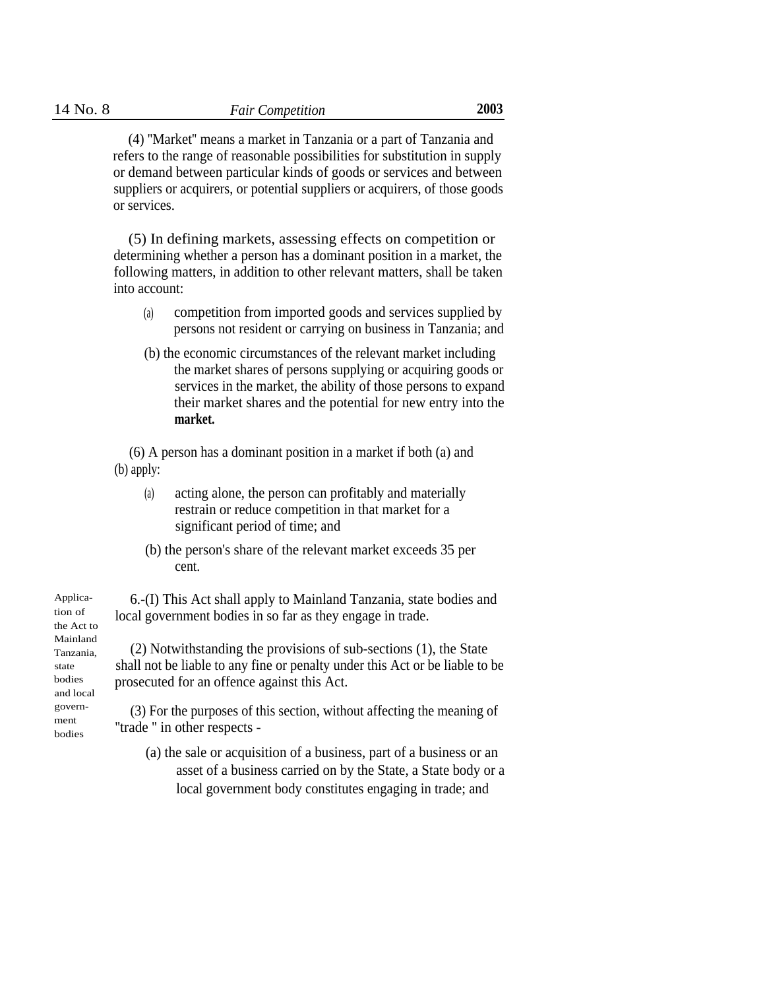(4) ''Market'' means a market in Tanzania or a part of Tanzania and refers to the range of reasonable possibilities for substitution in supply or demand between particular kinds of goods or services and between suppliers or acquirers, or potential suppliers or acquirers, of those goods or services.

(5) In defining markets, assessing effects on competition or determining whether a person has a dominant position in a market, the following matters, in addition to other relevant matters, shall be taken into account:

- competition from imported goods and services supplied by persons not resident or carrying on business in Tanzania; and (a)
- (b) the economic circumstances of the relevant market including the market shares of persons supplying or acquiring goods or services in the market, the ability of those persons to expand their market shares and the potential for new entry into the **market.**

(6) A person has a dominant position in a market if both (a) and (b) apply:

- acting alone, the person can profitably and materially restrain or reduce competition in that market for a significant period of time; and (a)
- (b) the person's share of the relevant market exceeds 35 per cent.

6.-(I) This Act shall apply to Mainland Tanzania, state bodies and local government bodies in so far as they engage in trade.

(2) Notwithstanding the provisions of sub-sections (1), the State shall not be liable to any fine or penalty under this Act or be liable to be prosecuted for an offence against this Act.

govern- (3) For the purposes of this section, without affecting the meaning of "trade" in other respects -

> (a) the sale or acquisition of a business, part of a business or an asset of a business carried on by the State, a State body or a local government body constitutes engaging in trade; and

Application of the Act to Mainland Tanzania, state bodies and local bodies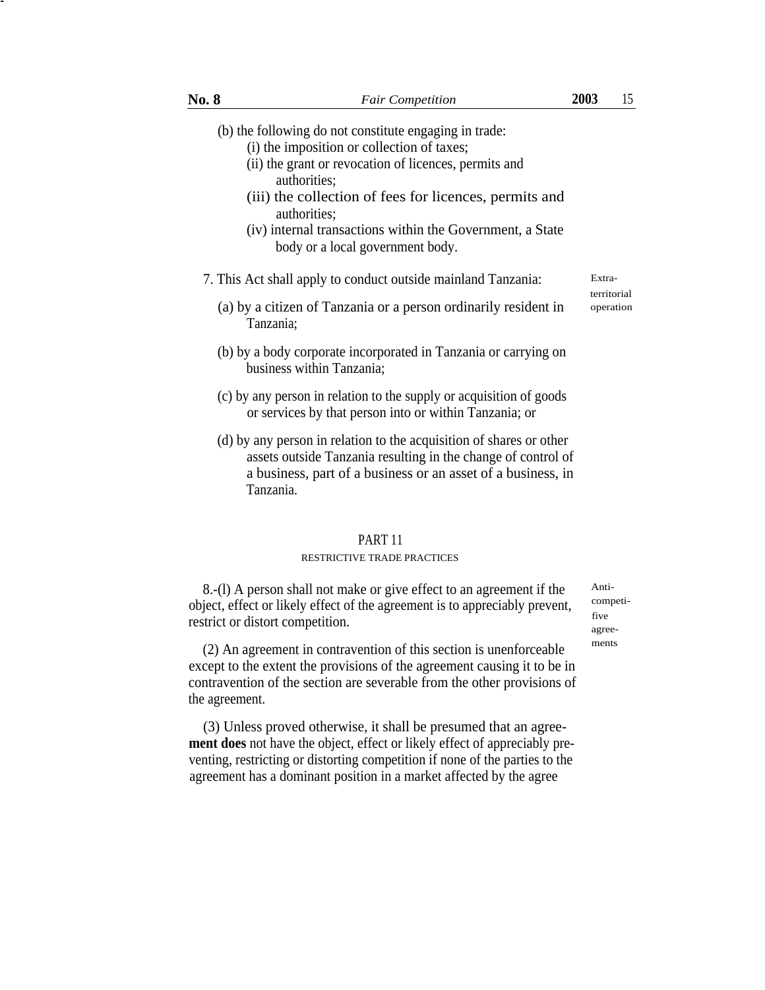- (b) the following do not constitute engaging in trade:
	- (i) the imposition or collection of taxes;
	- (ii) the grant or revocation of licences, permits and authorities;
	- (iii) the collection of fees for licences, permits and authorities;
	- (iv) internal transactions within the Government, a State body or a local government body.
- 7. This Act shall apply to conduct outside mainland Tanzania: Extra-
	- (a) by a citizen of Tanzania or a person ordinarily resident in Tanzania;
	- (b) by a body corporate incorporated in Tanzania or carrying on business within Tanzania;
	- (c) by any person in relation to the supply or acquisition of goods or services by that person into or within Tanzania; or
	- (d) by any person in relation to the acquisition of shares or other assets outside Tanzania resulting in the change of control of a business, part of a business or an asset of a business, in Tanzania.

# PART 11

#### RESTRICTIVE TRADE PRACTICES

8.-(l) A person shall not make or give effect to an agreement if the object, effect or likely effect of the agreement is to appreciably prevent, restrict or distort competition.

(2) An agreement in contravention of this section is unenforceable ments except to the extent the provisions of the agreement causing it to be in contravention of the section are severable from the other provisions of the agreement.

(3) Unless proved otherwise, it shall be presumed that an agree**ment does** not have the object, effect or likely effect of appreciably preventing, restricting or distorting competition if none of the parties to the agreement has a dominant position in a market affected by the agree

Anticompetifive agree-

-

territorial operation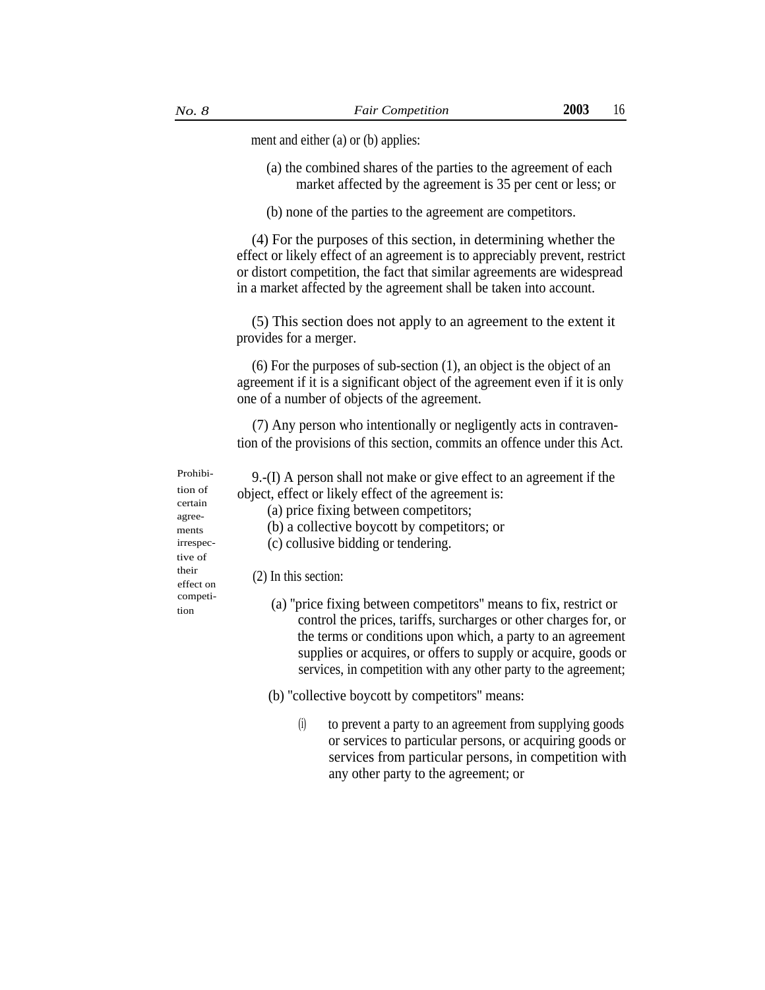ment and either (a) or (b) applies:

- (a) the combined shares of the parties to the agreement of each market affected by the agreement is 35 per cent or less; or
- (b) none of the parties to the agreement are competitors.

(4) For the purposes of this section, in determining whether the effect or likely effect of an agreement is to appreciably prevent, restrict or distort competition, the fact that similar agreements are widespread in a market affected by the agreement shall be taken into account.

(5) This section does not apply to an agreement to the extent it provides for a merger.

(6) For the purposes of sub-section (1), an object is the object of an agreement if it is a significant object of the agreement even if it is only one of a number of objects of the agreement.

(7) Any person who intentionally or negligently acts in contravention of the provisions of this section, commits an offence under this Act.

tion of certain agreements irrespective of

Prohibi- 9.-(I) A person shall not make or give effect to an agreement if the object, effect or likely effect of the agreement is:

(a) price fixing between competitors;

- (b) a collective boycott by competitors; or
- (c) collusive bidding or tendering.

# their  $\text{effect on}$  (2) In this section:

competi-<br>
(a) "price fixing between competitors" means to fix, restrict or control the prices, tariffs, surcharges or other charges for, or the terms or conditions upon which, a party to an agreement supplies or acquires, or offers to supply or acquire, goods or services, in competition with any other party to the agreement;

(b) ''collective boycott by competitors'' means:

(i) to prevent a party to an agreement from supplying goods or services to particular persons, or acquiring goods or services from particular persons, in competition with any other party to the agreement; or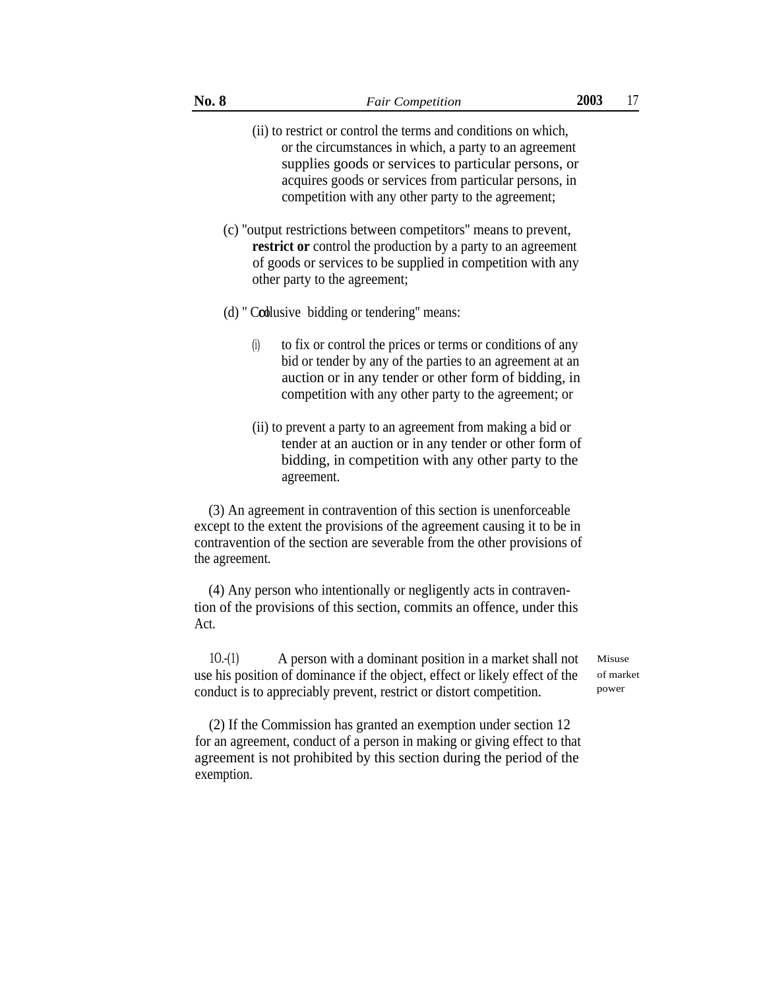- (ii) to restrict or control the terms and conditions on which, or the circumstances in which, a party to an agreement supplies goods or services to particular persons, or acquires goods or services from particular persons, in competition with any other party to the agreement;
- (c) ''output restrictions between competitors'' means to prevent, **restrict or** control the production by a party to an agreement of goods or services to be supplied in competition with any other party to the agreement;
- (d) " Collusive bidding or tendering" means:
	- (i) to fix or control the prices or terms or conditions of any bid or tender by any of the parties to an agreement at an auction or in any tender or other form of bidding, in competition with any other party to the agreement; or
	- (ii) to prevent a party to an agreement from making a bid or tender at an auction or in any tender or other form of bidding, in competition with any other party to the agreement.

(3) An agreement in contravention of this section is unenforceable except to the extent the provisions of the agreement causing it to be in contravention of the section are severable from the other provisions of the agreement.

(4) Any person who intentionally or negligently acts in contravention of the provisions of this section, commits an offence, under this Act.

 $10-(1)$  A person with a dominant position in a market shall not Misuse use his position of dominance if the object, effect or likely effect of the conduct is to appreciably prevent, restrict or distort competition.

of market power

(2) If the Commission has granted an exemption under section 12 for an agreement, conduct of a person in making or giving effect to that agreement is not prohibited by this section during the period of the exemption.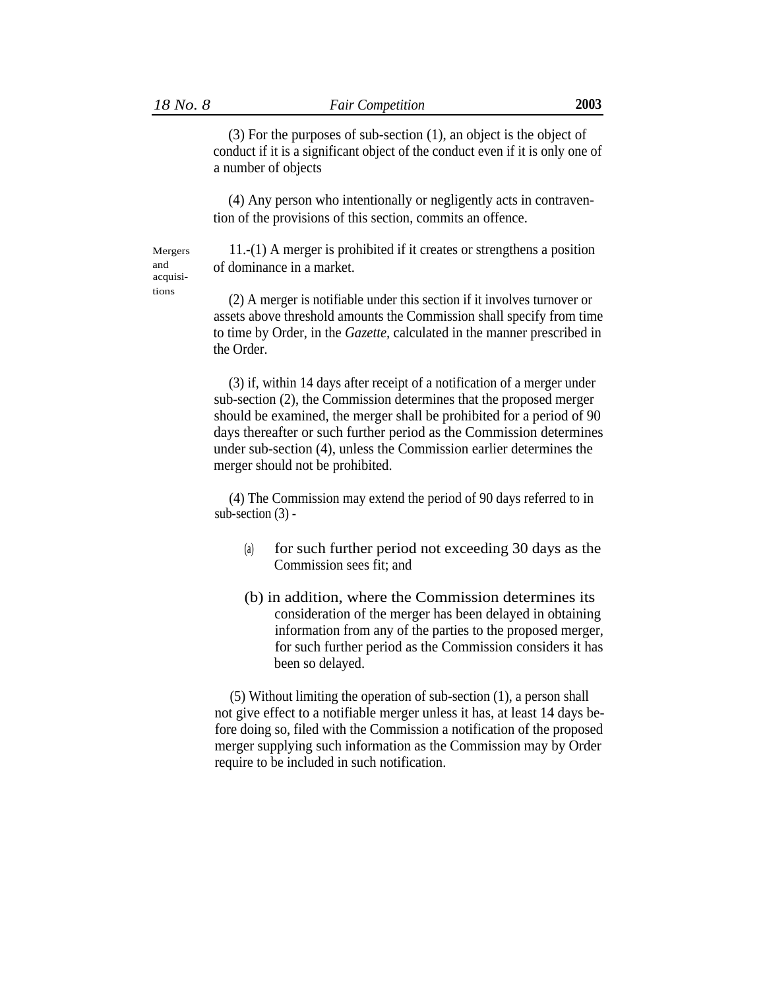Mergers and acquisi-

(3) For the purposes of sub-section (1), an object is the object of conduct if it is a significant object of the conduct even if it is only one of a number of objects

(4) Any person who intentionally or negligently acts in contravention of the provisions of this section, commits an offence.

11.-(1) A merger is prohibited if it creates or strengthens a position of dominance in a market.

tions (2) A merger is notifiable under this section if it involves turnover or assets above threshold amounts the Commission shall specify from time to time by Order, in the *Gazette,* calculated in the manner prescribed in the Order.

> (3) if, within 14 days after receipt of a notification of a merger under sub-section (2), the Commission determines that the proposed merger should be examined, the merger shall be prohibited for a period of 90 days thereafter or such further period as the Commission determines under sub-section (4), unless the Commission earlier determines the merger should not be prohibited.

(4) The Commission may extend the period of 90 days referred to in sub-section (3) -

- for such further period not exceeding 30 days as the Commission sees fit; and (a)
- (b) in addition, where the Commission determines its consideration of the merger has been delayed in obtaining information from any of the parties to the proposed merger, for such further period as the Commission considers it has been so delayed.

(5) Without limiting the operation of sub-section (1), a person shall not give effect to a notifiable merger unless it has, at least 14 days before doing so, filed with the Commission a notification of the proposed merger supplying such information as the Commission may by Order require to be included in such notification.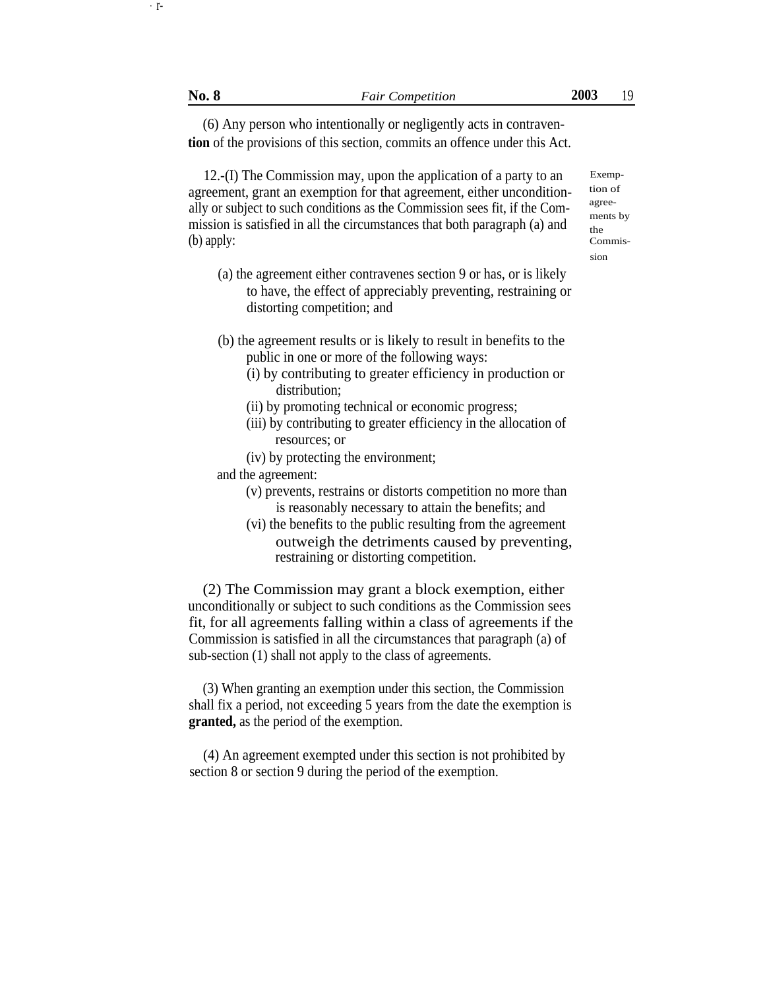(6) Any person who intentionally or negligently acts in contraven**tion** of the provisions of this section, commits an offence under this Act.

12.-(I) The Commission may, upon the application of a party to an agreement, grant an exemption for that agreement, either unconditionally or subject to such conditions as the Commission sees fit, if the Commission is satisfied in all the circumstances that both paragraph (a) and (b) apply:

- (a) the agreement either contravenes section 9 or has, or is likely to have, the effect of appreciably preventing, restraining or distorting competition; and
- (b) the agreement results or is likely to result in benefits to the public in one or more of the following ways:
	- (i) by contributing to greater efficiency in production or distribution;
	- (ii) by promoting technical or economic progress;
	- (iii) by contributing to greater efficiency in the allocation of resources; or
	- (iv) by protecting the environment;

and the agreement:

- (v) prevents, restrains or distorts competition no more than is reasonably necessary to attain the benefits; and
- (vi) the benefits to the public resulting from the agreement outweigh the detriments caused by preventing, restraining or distorting competition.

(2) The Commission may grant a block exemption, either unconditionally or subject to such conditions as the Commission sees fit, for all agreements falling within a class of agreements if the Commission is satisfied in all the circumstances that paragraph (a) of sub-section (1) shall not apply to the class of agreements.

(3) When granting an exemption under this section, the Commission shall fix a period, not exceeding 5 years from the date the exemption is **granted,** as the period of the exemption.

(4) An agreement exempted under this section is not prohibited by section 8 or section 9 during the period of the exemption.

 $\cdot$  r-

Exemption of agreements by the Commission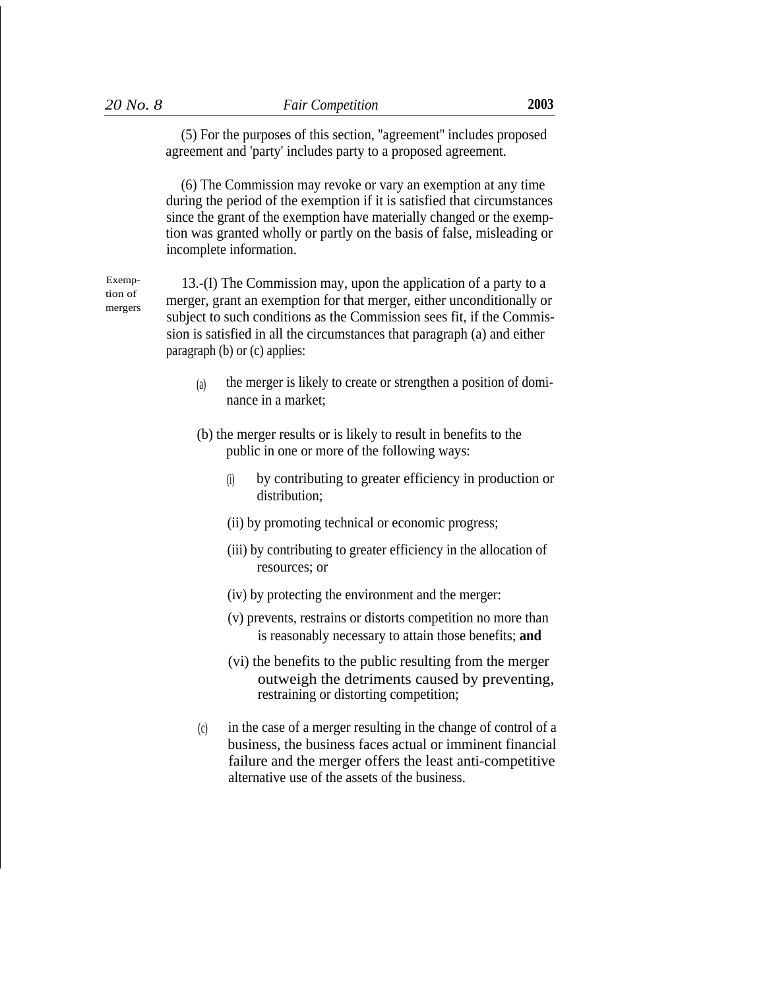(5) For the purposes of this section, ''agreement'' includes proposed agreement and 'party' includes party to a proposed agreement.

(6) The Commission may revoke or vary an exemption at any time during the period of the exemption if it is satisfied that circumstances since the grant of the exemption have materially changed or the exemption was granted wholly or partly on the basis of false, misleading or incomplete information.

tion of mergers

Exemp-  $13-(I)$  The Commission may, upon the application of a party to a merger, grant an exemption for that merger, either unconditionally or subject to such conditions as the Commission sees fit, if the Commission is satisfied in all the circumstances that paragraph (a) and either paragraph (b) or (c) applies:

- the merger is likely to create or strengthen a position of dominance in a market; (a)
- (b) the merger results or is likely to result in benefits to the public in one or more of the following ways:
	- by contributing to greater efficiency in production or distribution; (i)
	- (ii) by promoting technical or economic progress;
	- (iii) by contributing to greater efficiency in the allocation of resources; or
	- (iv) by protecting the environment and the merger:
	- (v) prevents, restrains or distorts competition no more than is reasonably necessary to attain those benefits; **and**
	- (vi) the benefits to the public resulting from the merger outweigh the detriments caused by preventing, restraining or distorting competition;
- in the case of a merger resulting in the change of control of a business, the business faces actual or imminent financial failure and the merger offers the least anti-competitive alternative use of the assets of the business. (c)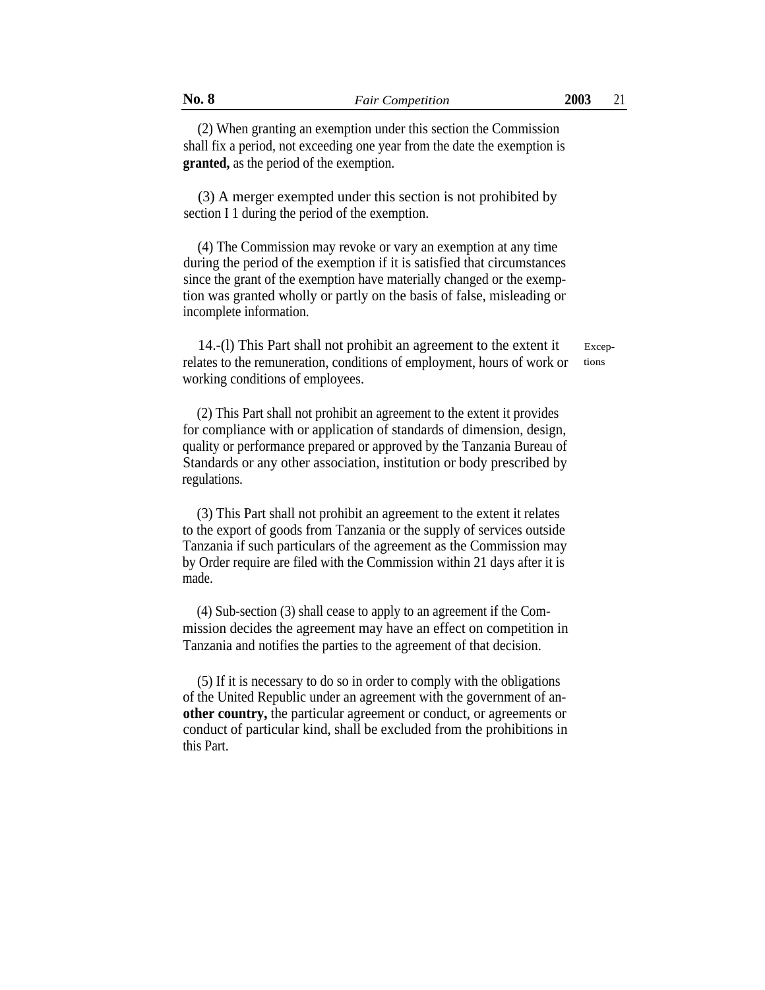(2) When granting an exemption under this section the Commission shall fix a period, not exceeding one year from the date the exemption is **granted,** as the period of the exemption.

(3) A merger exempted under this section is not prohibited by section I 1 during the period of the exemption.

(4) The Commission may revoke or vary an exemption at any time during the period of the exemption if it is satisfied that circumstances since the grant of the exemption have materially changed or the exemption was granted wholly or partly on the basis of false, misleading or incomplete information.

14.-(l) This Part shall not prohibit an agreement to the extent it relates to the remuneration, conditions of employment, hours of work or working conditions of employees.

Exceptions

(2) This Part shall not prohibit an agreement to the extent it provides for compliance with or application of standards of dimension, design, quality or performance prepared or approved by the Tanzania Bureau of Standards or any other association, institution or body prescribed by regulations.

(3) This Part shall not prohibit an agreement to the extent it relates to the export of goods from Tanzania or the supply of services outside Tanzania if such particulars of the agreement as the Commission may by Order require are filed with the Commission within 21 days after it is made.

(4) Sub-section (3) shall cease to apply to an agreement if the Commission decides the agreement may have an effect on competition in Tanzania and notifies the parties to the agreement of that decision.

(5) If it is necessary to do so in order to comply with the obligations of the United Republic under an agreement with the government of an**other country,** the particular agreement or conduct, or agreements or conduct of particular kind, shall be excluded from the prohibitions in this Part.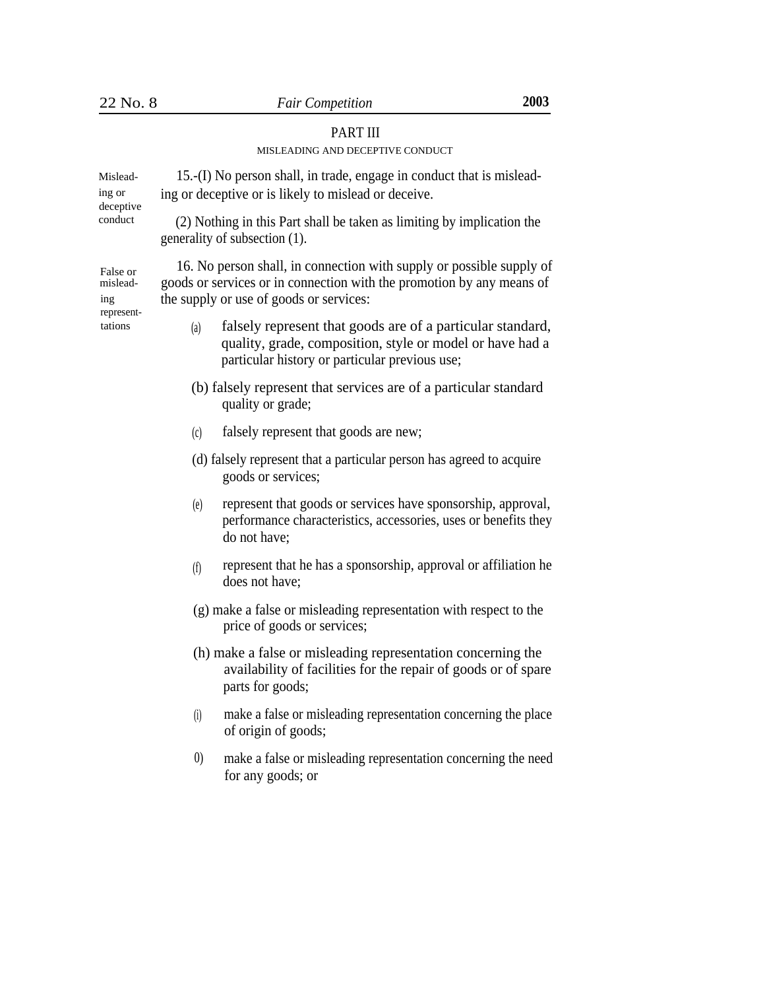# PART III

# MISLEADING AND DECEPTIVE CONDUCT

| Mislead-<br>ing or<br>deceptive<br>conduct           | 15.-(I) No person shall, in trade, engage in conduct that is mislead-<br>ing or deceptive or is likely to mislead or deceive.                                                            |
|------------------------------------------------------|------------------------------------------------------------------------------------------------------------------------------------------------------------------------------------------|
|                                                      | (2) Nothing in this Part shall be taken as limiting by implication the<br>generality of subsection (1).                                                                                  |
| False or<br>mislead-<br>ing<br>represent-<br>tations | 16. No person shall, in connection with supply or possible supply of<br>goods or services or in connection with the promotion by any means of<br>the supply or use of goods or services: |
|                                                      | falsely represent that goods are of a particular standard,<br>(a)<br>quality, grade, composition, style or model or have had a<br>particular history or particular previous use;         |
|                                                      | (b) falsely represent that services are of a particular standard<br>quality or grade;                                                                                                    |
|                                                      | falsely represent that goods are new;<br>(c)                                                                                                                                             |
|                                                      | (d) falsely represent that a particular person has agreed to acquire<br>goods or services;                                                                                               |
|                                                      | represent that goods or services have sponsorship, approval,<br>(e)<br>performance characteristics, accessories, uses or benefits they<br>do not have;                                   |
|                                                      | represent that he has a sponsorship, approval or affiliation he<br>(f)<br>does not have;                                                                                                 |
|                                                      | (g) make a false or misleading representation with respect to the<br>price of goods or services;                                                                                         |
|                                                      | (h) make a false or misleading representation concerning the<br>availability of facilities for the repair of goods or of spare<br>parts for goods;                                       |
|                                                      | make a false or misleading representation concerning the place<br>(i)<br>of origin of goods;                                                                                             |

0) make a false or misleading representation concerning the need for any goods; or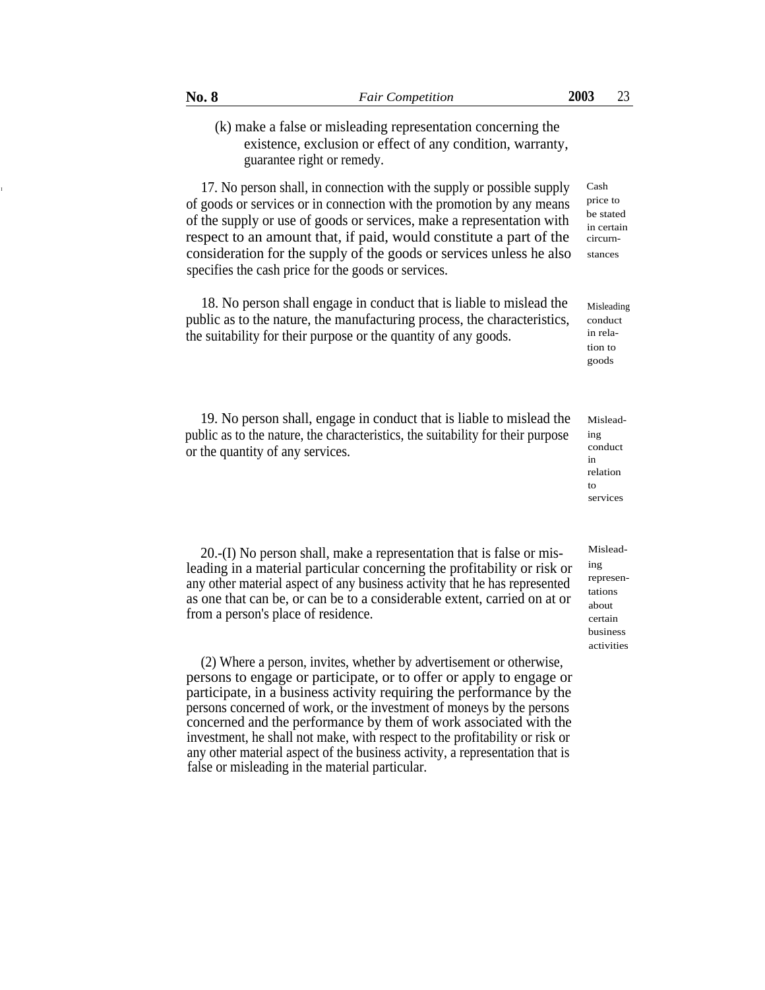# (k) make a false or misleading representation concerning the existence, exclusion or effect of any condition, warranty, guarantee right or remedy.

17. No person shall, in connection with the supply or possible supply Cash of goods or services or in connection with the promotion by any means of the supply or use of goods or services, make a representation with respect to an amount that, if paid, would constitute a part of the consideration for the supply of the goods or services unless he also specifies the cash price for the goods or services.

> 18. No person shall engage in conduct that is liable to mislead the public as to the nature, the manufacturing process, the characteristics, the suitability for their purpose or the quantity of any goods.

> 19. No person shall, engage in conduct that is liable to mislead the public as to the nature, the characteristics, the suitability for their purpose or the quantity of any services.

 $20.-(I)$  No person shall, make a representation that is false or mis- $M$ <sup>Islead-</sup> leading in a material particular concerning the profitability or risk or any other material aspect of any business activity that he has represented as one that can be, or can be to a considerable extent, carried on at or from a person's place of residence.

(2) Where a person, invites, whether by advertisement or otherwise, persons to engage or participate, or to offer or apply to engage or participate, in a business activity requiring the performance by the persons concerned of work, or the investment of moneys by the persons concerned and the performance by them of work associated with the investment, he shall not make, with respect to the profitability or risk or any other material aspect of the business activity, a representation that is false or misleading in the material particular.

Misleading conduct in relation to services

ing representations about certain business activities

price to be stated in certain circurnstances

Misleading conduct in relation to goods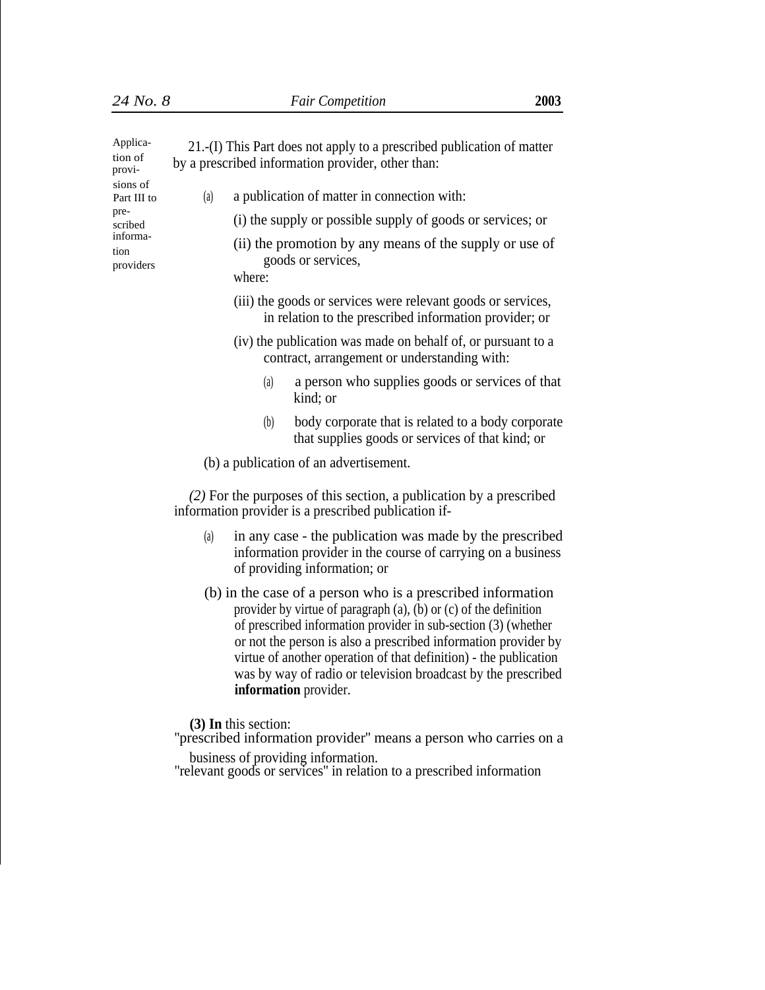| Applica-<br>tion of<br>provi-<br>sions of<br>Part III to<br>pre-<br>scribed<br>informa-<br>tion<br>providers | 21.-(I) This Part does not apply to a prescribed publication of matter<br>by a prescribed information provider, other than:                                     |
|--------------------------------------------------------------------------------------------------------------|-----------------------------------------------------------------------------------------------------------------------------------------------------------------|
|                                                                                                              | a publication of matter in connection with:<br>(a)                                                                                                              |
|                                                                                                              | (i) the supply or possible supply of goods or services; or                                                                                                      |
|                                                                                                              | (ii) the promotion by any means of the supply or use of<br>goods or services,<br>where:                                                                         |
|                                                                                                              | (iii) the goods or services were relevant goods or services,<br>in relation to the prescribed information provider; or                                          |
|                                                                                                              | (iv) the publication was made on behalf of, or pursuant to a<br>contract, arrangement or understanding with:                                                    |
|                                                                                                              | a person who supplies goods or services of that<br>(a)<br>kind; or                                                                                              |
|                                                                                                              | body corporate that is related to a body corporate<br>(b)<br>that supplies goods or services of that kind; or                                                   |
|                                                                                                              | (b) a publication of an advertisement.                                                                                                                          |
|                                                                                                              | (2) For the purposes of this section, a publication by a prescribed<br>information provider is a prescribed publication if-                                     |
|                                                                                                              | in any case - the publication was made by the prescribed<br>(a)<br>information provider in the course of carrying on a business<br>of providing information; or |

(b) in the case of a person who is a prescribed information provider by virtue of paragraph (a), (b) or (c) of the definition of prescribed information provider in sub-section (3) (whether or not the person is also a prescribed information provider by virtue of another operation of that definition) - the publication was by way of radio or television broadcast by the prescribed **information** provider.

**(3) In** this section:

''prescribed information provider'' means a person who carries on a business of providing information.

''relevant goods or services'' in relation to a prescribed information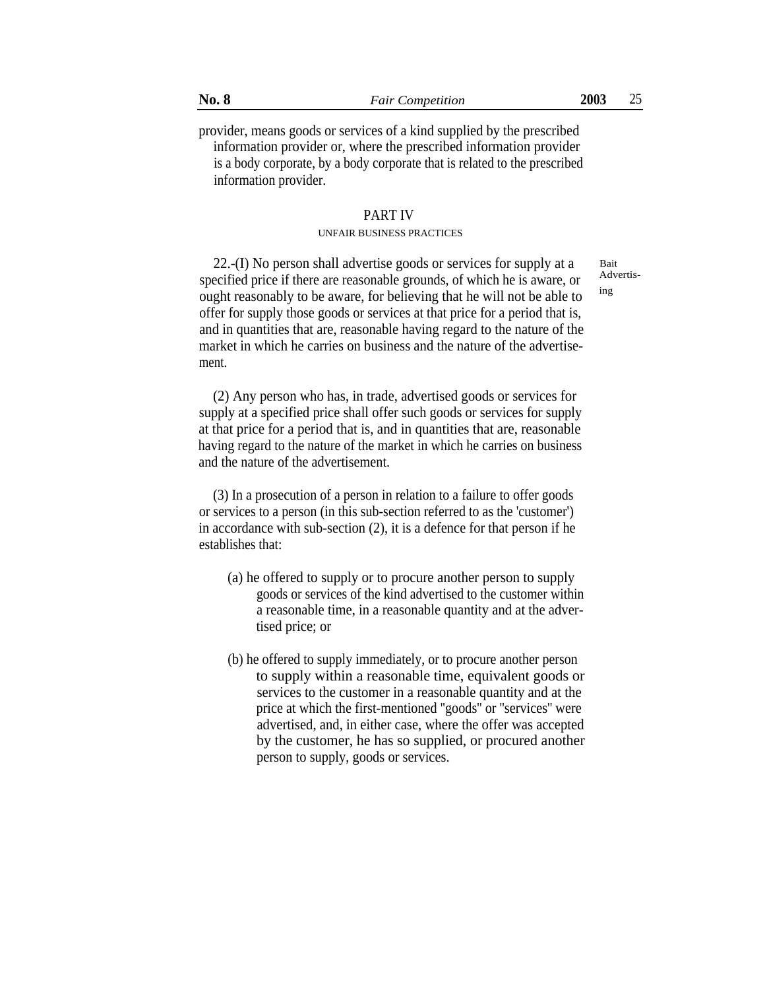provider, means goods or services of a kind supplied by the prescribed information provider or, where the prescribed information provider is a body corporate, by a body corporate that is related to the prescribed information provider.

# PART IV

#### UNFAIR BUSINESS PRACTICES

22.-(I) No person shall advertise goods or services for supply at a specified price if there are reasonable grounds, of which he is aware, or ought reasonably to be aware, for believing that he will not be able to offer for supply those goods or services at that price for a period that is, and in quantities that are, reasonable having regard to the nature of the market in which he carries on business and the nature of the advertisement.

Bait Advertising

(2) Any person who has, in trade, advertised goods or services for supply at a specified price shall offer such goods or services for supply at that price for a period that is, and in quantities that are, reasonable having regard to the nature of the market in which he carries on business and the nature of the advertisement.

(3) In a prosecution of a person in relation to a failure to offer goods or services to a person (in this sub-section referred to as the 'customer') in accordance with sub-section (2), it is a defence for that person if he establishes that:

- (a) he offered to supply or to procure another person to supply goods or services of the kind advertised to the customer within a reasonable time, in a reasonable quantity and at the advertised price; or
- (b) he offered to supply immediately, or to procure another person to supply within a reasonable time, equivalent goods or services to the customer in a reasonable quantity and at the price at which the first-mentioned ''goods'' or ''services'' were advertised, and, in either case, where the offer was accepted by the customer, he has so supplied, or procured another person to supply, goods or services.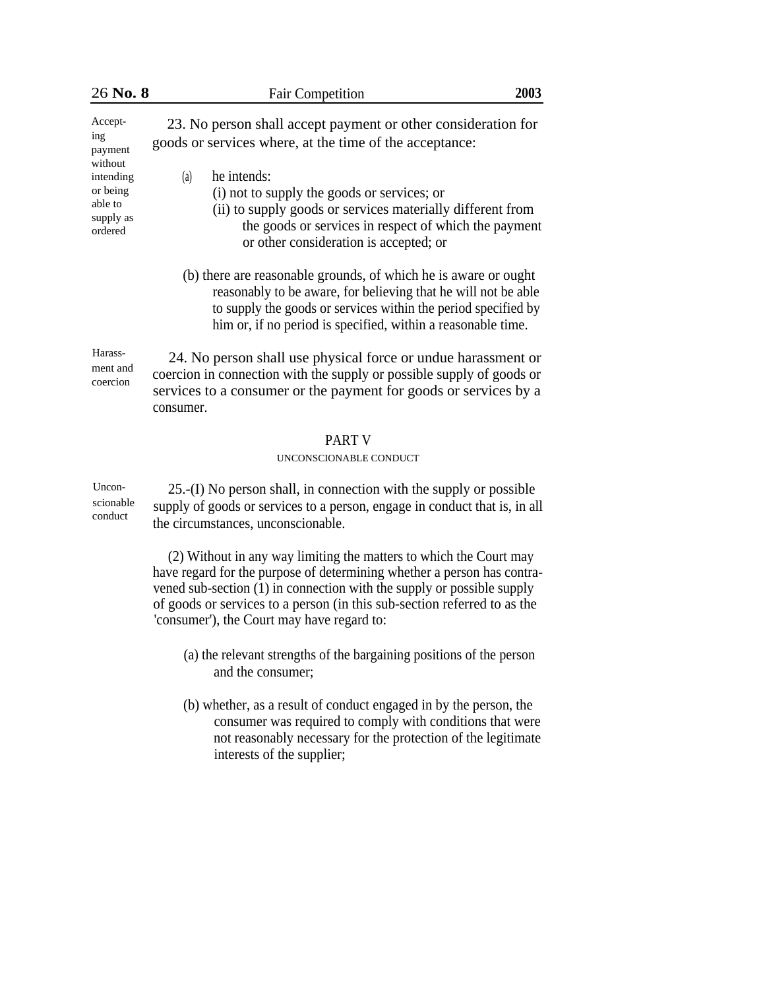| 26 No. 8                                                                                         | 2003<br><b>Fair Competition</b>                                                                                                                                                                                                                                     |  |
|--------------------------------------------------------------------------------------------------|---------------------------------------------------------------------------------------------------------------------------------------------------------------------------------------------------------------------------------------------------------------------|--|
| Accept-<br>ing<br>payment<br>without<br>intending<br>or being<br>able to<br>supply as<br>ordered | 23. No person shall accept payment or other consideration for<br>goods or services where, at the time of the acceptance:                                                                                                                                            |  |
|                                                                                                  | (a)<br>he intends:<br>(i) not to supply the goods or services; or<br>(ii) to supply goods or services materially different from<br>the goods or services in respect of which the payment<br>or other consideration is accepted; or                                  |  |
|                                                                                                  | (b) there are reasonable grounds, of which he is aware or ought<br>reasonably to be aware, for believing that he will not be able<br>to supply the goods or services within the period specified by<br>him or, if no period is specified, within a reasonable time. |  |
| Harass-<br>ment and<br>coercion                                                                  | 24. No person shall use physical force or undue harassment or<br>coercion in connection with the supply or possible supply of goods or<br>services to a consumer or the payment for goods or services by a<br>consumer.                                             |  |
|                                                                                                  | <b>PART V</b><br>UNCONSCIONABLE CONDUCT                                                                                                                                                                                                                             |  |
| Uncon-<br>scionable<br>conduct                                                                   | 25.-(I) No person shall, in connection with the supply or possible<br>supply of goods or services to a person, engage in conduct that is, in all<br>the circumstances, unconscionable.                                                                              |  |
|                                                                                                  | (2) Without in any way limiting the matters to which the Court may<br>have regard for the purpose of determining whether a person has contra-<br>vened sub-section (1) in connection with the supply or possible supply                                             |  |

- of goods or services to a person (in this sub-section referred to as the 'consumer'), the Court may have regard to:
	- (a) the relevant strengths of the bargaining positions of the person and the consumer;
	- (b) whether, as a result of conduct engaged in by the person, the consumer was required to comply with conditions that were not reasonably necessary for the protection of the legitimate interests of the supplier;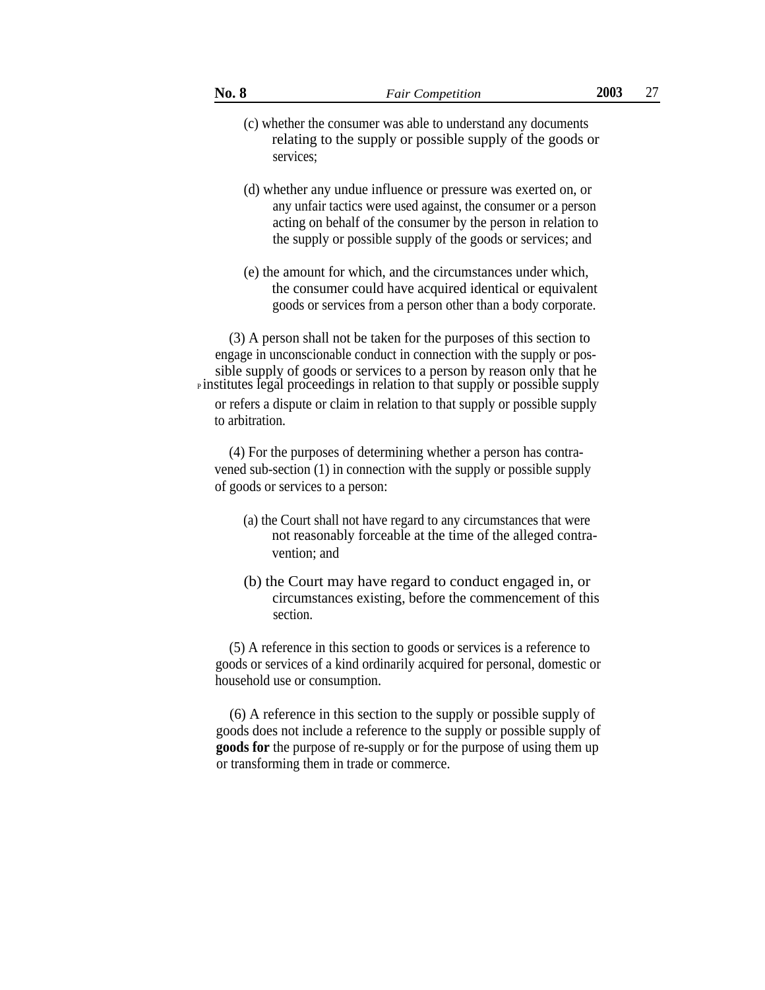- (c) whether the consumer was able to understand any documents relating to the supply or possible supply of the goods or services;
- (d) whether any undue influence or pressure was exerted on, or any unfair tactics were used against, the consumer or a person acting on behalf of the consumer by the person in relation to the supply or possible supply of the goods or services; and
- (e) the amount for which, and the circumstances under which, the consumer could have acquired identical or equivalent goods or services from a person other than a body corporate.

(3) A person shall not be taken for the purposes of this section to engage in unconscionable conduct in connection with the supply or possible supply of goods or services to a person by reason only that he <sup>P</sup>institutes legal proceedings in relation to that supply or possible supply or refers a dispute or claim in relation to that supply or possible supply to arbitration.

(4) For the purposes of determining whether a person has contravened sub-section (1) in connection with the supply or possible supply of goods or services to a person:

- (a) the Court shall not have regard to any circumstances that were not reasonably forceable at the time of the alleged contravention; and
- (b) the Court may have regard to conduct engaged in, or circumstances existing, before the commencement of this section.

(5) A reference in this section to goods or services is a reference to goods or services of a kind ordinarily acquired for personal, domestic or household use or consumption.

(6) A reference in this section to the supply or possible supply of goods does not include a reference to the supply or possible supply of **goods for** the purpose of re-supply or for the purpose of using them up or transforming them in trade or commerce.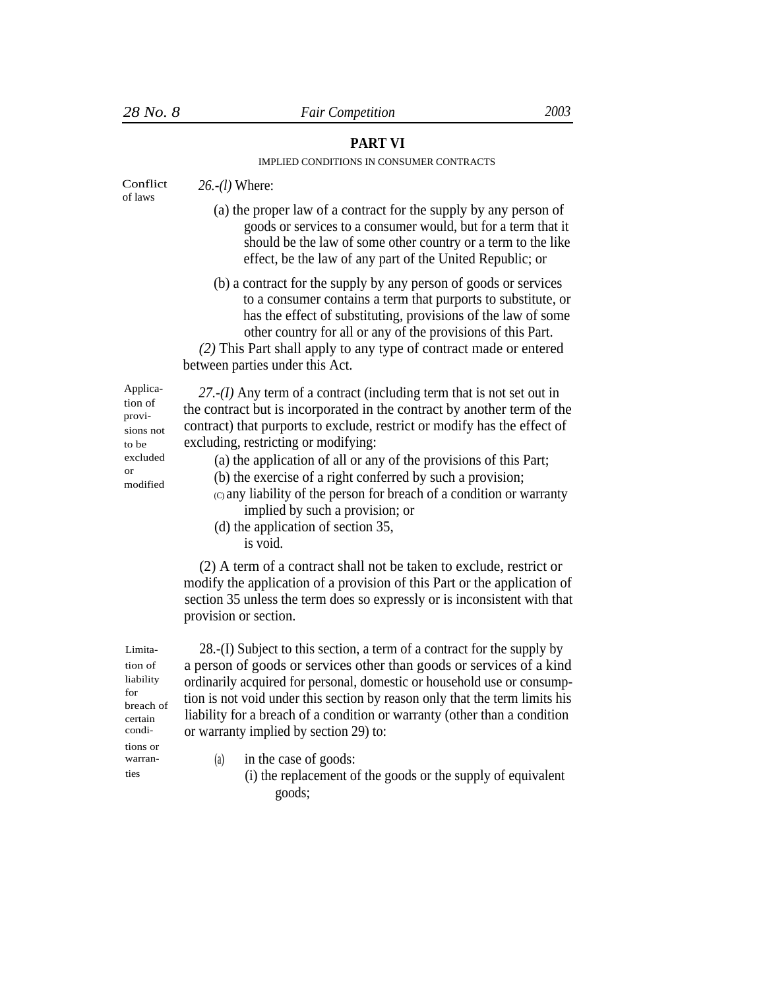# **PART VI**

# IMPLIED CONDITIONS IN CONSUMER CONTRACTS

| Conflict<br>of laws                                                                                     | 26.-(1) Where:                                                                                                                                                                                                                                                                                                                                                                                                                                                                                                                                                         |
|---------------------------------------------------------------------------------------------------------|------------------------------------------------------------------------------------------------------------------------------------------------------------------------------------------------------------------------------------------------------------------------------------------------------------------------------------------------------------------------------------------------------------------------------------------------------------------------------------------------------------------------------------------------------------------------|
|                                                                                                         | (a) the proper law of a contract for the supply by any person of<br>goods or services to a consumer would, but for a term that it<br>should be the law of some other country or a term to the like<br>effect, be the law of any part of the United Republic; or                                                                                                                                                                                                                                                                                                        |
|                                                                                                         | (b) a contract for the supply by any person of goods or services<br>to a consumer contains a term that purports to substitute, or<br>has the effect of substituting, provisions of the law of some<br>other country for all or any of the provisions of this Part.<br>(2) This Part shall apply to any type of contract made or entered<br>between parties under this Act.                                                                                                                                                                                             |
| Applica-<br>tion of<br>provi-<br>sions not<br>to be<br>excluded<br>$\alpha$ r<br>modified               | $27-(I)$ Any term of a contract (including term that is not set out in<br>the contract but is incorporated in the contract by another term of the<br>contract) that purports to exclude, restrict or modify has the effect of<br>excluding, restricting or modifying:<br>(a) the application of all or any of the provisions of this Part;<br>(b) the exercise of a right conferred by such a provision;<br>(c) any liability of the person for breach of a condition or warranty<br>implied by such a provision; or<br>(d) the application of section 35,<br>is void. |
|                                                                                                         | (2) A term of a contract shall not be taken to exclude, restrict or<br>modify the application of a provision of this Part or the application of<br>section 35 unless the term does so expressly or is inconsistent with that<br>provision or section.                                                                                                                                                                                                                                                                                                                  |
| Limita-<br>tion of<br>liability<br>for<br>breach of<br>certain<br>condi-<br>tions or<br>warran-<br>ties | 28.-(I) Subject to this section, a term of a contract for the supply by<br>a person of goods or services other than goods or services of a kind<br>ordinarily acquired for personal, domestic or household use or consump-<br>tion is not void under this section by reason only that the term limits his<br>liability for a breach of a condition or warranty (other than a condition<br>or warranty implied by section 29) to:                                                                                                                                       |
|                                                                                                         | in the case of goods:<br>(a)<br>(i) the replacement of the goods or the supply of equivalent<br>goods;                                                                                                                                                                                                                                                                                                                                                                                                                                                                 |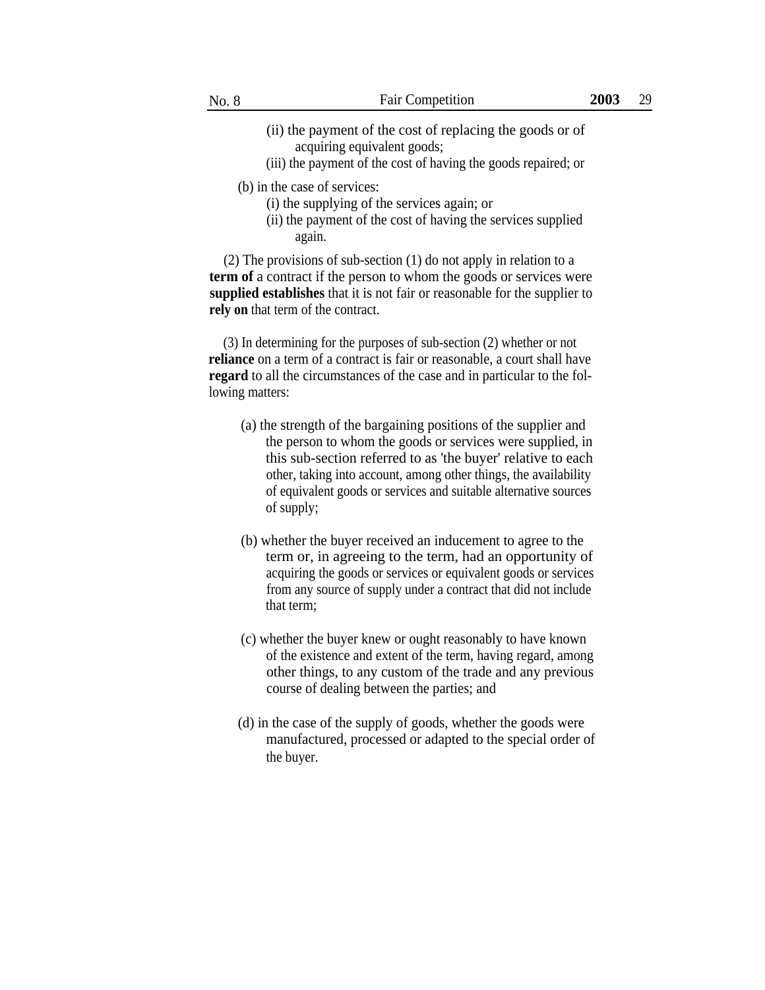- (ii) the payment of the cost of replacing the goods or of acquiring equivalent goods;
- (iii) the payment of the cost of having the goods repaired; or

(b) in the case of services:

- (i) the supplying of the services again; or
- (ii) the payment of the cost of having the services supplied again.

(2) The provisions of sub-section (1) do not apply in relation to a **term of** a contract if the person to whom the goods or services were **supplied establishes** that it is not fair or reasonable for the supplier to **rely on** that term of the contract.

(3) In determining for the purposes of sub-section (2) whether or not **reliance** on a term of a contract is fair or reasonable, a court shall have **regard** to all the circumstances of the case and in particular to the following matters:

- (a) the strength of the bargaining positions of the supplier and the person to whom the goods or services were supplied, in this sub-section referred to as 'the buyer' relative to each other, taking into account, among other things, the availability of equivalent goods or services and suitable alternative sources of supply;
- (b) whether the buyer received an inducement to agree to the term or, in agreeing to the term, had an opportunity of acquiring the goods or services or equivalent goods or services from any source of supply under a contract that did not include that term;
- (c) whether the buyer knew or ought reasonably to have known of the existence and extent of the term, having regard, among other things, to any custom of the trade and any previous course of dealing between the parties; and
- (d) in the case of the supply of goods, whether the goods were manufactured, processed or adapted to the special order of the buyer.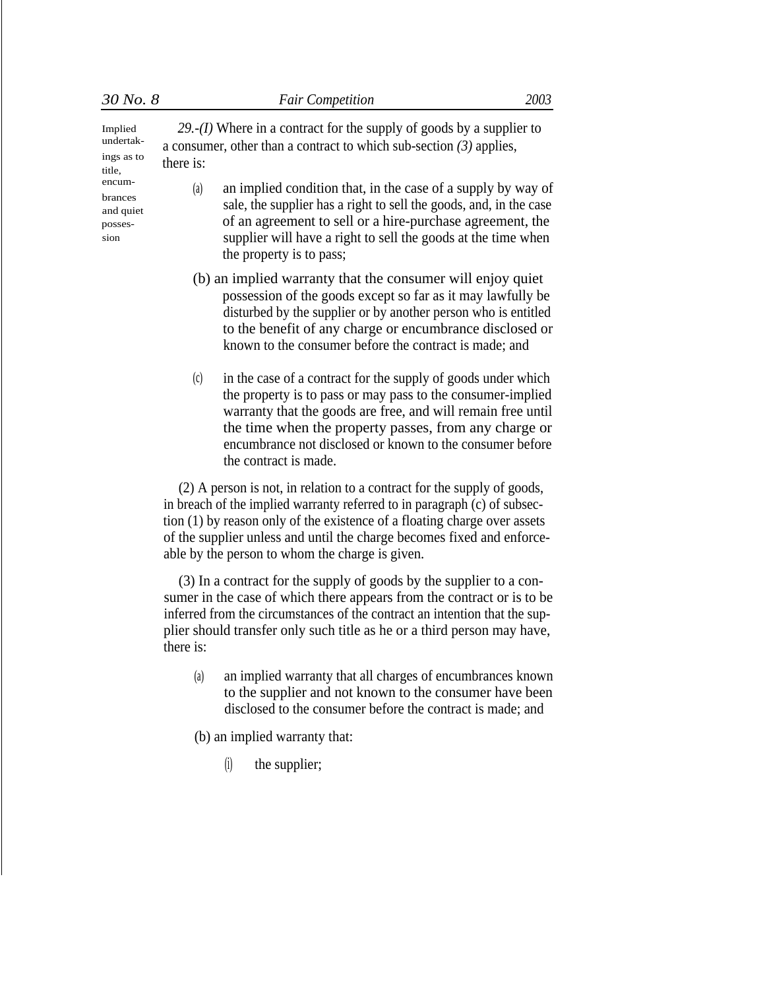| Implied<br>undertak-<br>ings as to<br>title,<br>encum-<br>brances<br>and quiet<br>posses-<br>sion | 29.- $(I)$ Where in a contract for the supply of goods by a supplier to<br>a consumer, other than a contract to which sub-section $(3)$ applies,<br>there is:                                                                                                                                                     |
|---------------------------------------------------------------------------------------------------|-------------------------------------------------------------------------------------------------------------------------------------------------------------------------------------------------------------------------------------------------------------------------------------------------------------------|
|                                                                                                   | (a)<br>an implied condition that, in the case of a supply by way of<br>sale, the supplier has a right to sell the goods, and, in the case<br>of an agreement to sell or a hire-purchase agreement, the<br>supplier will have a right to sell the goods at the time when<br>the property is to pass;               |
|                                                                                                   | (b) an implied warranty that the consumer will enjoy quiet<br>possession of the goods except so far as it may lawfully be<br>disturbed by the supplier or by another person who is entitled<br>to the benefit of any charge or encumbrance disclosed or<br>known to the consumer before the contract is made; and |
|                                                                                                   | in the case of a contract for the supply of goods under which<br>(c)<br>the property is to pass or may pass to the consumer-implied                                                                                                                                                                               |

the property is to pass or may pass to the consumer-implied warranty that the goods are free, and will remain free until the time when the property passes, from any charge or encumbrance not disclosed or known to the consumer before the contract is made.

(2) A person is not, in relation to a contract for the supply of goods, in breach of the implied warranty referred to in paragraph (c) of subsection (1) by reason only of the existence of a floating charge over assets of the supplier unless and until the charge becomes fixed and enforceable by the person to whom the charge is given.

(3) In a contract for the supply of goods by the supplier to a consumer in the case of which there appears from the contract or is to be inferred from the circumstances of the contract an intention that the supplier should transfer only such title as he or a third person may have, there is:

(a) an implied warranty that all charges of encumbrances known to the supplier and not known to the consumer have been disclosed to the consumer before the contract is made; and

(b) an implied warranty that:

(i) the supplier;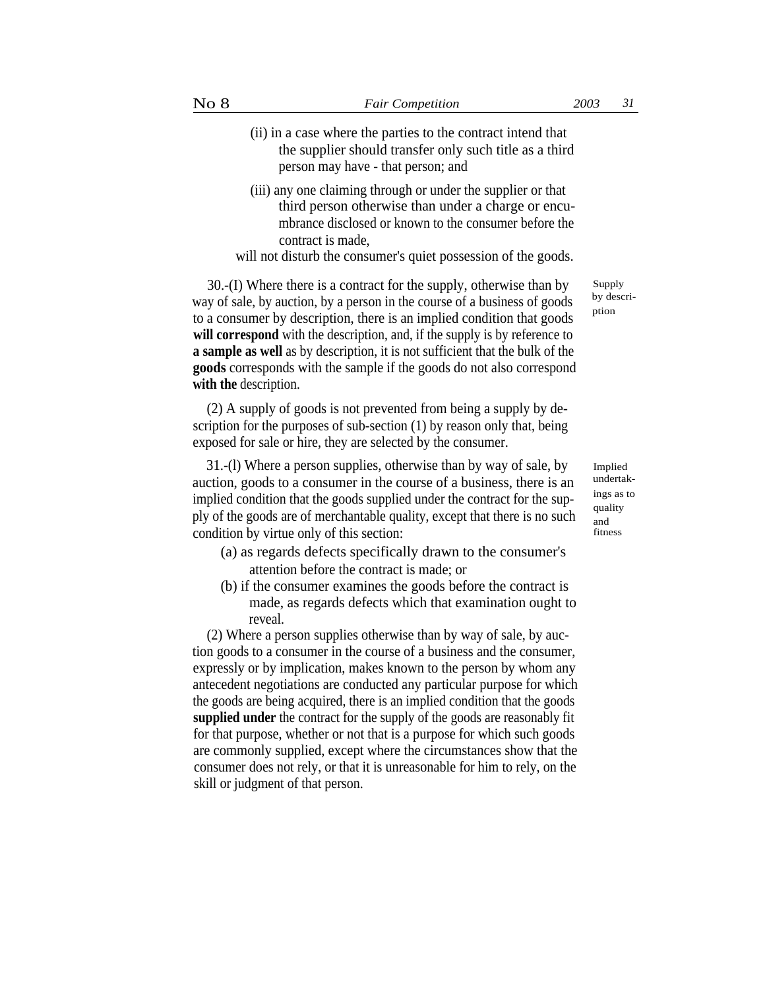- (ii) in a case where the parties to the contract intend that the supplier should transfer only such title as a third person may have - that person; and
- (iii) any one claiming through or under the supplier or that third person otherwise than under a charge or encumbrance disclosed or known to the consumer before the contract is made,

will not disturb the consumer's quiet possession of the goods.

30.-(I) Where there is a contract for the supply, otherwise than by way of sale, by auction, by a person in the course of a business of goods to a consumer by description, there is an implied condition that goods **will correspond** with the description, and, if the supply is by reference to **a sample as well** as by description, it is not sufficient that the bulk of the **goods** corresponds with the sample if the goods do not also correspond **with the** description.

(2) A supply of goods is not prevented from being a supply by description for the purposes of sub-section (1) by reason only that, being exposed for sale or hire, they are selected by the consumer.

31.-(l) Where a person supplies, otherwise than by way of sale, by auction, goods to a consumer in the course of a business, there is an implied condition that the goods supplied under the contract for the supply of the goods are of merchantable quality, except that there is no such condition by virtue only of this section: fitness

- (a) as regards defects specifically drawn to the consumer's attention before the contract is made; or
- (b) if the consumer examines the goods before the contract is made, as regards defects which that examination ought to reveal.

(2) Where a person supplies otherwise than by way of sale, by auction goods to a consumer in the course of a business and the consumer, expressly or by implication, makes known to the person by whom any antecedent negotiations are conducted any particular purpose for which the goods are being acquired, there is an implied condition that the goods **supplied under** the contract for the supply of the goods are reasonably fit for that purpose, whether or not that is a purpose for which such goods are commonly supplied, except where the circumstances show that the consumer does not rely, or that it is unreasonable for him to rely, on the skill or judgment of that person.

Supply by description

Implied undertakings as to quality and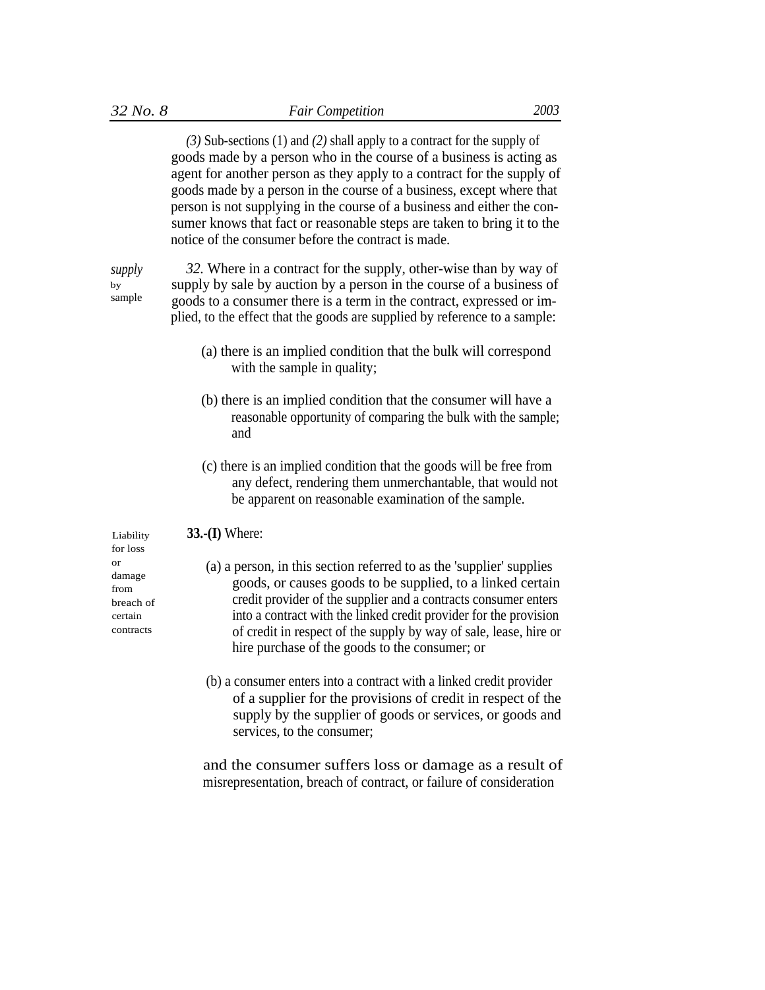*(3)* Sub-sections (1) and *(2)* shall apply to a contract for the supply of goods made by a person who in the course of a business is acting as agent for another person as they apply to a contract for the supply of goods made by a person in the course of a business, except where that person is not supplying in the course of a business and either the consumer knows that fact or reasonable steps are taken to bring it to the notice of the consumer before the contract is made.

*supply* by sample

*32.* Where in a contract for the supply, other-wise than by way of supply by sale by auction by a person in the course of a business of goods to a consumer there is a term in the contract, expressed or implied, to the effect that the goods are supplied by reference to a sample:

- (a) there is an implied condition that the bulk will correspond with the sample in quality;
- (b) there is an implied condition that the consumer will have a reasonable opportunity of comparing the bulk with the sample; and
- (c) there is an implied condition that the goods will be free from any defect, rendering them unmerchantable, that would not be apparent on reasonable examination of the sample.

Liability **33.-(I)** Where:

- or (a) a person, in this section referred to as the 'supplier' supplies goods, or causes goods to be supplied, to a linked certain credit provider of the supplier and a contracts consumer enters into a contract with the linked credit provider for the provision of credit in respect of the supply by way of sale, lease, hire or hire purchase of the goods to the consumer; or
	- (b) a consumer enters into a contract with a linked credit provider of a supplier for the provisions of credit in respect of the supply by the supplier of goods or services, or goods and services, to the consumer;

and the consumer suffers loss or damage as a result of misrepresentation, breach of contract, or failure of consideration

for loss from breach of certain contracts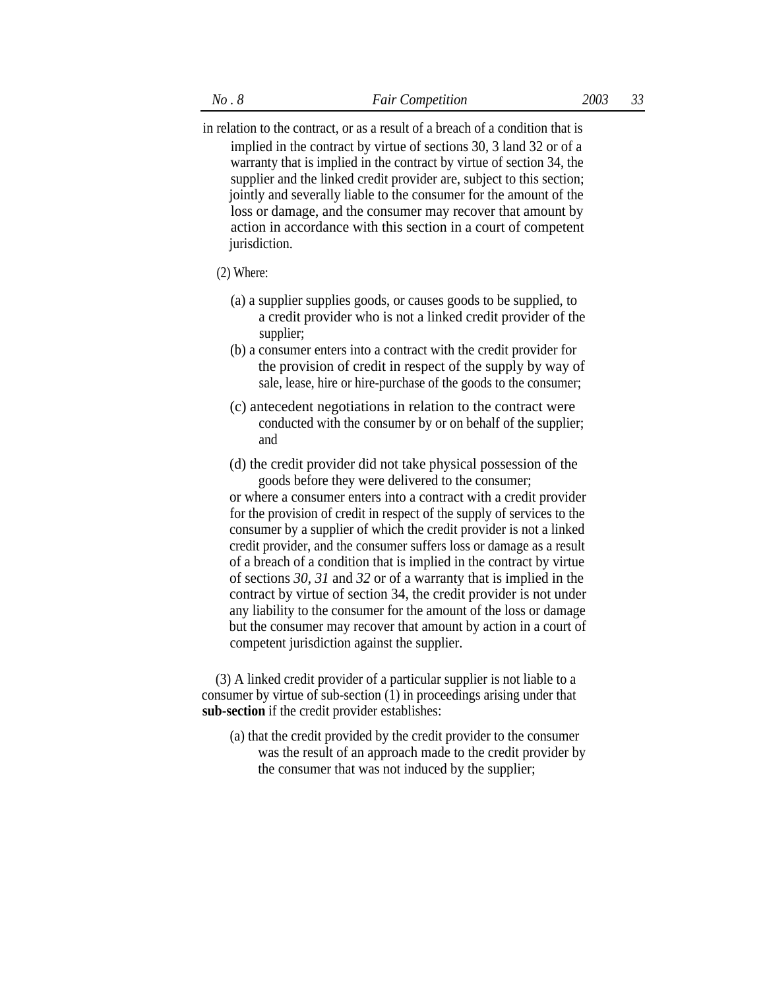in relation to the contract, or as a result of a breach of a condition that is implied in the contract by virtue of sections 30, 3 land 32 or of a warranty that is implied in the contract by virtue of section 34, the supplier and the linked credit provider are, subject to this section; jointly and severally liable to the consumer for the amount of the loss or damage, and the consumer may recover that amount by action in accordance with this section in a court of competent

#### (2) Where:

jurisdiction.

- (a) a supplier supplies goods, or causes goods to be supplied, to a credit provider who is not a linked credit provider of the supplier;
- (b) a consumer enters into a contract with the credit provider for the provision of credit in respect of the supply by way of sale, lease, hire or hire-purchase of the goods to the consumer;
- (c) antecedent negotiations in relation to the contract were conducted with the consumer by or on behalf of the supplier; and
- (d) the credit provider did not take physical possession of the goods before they were delivered to the consumer;

or where a consumer enters into a contract with a credit provider for the provision of credit in respect of the supply of services to the consumer by a supplier of which the credit provider is not a linked credit provider, and the consumer suffers loss or damage as a result of a breach of a condition that is implied in the contract by virtue of sections *30, 31* and *32* or of a warranty that is implied in the contract by virtue of section 34, the credit provider is not under any liability to the consumer for the amount of the loss or damage but the consumer may recover that amount by action in a court of competent jurisdiction against the supplier.

(3) A linked credit provider of a particular supplier is not liable to a consumer by virtue of sub-section (1) in proceedings arising under that **sub-section** if the credit provider establishes:

(a) that the credit provided by the credit provider to the consumer was the result of an approach made to the credit provider by the consumer that was not induced by the supplier;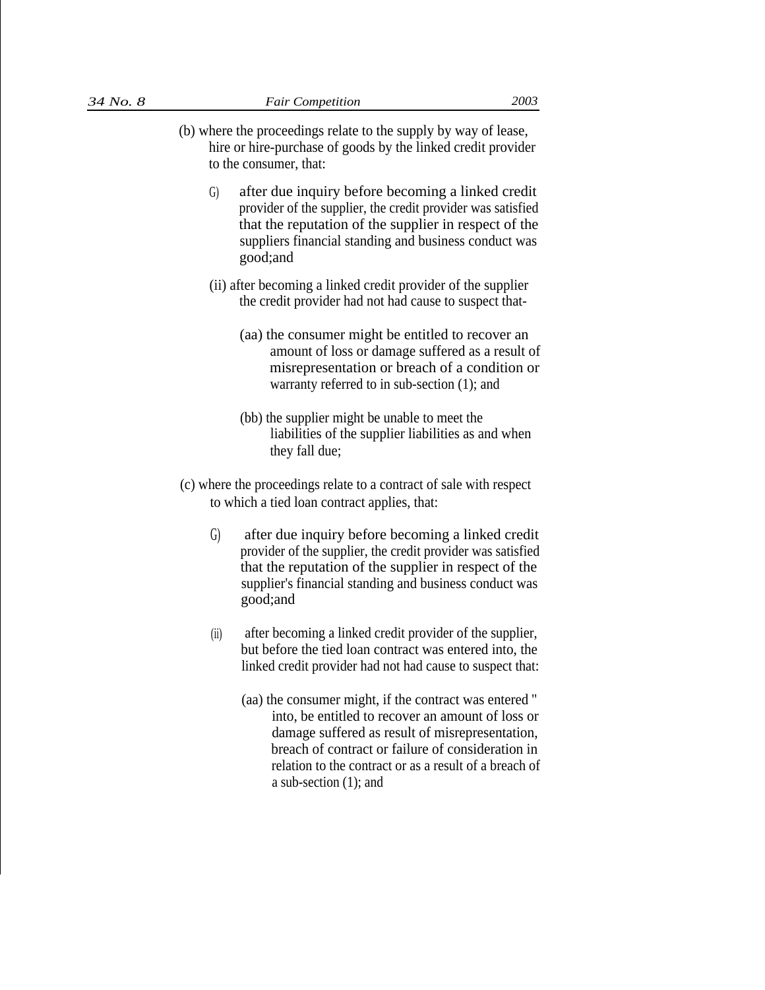- 
- (b) where the proceedings relate to the supply by way of lease, hire or hire-purchase of goods by the linked credit provider to the consumer, that:
	- after due inquiry before becoming a linked credit provider of the supplier, the credit provider was satisfied that the reputation of the supplier in respect of the suppliers financial standing and business conduct was good;and G)
	- (ii) after becoming a linked credit provider of the supplier the credit provider had not had cause to suspect that-
		- (aa) the consumer might be entitled to recover an amount of loss or damage suffered as a result of misrepresentation or breach of a condition or warranty referred to in sub-section (1); and
		- (bb) the supplier might be unable to meet the liabilities of the supplier liabilities as and when they fall due;
- (c) where the proceedings relate to a contract of sale with respect to which a tied loan contract applies, that:
	- G) after due inquiry before becoming a linked credit provider of the supplier, the credit provider was satisfied that the reputation of the supplier in respect of the supplier's financial standing and business conduct was good;and
	- after becoming a linked credit provider of the supplier, but before the tied loan contract was entered into, the linked credit provider had not had cause to suspect that:  $(ii)$ 
		- (aa) the consumer might, if the contract was entered '' into, be entitled to recover an amount of loss or damage suffered as result of misrepresentation, breach of contract or failure of consideration in relation to the contract or as a result of a breach of a sub-section (1); and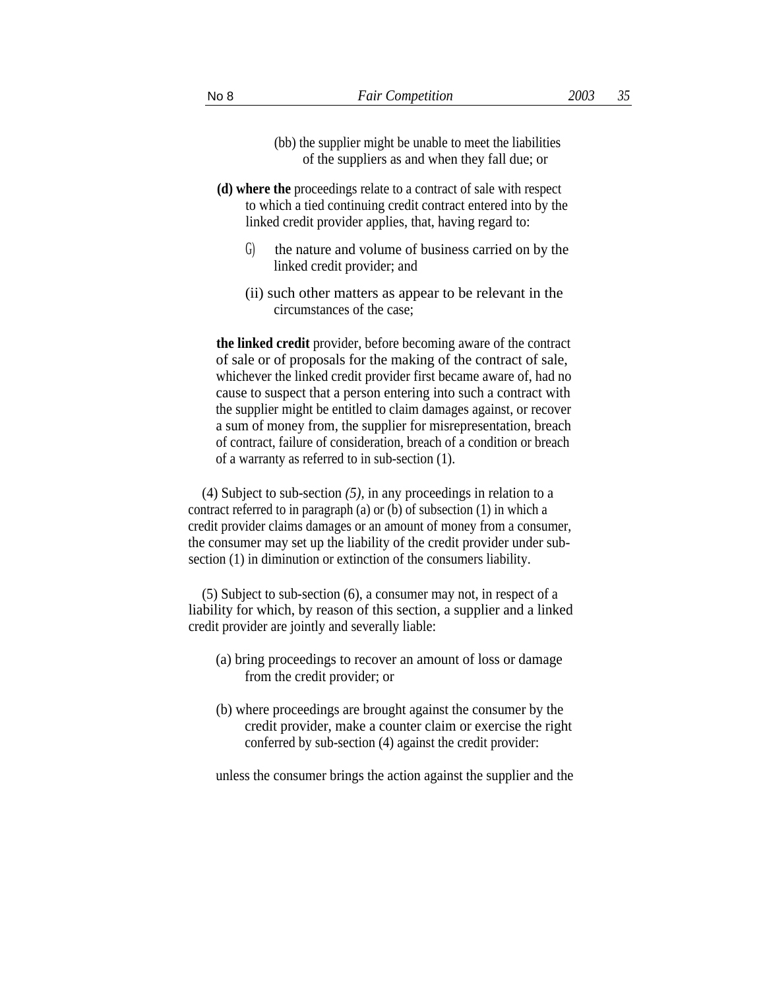- (bb) the supplier might be unable to meet the liabilities of the suppliers as and when they fall due; or
- **(d) where the** proceedings relate to a contract of sale with respect to which a tied continuing credit contract entered into by the linked credit provider applies, that, having regard to:
	- G) the nature and volume of business carried on by the linked credit provider; and
	- (ii) such other matters as appear to be relevant in the circumstances of the case;

**the linked credit** provider, before becoming aware of the contract of sale or of proposals for the making of the contract of sale, whichever the linked credit provider first became aware of, had no cause to suspect that a person entering into such a contract with the supplier might be entitled to claim damages against, or recover a sum of money from, the supplier for misrepresentation, breach of contract, failure of consideration, breach of a condition or breach of a warranty as referred to in sub-section (1).

(4) Subject to sub-section *(5),* in any proceedings in relation to a contract referred to in paragraph (a) or (b) of subsection (1) in which a credit provider claims damages or an amount of money from a consumer, the consumer may set up the liability of the credit provider under subsection (1) in diminution or extinction of the consumers liability.

(5) Subject to sub-section (6), a consumer may not, in respect of a liability for which, by reason of this section, a supplier and a linked credit provider are jointly and severally liable:

- (a) bring proceedings to recover an amount of loss or damage from the credit provider; or
- (b) where proceedings are brought against the consumer by the credit provider, make a counter claim or exercise the right conferred by sub-section (4) against the credit provider:

unless the consumer brings the action against the supplier and the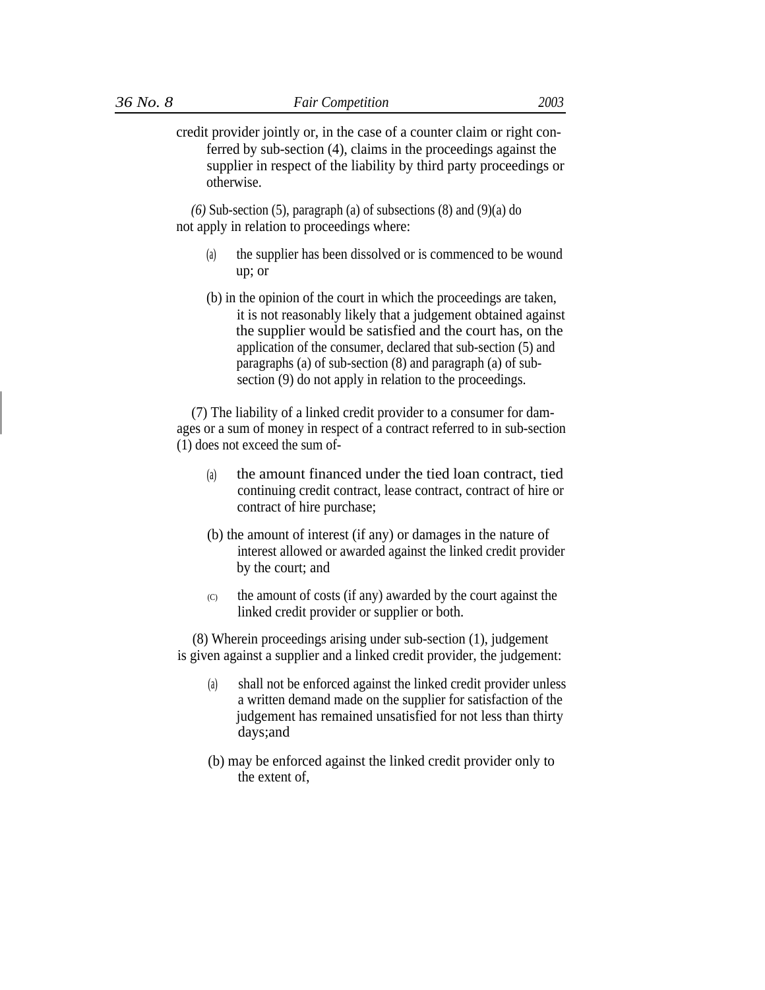credit provider jointly or, in the case of a counter claim or right conferred by sub-section (4), claims in the proceedings against the supplier in respect of the liability by third party proceedings or otherwise.

 $(6)$  Sub-section  $(5)$ , paragraph  $(a)$  of subsections  $(8)$  and  $(9)(a)$  do not apply in relation to proceedings where:

- (a) the supplier has been dissolved or is commenced to be wound up; or
- (b) in the opinion of the court in which the proceedings are taken, it is not reasonably likely that a judgement obtained against the supplier would be satisfied and the court has, on the application of the consumer, declared that sub-section (5) and paragraphs (a) of sub-section (8) and paragraph (a) of subsection (9) do not apply in relation to the proceedings.

(7) The liability of a linked credit provider to a consumer for damages or a sum of money in respect of a contract referred to in sub-section (1) does not exceed the sum of-

- the amount financed under the tied loan contract, tied continuing credit contract, lease contract, contract of hire or contract of hire purchase; (a)
- (b) the amount of interest (if any) or damages in the nature of interest allowed or awarded against the linked credit provider by the court; and
- the amount of costs (if any) awarded by the court against the linked credit provider or supplier or both.  $\sqrt{C}$

(8) Wherein proceedings arising under sub-section (1), judgement is given against a supplier and a linked credit provider, the judgement:

- (a) shall not be enforced against the linked credit provider unless a written demand made on the supplier for satisfaction of the judgement has remained unsatisfied for not less than thirty days;and
- (b) may be enforced against the linked credit provider only to the extent of,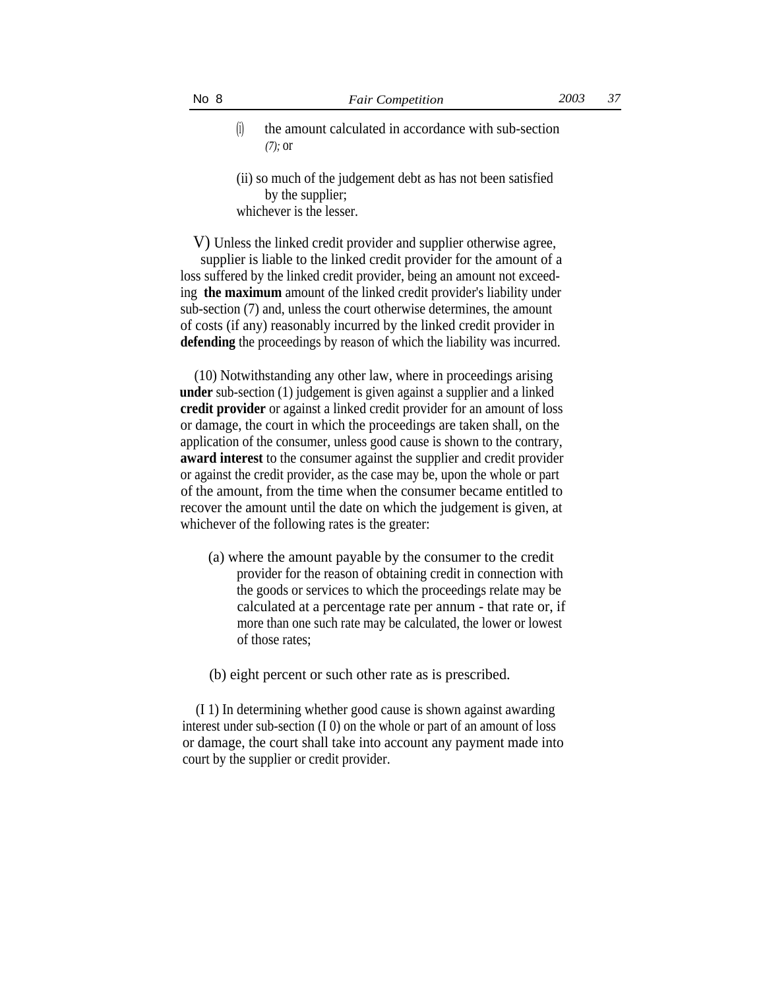- (i) the amount calculated in accordance with sub-section *(7);* or
- (ii) so much of the judgement debt as has not been satisfied by the supplier; whichever is the lesser.

V) Unless the linked credit provider and supplier otherwise agree,

supplier is liable to the linked credit provider for the amount of a loss suffered by the linked credit provider, being an amount not exceeding **the maximum** amount of the linked credit provider's liability under sub-section (7) and, unless the court otherwise determines, the amount of costs (if any) reasonably incurred by the linked credit provider in **defending** the proceedings by reason of which the liability was incurred.

(10) Notwithstanding any other law, where in proceedings arising **under** sub-section (1) judgement is given against a supplier and a linked **credit provider** or against a linked credit provider for an amount of loss or damage, the court in which the proceedings are taken shall, on the application of the consumer, unless good cause is shown to the contrary, **award interest** to the consumer against the supplier and credit provider or against the credit provider, as the case may be, upon the whole or part of the amount, from the time when the consumer became entitled to recover the amount until the date on which the judgement is given, at whichever of the following rates is the greater:

(a) where the amount payable by the consumer to the credit provider for the reason of obtaining credit in connection with the goods or services to which the proceedings relate may be calculated at a percentage rate per annum - that rate or, if more than one such rate may be calculated, the lower or lowest of those rates;

(b) eight percent or such other rate as is prescribed.

(I 1) In determining whether good cause is shown against awarding interest under sub-section (I 0) on the whole or part of an amount of loss or damage, the court shall take into account any payment made into court by the supplier or credit provider.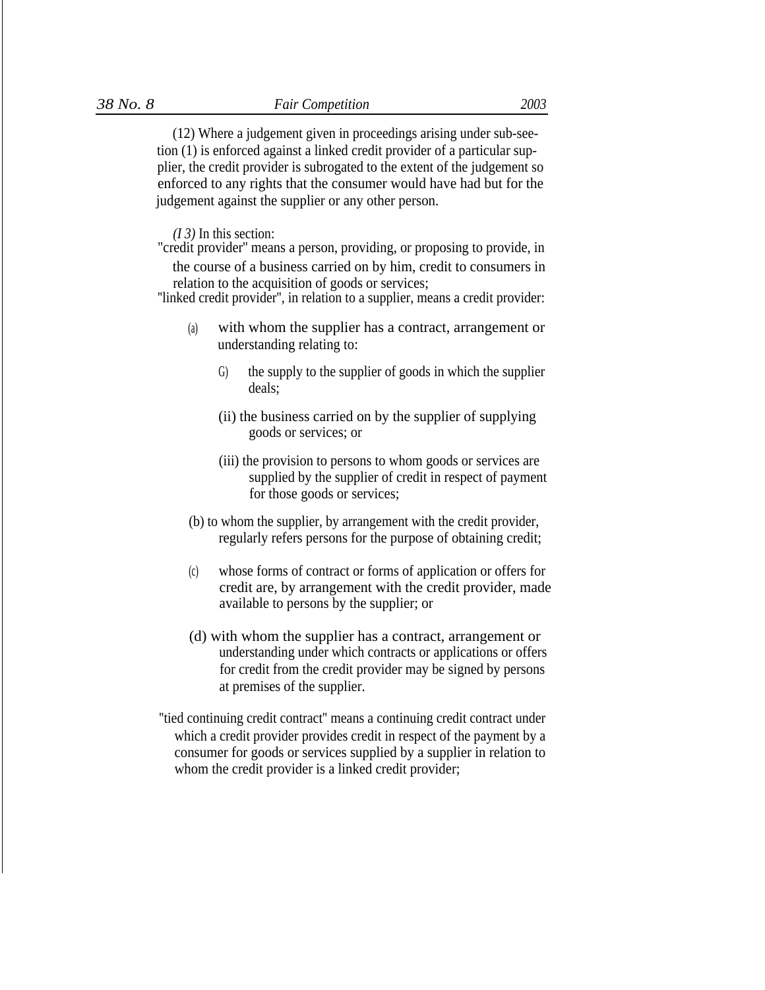(12) Where a judgement given in proceedings arising under sub-seetion (1) is enforced against a linked credit provider of a particular supplier, the credit provider is subrogated to the extent of the judgement so enforced to any rights that the consumer would have had but for the judgement against the supplier or any other person.

*(I 3)* In this section:

"credit provider'' means a person, providing, or proposing to provide, in the course of a business carried on by him, credit to consumers in

relation to the acquisition of goods or services;

''linked credit provider'', in relation to a supplier, means a credit provider:

- with whom the supplier has a contract, arrangement or understanding relating to: (a)
	- G) the supply to the supplier of goods in which the supplier deals;
	- (ii) the business carried on by the supplier of supplying goods or services; or
	- (iii) the provision to persons to whom goods or services are supplied by the supplier of credit in respect of payment for those goods or services;
- (b) to whom the supplier, by arrangement with the credit provider, regularly refers persons for the purpose of obtaining credit;
- (c) whose forms of contract or forms of application or offers for credit are, by arrangement with the credit provider, made available to persons by the supplier; or
- (d) with whom the supplier has a contract, arrangement or understanding under which contracts or applications or offers for credit from the credit provider may be signed by persons at premises of the supplier.
- ''tied continuing credit contract'' means a continuing credit contract under which a credit provider provides credit in respect of the payment by a consumer for goods or services supplied by a supplier in relation to whom the credit provider is a linked credit provider;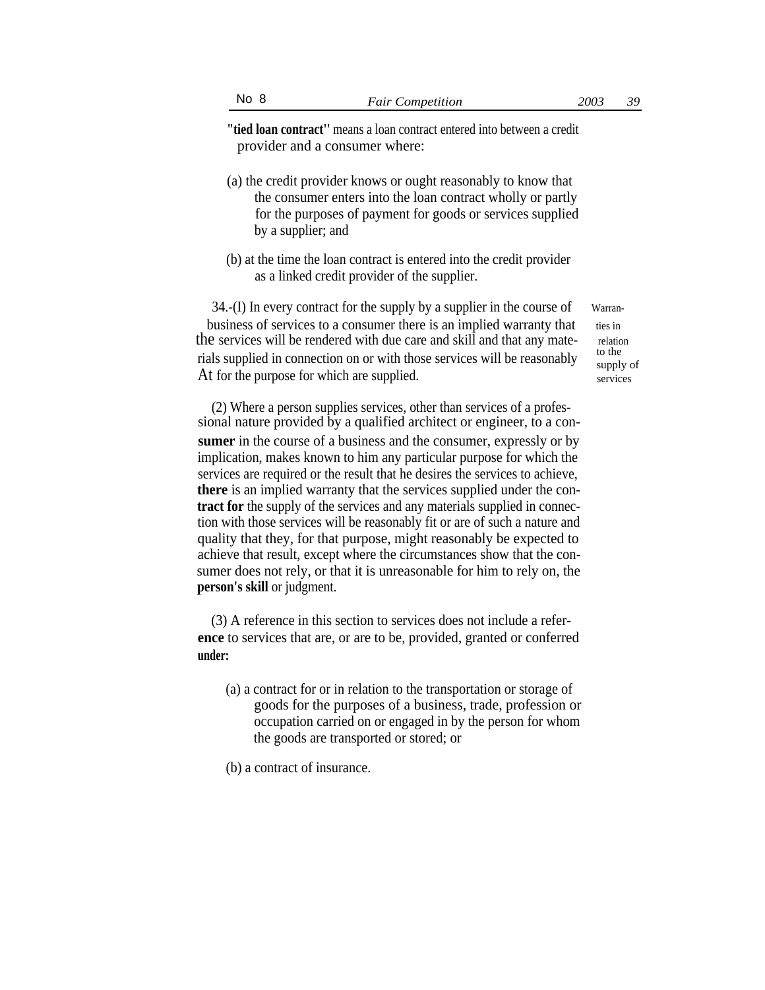**"tied loan contract''** means a loan contract entered into between a credit provider and a consumer where:

- (a) the credit provider knows or ought reasonably to know that the consumer enters into the loan contract wholly or partly for the purposes of payment for goods or services supplied by a supplier; and
- (b) at the time the loan contract is entered into the credit provider as a linked credit provider of the supplier.

 $34.$ -(I) In every contract for the supply by a supplier in the course of Warranbusiness of services to a consumer there is an implied warranty that ties in the services will be rendered with due care and skill and that any mate-<br>relation due to the rials supplied in connection on or with those services will be reasonably At for the purpose for which are supplied.

supply of services

(2) Where a person supplies services, other than services of a professional nature provided by a qualified architect or engineer, to a con**sumer** in the course of a business and the consumer, expressly or by implication, makes known to him any particular purpose for which the services are required or the result that he desires the services to achieve, **there** is an implied warranty that the services supplied under the con**tract for** the supply of the services and any materials supplied in connection with those services will be reasonably fit or are of such a nature and quality that they, for that purpose, might reasonably be expected to achieve that result, except where the circumstances show that the consumer does not rely, or that it is unreasonable for him to rely on, the **person's skill** or judgment.

(3) A reference in this section to services does not include a refer**ence** to services that are, or are to be, provided, granted or conferred **under:**

- (a) a contract for or in relation to the transportation or storage of goods for the purposes of a business, trade, profession or occupation carried on or engaged in by the person for whom the goods are transported or stored; or
- (b) a contract of insurance.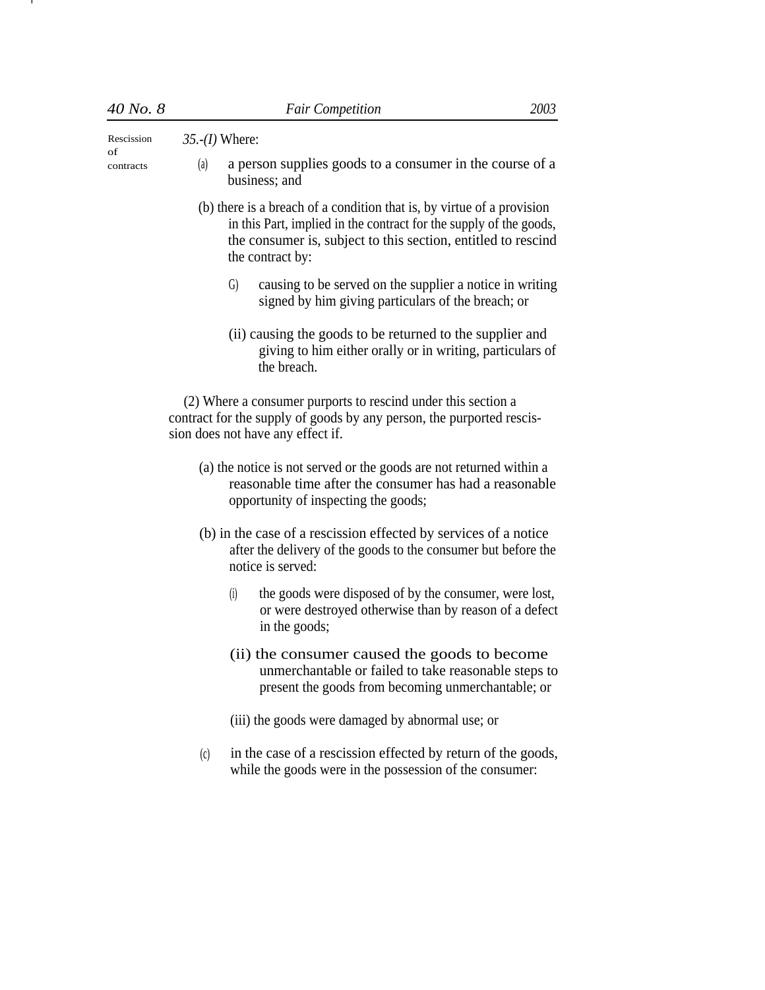I

Rescission *35.-(I)* Where:

of contracts

- (a) a person supplies goods to a consumer in the course of a business; and
- (b) there is a breach of a condition that is, by virtue of a provision in this Part, implied in the contract for the supply of the goods, the consumer is, subject to this section, entitled to rescind the contract by:
	- G) causing to be served on the supplier a notice in writing signed by him giving particulars of the breach; or
	- (ii) causing the goods to be returned to the supplier and giving to him either orally or in writing, particulars of the breach.

(2) Where a consumer purports to rescind under this section a contract for the supply of goods by any person, the purported rescission does not have any effect if.

- (a) the notice is not served or the goods are not returned within a reasonable time after the consumer has had a reasonable opportunity of inspecting the goods;
- (b) in the case of a rescission effected by services of a notice after the delivery of the goods to the consumer but before the notice is served:
	- (i) the goods were disposed of by the consumer, were lost, or were destroyed otherwise than by reason of a defect in the goods;
	- (ii) the consumer caused the goods to become unmerchantable or failed to take reasonable steps to present the goods from becoming unmerchantable; or
	- (iii) the goods were damaged by abnormal use; or
- in the case of a rescission effected by return of the goods, while the goods were in the possession of the consumer: (c)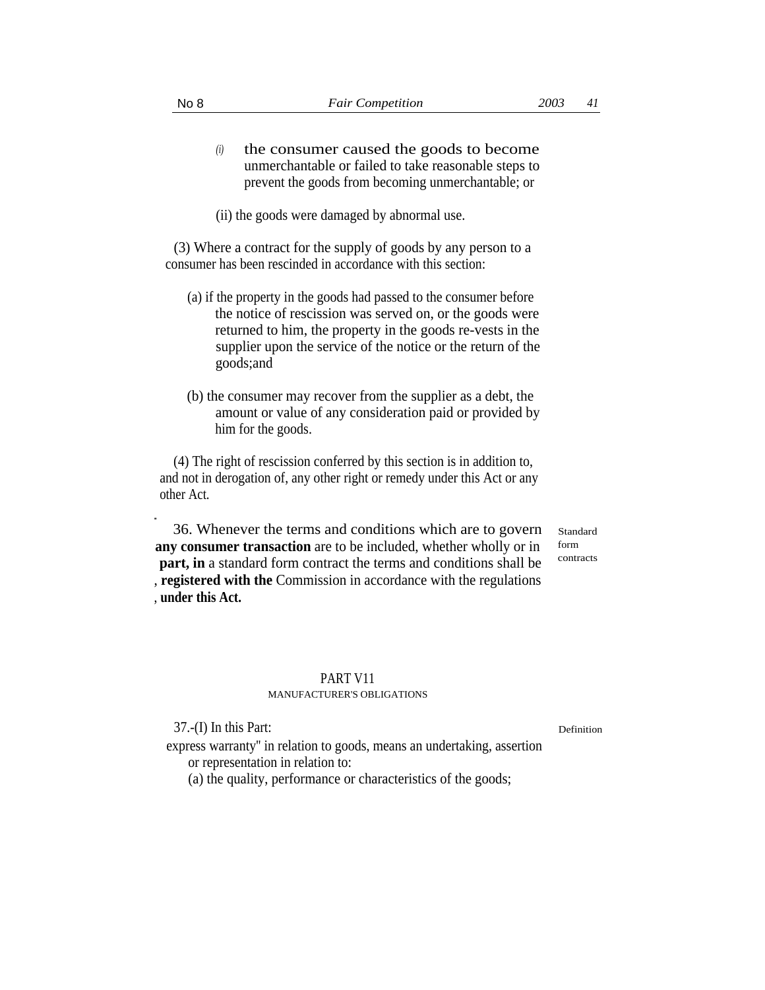- the consumer caused the goods to become unmerchantable or failed to take reasonable steps to prevent the goods from becoming unmerchantable; or *(i)*
- (ii) the goods were damaged by abnormal use.

(3) Where a contract for the supply of goods by any person to a consumer has been rescinded in accordance with this section:

- (a) if the property in the goods had passed to the consumer before the notice of rescission was served on, or the goods were returned to him, the property in the goods re-vests in the supplier upon the service of the notice or the return of the goods;and
- (b) the consumer may recover from the supplier as a debt, the amount or value of any consideration paid or provided by him for the goods.

(4) The right of rescission conferred by this section is in addition to, and not in derogation of, any other right or remedy under this Act or any other Act.

36. Whenever the terms and conditions which are to govern **any consumer transaction** are to be included, whether wholly or in **part, in** a standard form contract the terms and conditions shall be , **registered with the** Commission in accordance with the regulations , **under this Act.**

## PART V11

# MANUFACTURER'S OBLIGATIONS

37.-(I) In this Part: Definition

...

Standard form contracts

express warranty'' in relation to goods, means an undertaking, assertion or representation in relation to:

(a) the quality, performance or characteristics of the goods;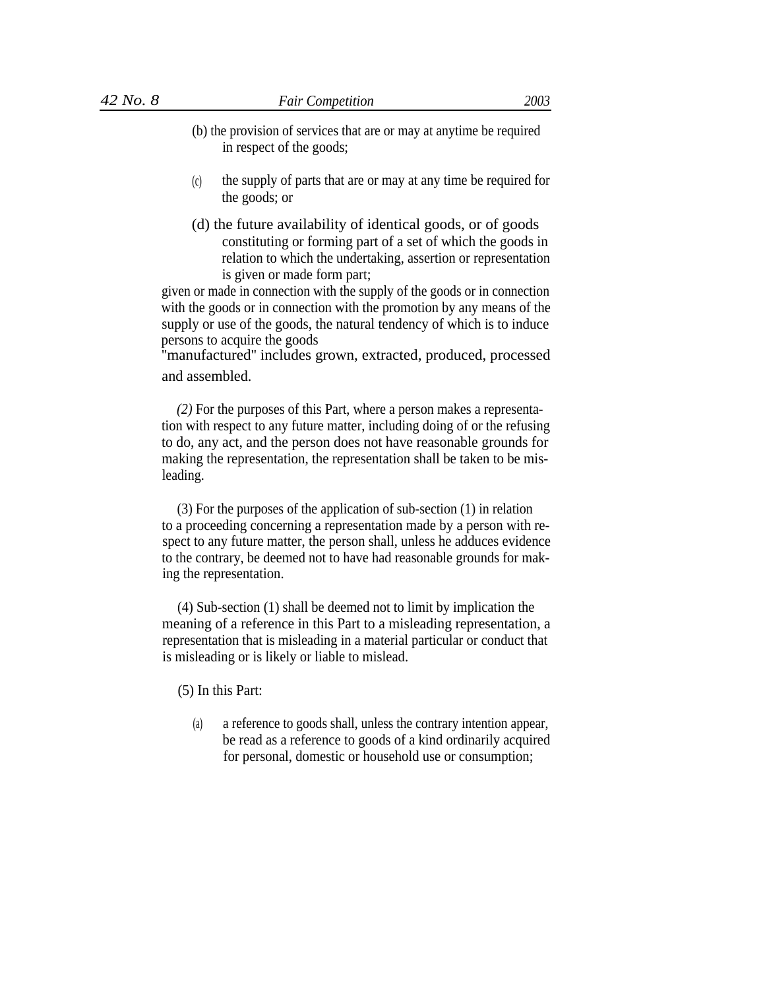- (b) the provision of services that are or may at anytime be required
	- in respect of the goods;
- the supply of parts that are or may at any time be required for the goods; or  $(c)$
- (d) the future availability of identical goods, or of goods constituting or forming part of a set of which the goods in relation to which the undertaking, assertion or representation is given or made form part;

given or made in connection with the supply of the goods or in connection with the goods or in connection with the promotion by any means of the supply or use of the goods, the natural tendency of which is to induce persons to acquire the goods

''manufactured'' includes grown, extracted, produced, processed and assembled.

*(2)* For the purposes of this Part, where a person makes a representation with respect to any future matter, including doing of or the refusing to do, any act, and the person does not have reasonable grounds for making the representation, the representation shall be taken to be misleading.

(3) For the purposes of the application of sub-section (1) in relation to a proceeding concerning a representation made by a person with respect to any future matter, the person shall, unless he adduces evidence to the contrary, be deemed not to have had reasonable grounds for making the representation.

(4) Sub-section (1) shall be deemed not to limit by implication the meaning of a reference in this Part to a misleading representation, a representation that is misleading in a material particular or conduct that is misleading or is likely or liable to mislead.

(5) In this Part:

(a) a reference to goods shall, unless the contrary intention appear, be read as a reference to goods of a kind ordinarily acquired for personal, domestic or household use or consumption;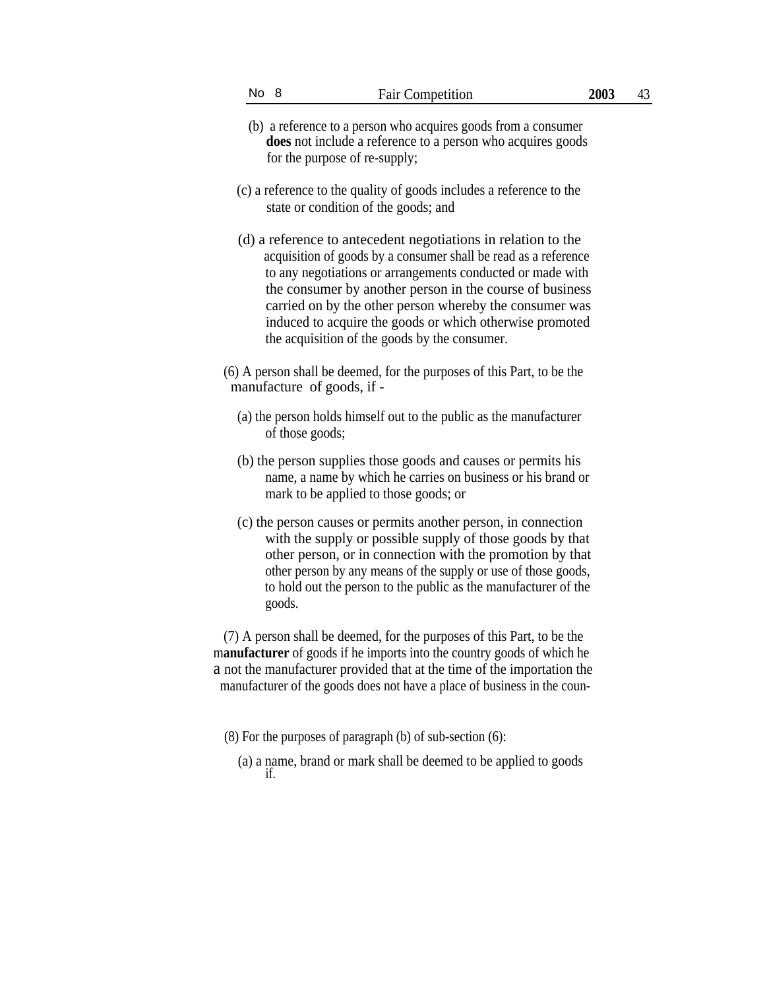- (b) a reference to a person who acquires goods from a consumer **does** not include a reference to a person who acquires goods for the purpose of re-supply;
- (c) a reference to the quality of goods includes a reference to the state or condition of the goods; and
- (d) a reference to antecedent negotiations in relation to the acquisition of goods by a consumer shall be read as a reference to any negotiations or arrangements conducted or made with the consumer by another person in the course of business carried on by the other person whereby the consumer was induced to acquire the goods or which otherwise promoted the acquisition of the goods by the consumer.
- (6) A person shall be deemed, for the purposes of this Part, to be the manufacture of goods, if -
	- (a) the person holds himself out to the public as the manufacturer of those goods;
	- (b) the person supplies those goods and causes or permits his name, a name by which he carries on business or his brand or mark to be applied to those goods; or
	- (c) the person causes or permits another person, in connection with the supply or possible supply of those goods by that other person, or in connection with the promotion by that other person by any means of the supply or use of those goods, to hold out the person to the public as the manufacturer of the goods.

(7) A person shall be deemed, for the purposes of this Part, to be the m**anufacturer** of goods if he imports into the country goods of which he a not the manufacturer provided that at the time of the importation the manufacturer of the goods does not have a place of business in the coun-

- (8) For the purposes of paragraph (b) of sub-section (6):
	- (a) a name, brand or mark shall be deemed to be applied to goods if.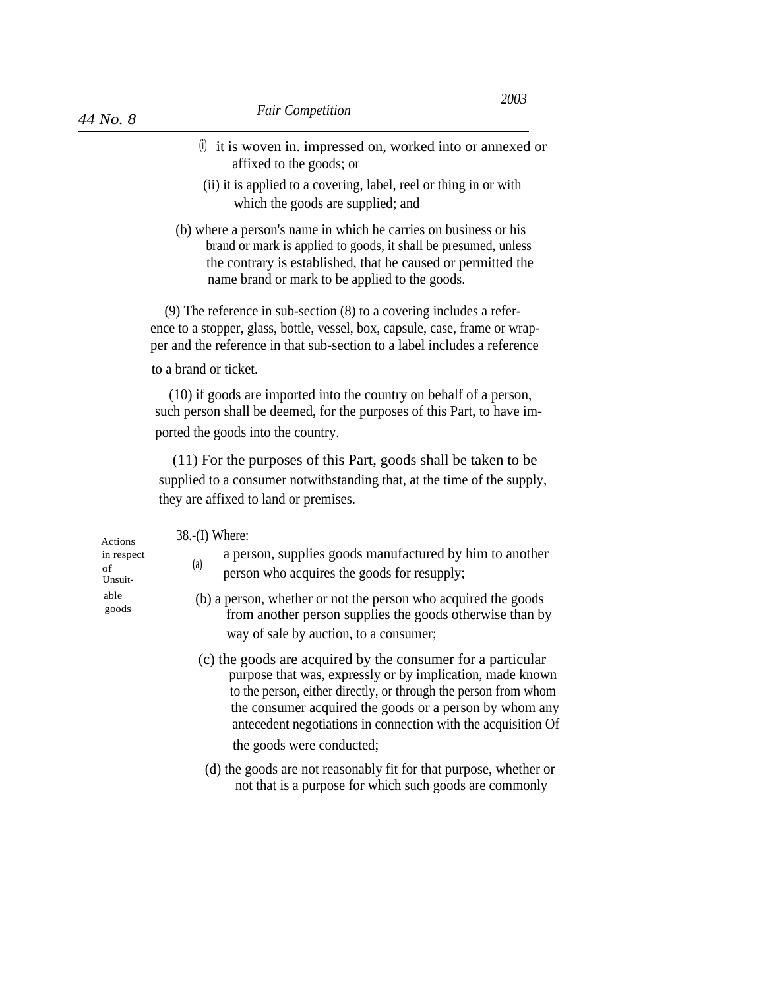- (i) it is woven in. impressed on, worked into or annexed or affixed to the goods; or
- (ii) it is applied to a covering, label, reel or thing in or with which the goods are supplied; and
- (b) where a person's name in which he carries on business or his brand or mark is applied to goods, it shall be presumed, unless the contrary is established, that he caused or permitted the name brand or mark to be applied to the goods.

(9) The reference in sub-section (8) to a covering includes a reference to a stopper, glass, bottle, vessel, box, capsule, case, frame or wrapper and the reference in that sub-section to a label includes a reference

# to a brand or ticket.

(10) if goods are imported into the country on behalf of a person, such person shall be deemed, for the purposes of this Part, to have imported the goods into the country.

(11) For the purposes of this Part, goods shall be taken to be supplied to a consumer notwithstanding that, at the time of the supply, they are affixed to land or premises.

Actions 38.-(I) Where:

- a person, supplies goods manufactured by him to another person who acquires the goods for resupply;
- $\epsilon_{\text{goods}}$  (b) a person, whether or not the person who acquired the goods from another person supplies the goods otherwise than by way of sale by auction, to a consumer;
	- (c) the goods are acquired by the consumer for a particular purpose that was, expressly or by implication, made known to the person, either directly, or through the person from whom the consumer acquired the goods or a person by whom any antecedent negotiations in connection with the acquisition Of the goods were conducted;
	- (d) the goods are not reasonably fit for that purpose, whether or not that is a purpose for which such goods are commonly

in respect  $\mathbf{f}$  (a) Unsuit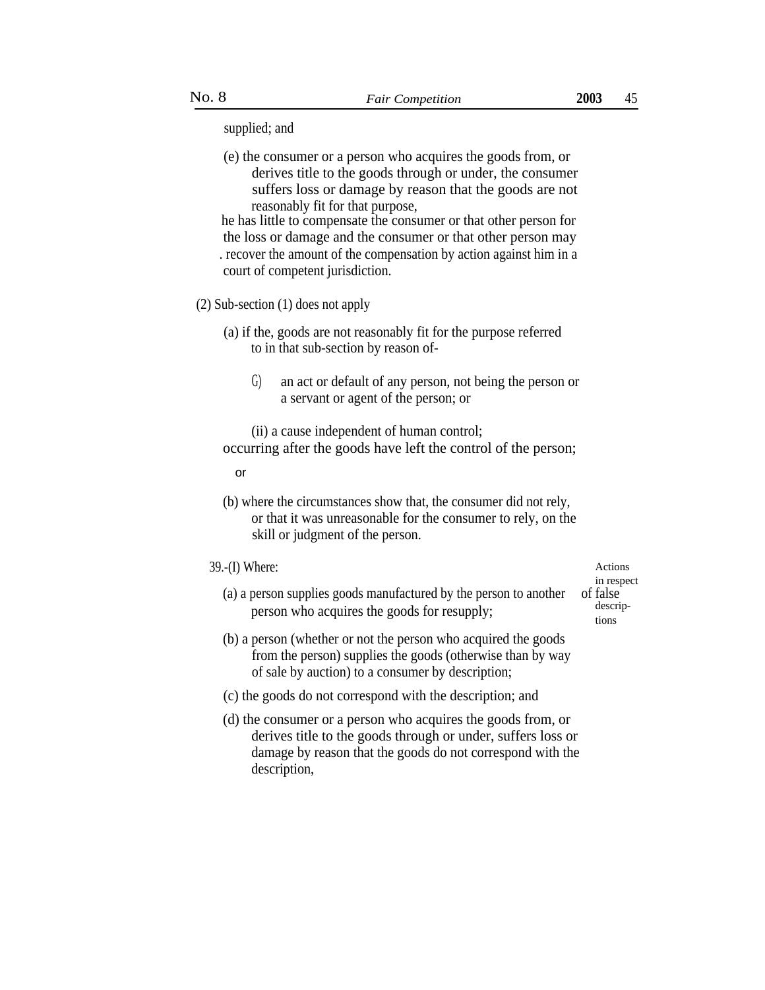supplied; and

(e) the consumer or a person who acquires the goods from, or derives title to the goods through or under, the consumer suffers loss or damage by reason that the goods are not reasonably fit for that purpose,

he has little to compensate the consumer or that other person for the loss or damage and the consumer or that other person may . recover the amount of the compensation by action against him in a court of competent jurisdiction.

### (2) Sub-section (1) does not apply

(a) if the, goods are not reasonably fit for the purpose referred to in that sub-section by reason of-

G) an act or default of any person, not being the person or a servant or agent of the person; or

(ii) a cause independent of human control; occurring after the goods have left the control of the person;

or

(b) where the circumstances show that, the consumer did not rely, or that it was unreasonable for the consumer to rely, on the skill or judgment of the person.

## 39.-(I) Where: Actions

(a) a person supplies goods manufactured by the person to another of false<br>negative person who acquires the goods for resumply. person who acquires the goods for resupply;

(b) a person (whether or not the person who acquired the goods from the person) supplies the goods (otherwise than by way of sale by auction) to a consumer by description;

- (c) the goods do not correspond with the description; and
- (d) the consumer or a person who acquires the goods from, or derives title to the goods through or under, suffers loss or damage by reason that the goods do not correspond with the description,

in respect tions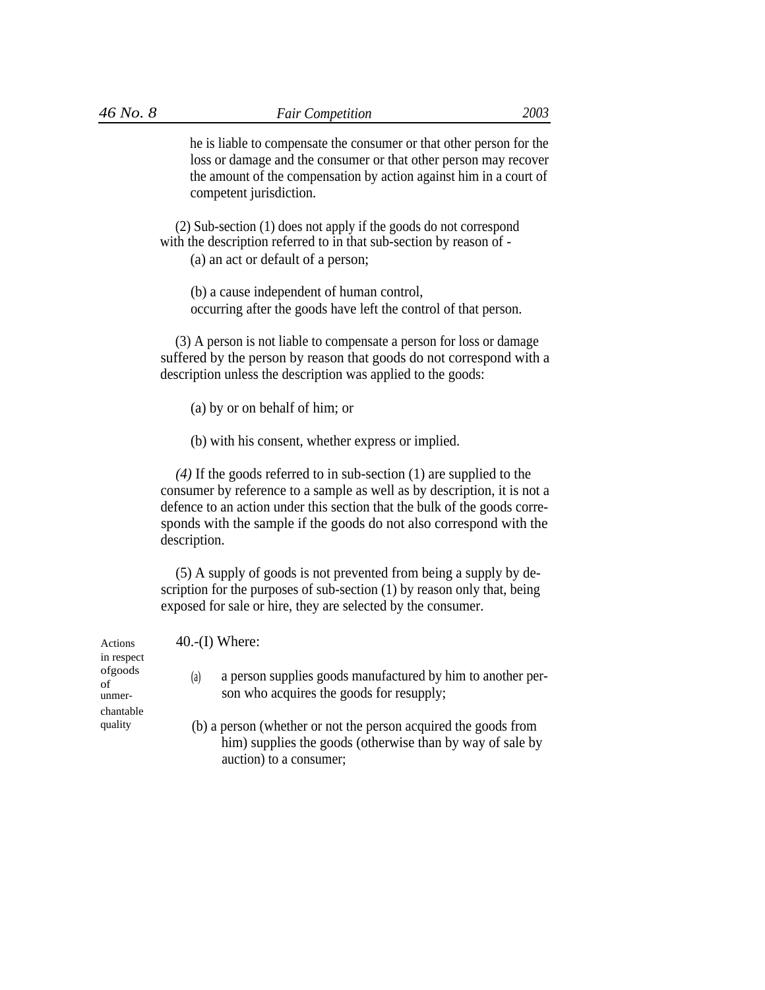he is liable to compensate the consumer or that other person for the loss or damage and the consumer or that other person may recover the amount of the compensation by action against him in a court of competent jurisdiction.

(2) Sub-section (1) does not apply if the goods do not correspond with the description referred to in that sub-section by reason of -

(a) an act or default of a person;

(b) a cause independent of human control, occurring after the goods have left the control of that person.

(3) A person is not liable to compensate a person for loss or damage suffered by the person by reason that goods do not correspond with a description unless the description was applied to the goods:

- (a) by or on behalf of him; or
- (b) with his consent, whether express or implied.

*(4)* If the goods referred to in sub-section (1) are supplied to the consumer by reference to a sample as well as by description, it is not a defence to an action under this section that the bulk of the goods corresponds with the sample if the goods do not also correspond with the description.

(5) A supply of goods is not prevented from being a supply by description for the purposes of sub-section (1) by reason only that, being exposed for sale or hire, they are selected by the consumer.

| Actions                               | $40-(I)$ Where:                                                                                                                                         |
|---------------------------------------|---------------------------------------------------------------------------------------------------------------------------------------------------------|
| in respect<br>ofgoods<br>of<br>unmer- | a person supplies goods manufactured by him to another per-<br>(a)<br>son who acquires the goods for resupply;                                          |
| chantable<br>quality                  | (b) a person (whether or not the person acquired the goods from<br>him) supplies the goods (otherwise than by way of sale by<br>auction) to a consumer; |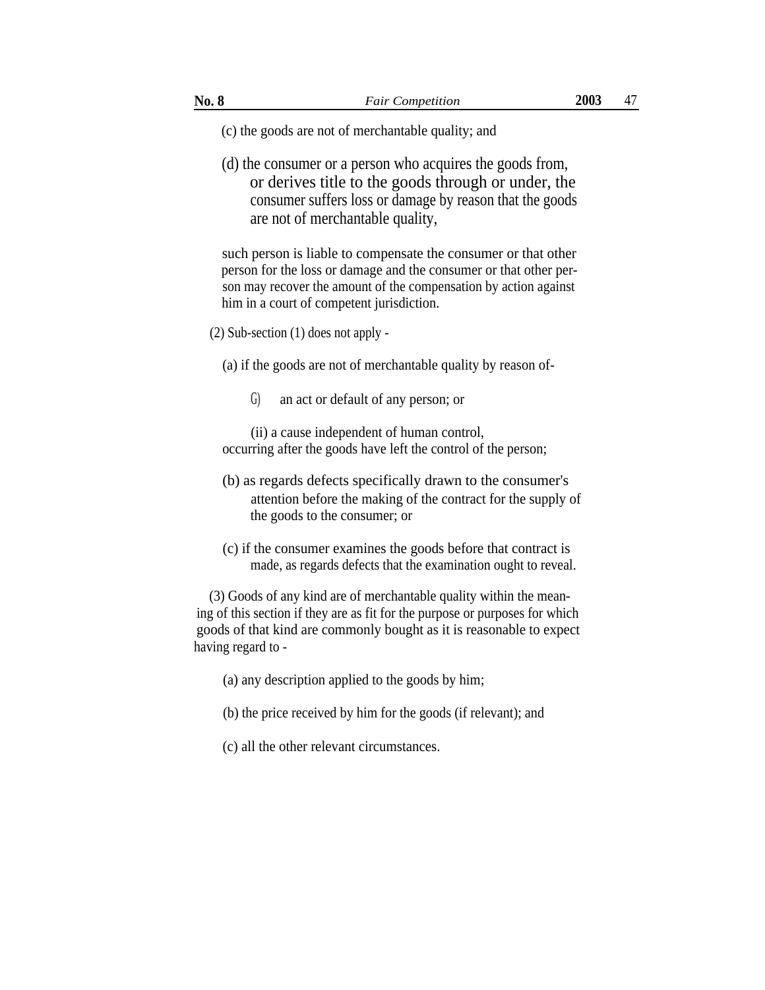- (c) the goods are not of merchantable quality; and
- (d) the consumer or a person who acquires the goods from, or derives title to the goods through or under, the consumer suffers loss or damage by reason that the goods are not of merchantable quality,

such person is liable to compensate the consumer or that other person for the loss or damage and the consumer or that other person may recover the amount of the compensation by action against him in a court of competent jurisdiction.

(2) Sub-section (1) does not apply -

(a) if the goods are not of merchantable quality by reason of-

G) an act or default of any person; or

(ii) a cause independent of human control, occurring after the goods have left the control of the person;

- (b) as regards defects specifically drawn to the consumer's attention before the making of the contract for the supply of the goods to the consumer; or
- (c) if the consumer examines the goods before that contract is made, as regards defects that the examination ought to reveal.

(3) Goods of any kind are of merchantable quality within the meaning of this section if they are as fit for the purpose or purposes for which goods of that kind are commonly bought as it is reasonable to expect having regard to -

- (a) any description applied to the goods by him;
- (b) the price received by him for the goods (if relevant); and
- (c) all the other relevant circumstances.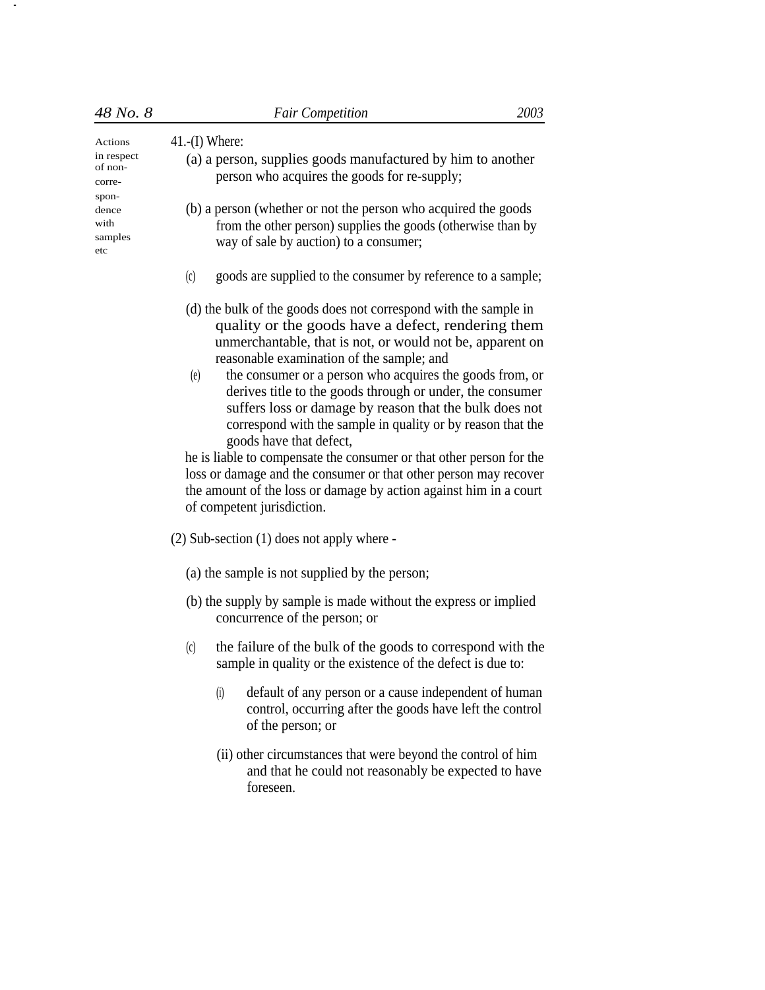| 48 No. 8                                   | <b>Fair Competition</b>                                                                                                                                                  | 2003 |  |
|--------------------------------------------|--------------------------------------------------------------------------------------------------------------------------------------------------------------------------|------|--|
| Actions<br>in respect<br>of non-<br>corre- | $41-(I)$ Where:<br>(a) a person, supplies goods manufactured by him to another<br>person who acquires the goods for re-supply;                                           |      |  |
| spon-<br>dence<br>with<br>samples<br>etc   | (b) a person (whether or not the person who acquired the goods<br>from the other person) supplies the goods (otherwise than by<br>way of sale by auction) to a consumer; |      |  |
|                                            | goods are supplied to the consumer by reference to a sample;<br>(c)                                                                                                      |      |  |
|                                            | (d) the bulk of the goods does not correspond with the sample in                                                                                                         |      |  |

-

- quality or the goods have a defect, rendering them unmerchantable, that is not, or would not be, apparent on reasonable examination of the sample; and
- the consumer or a person who acquires the goods from, or derives title to the goods through or under, the consumer suffers loss or damage by reason that the bulk does not correspond with the sample in quality or by reason that the (e) goods have that defect,

he is liable to compensate the consumer or that other person for the loss or damage and the consumer or that other person may recover the amount of the loss or damage by action against him in a court of competent jurisdiction.

- (2) Sub-section (1) does not apply where
	- (a) the sample is not supplied by the person;
	- (b) the supply by sample is made without the express or implied concurrence of the person; or
	- the failure of the bulk of the goods to correspond with the sample in quality or the existence of the defect is due to: (c)
		- (i) default of any person or a cause independent of human control, occurring after the goods have left the control of the person; or
		- (ii) other circumstances that were beyond the control of him and that he could not reasonably be expected to have foreseen.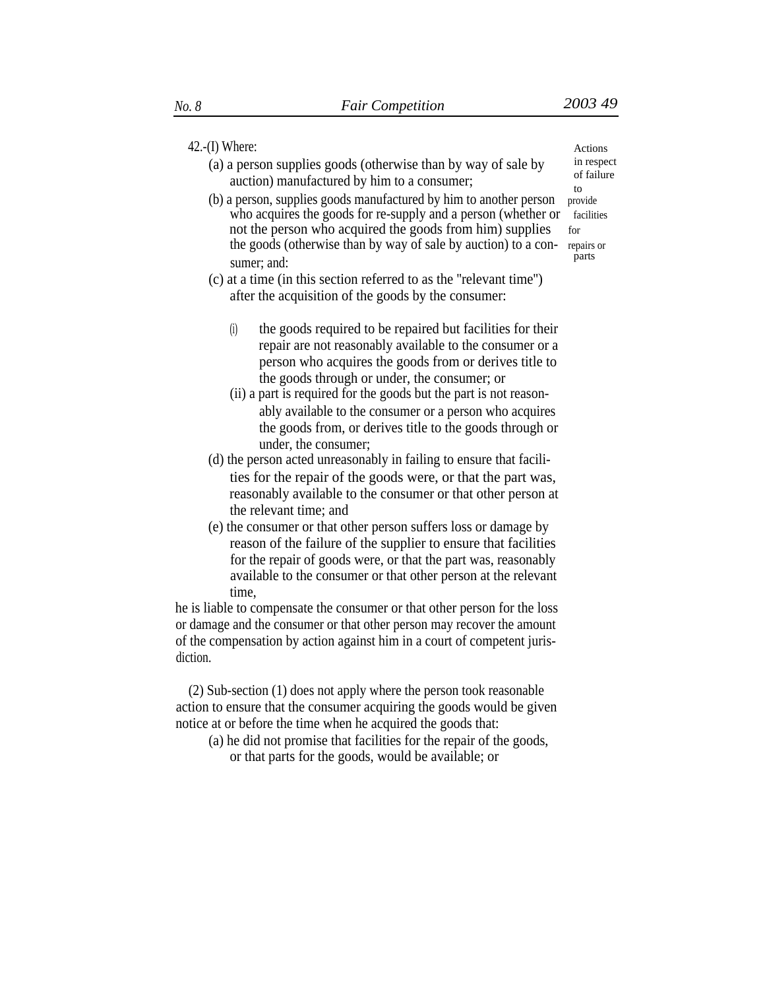# 42.-(I) Where: Actions

- (a) a person supplies goods (otherwise than by way of sale by  $\frac{1}{\text{in respect}}$  of failure auction) manufactured by him to a consumer:
- (b) a person, supplies goods manufactured by him to another person who acquires the goods for re-supply and a person (whether or facilities not the person who acquired the goods from him) supplies for the goods (otherwise than by way of sale by auction) to a con- repairs or parts sumer; and:
- (c) at a time (in this section referred to as the ''relevant time'') after the acquisition of the goods by the consumer:
	- (i) the goods required to be repaired but facilities for their repair are not reasonably available to the consumer or a person who acquires the goods from or derives title to the goods through or under, the consumer; or
	- (ii) a part is required for the goods but the part is not reasonably available to the consumer or a person who acquires the goods from, or derives title to the goods through or under, the consumer;
- (d) the person acted unreasonably in failing to ensure that facilities for the repair of the goods were, or that the part was, reasonably available to the consumer or that other person at the relevant time; and
- (e) the consumer or that other person suffers loss or damage by reason of the failure of the supplier to ensure that facilities for the repair of goods were, or that the part was, reasonably available to the consumer or that other person at the relevant time,

he is liable to compensate the consumer or that other person for the loss or damage and the consumer or that other person may recover the amount of the compensation by action against him in a court of competent jurisdiction.

(2) Sub-section (1) does not apply where the person took reasonable action to ensure that the consumer acquiring the goods would be given notice at or before the time when he acquired the goods that:

(a) he did not promise that facilities for the repair of the goods, or that parts for the goods, would be available; or

to<br>provide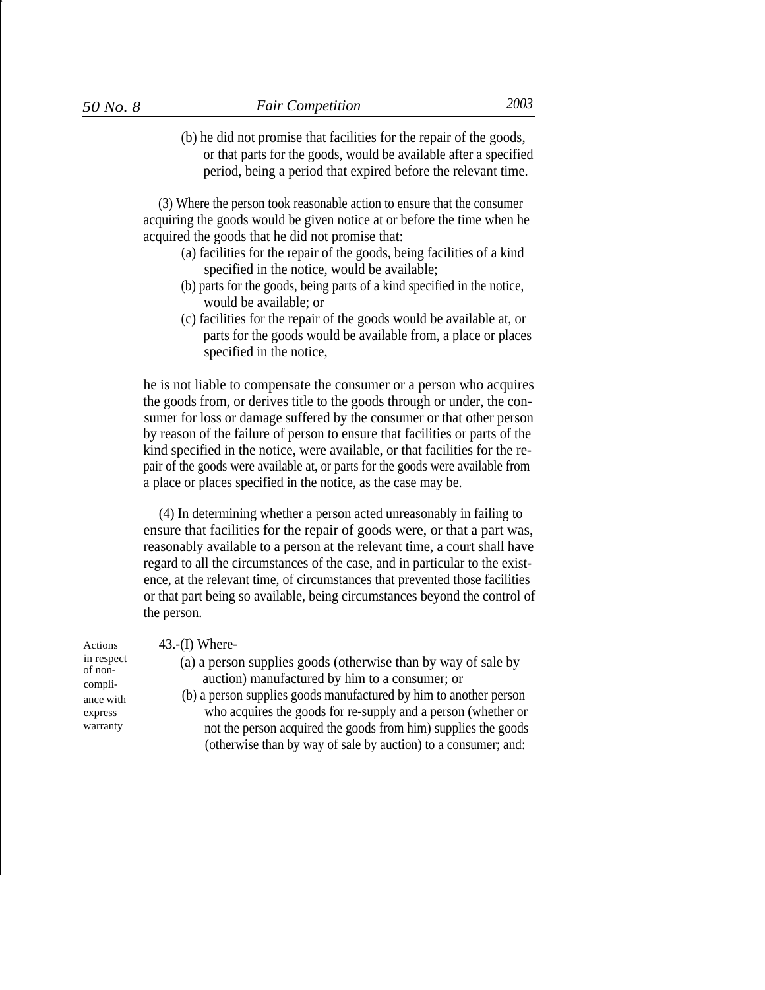I

(b) he did not promise that facilities for the repair of the goods, or that parts for the goods, would be available after a specified period, being a period that expired before the relevant time.

(3) Where the person took reasonable action to ensure that the consumer acquiring the goods would be given notice at or before the time when he acquired the goods that he did not promise that:

- (a) facilities for the repair of the goods, being facilities of a kind specified in the notice, would be available;
- (b) parts for the goods, being parts of a kind specified in the notice, would be available; or
- (c) facilities for the repair of the goods would be available at, or parts for the goods would be available from, a place or places specified in the notice,

he is not liable to compensate the consumer or a person who acquires the goods from, or derives title to the goods through or under, the consumer for loss or damage suffered by the consumer or that other person by reason of the failure of person to ensure that facilities or parts of the kind specified in the notice, were available, or that facilities for the repair of the goods were available at, or parts for the goods were available from a place or places specified in the notice, as the case may be.

(4) In determining whether a person acted unreasonably in failing to ensure that facilities for the repair of goods were, or that a part was, reasonably available to a person at the relevant time, a court shall have regard to all the circumstances of the case, and in particular to the existence, at the relevant time, of circumstances that prevented those facilities or that part being so available, being circumstances beyond the control of the person.

express warranty

- Actions 43.-(I) Where-
- in respect (a) a person supplies goods (otherwise than by way of sale by of non-<br>compli-<br>auction) manufactured by him to a consumer; or
- ance with (b) a person supplies goods manufactured by him to another person who acquires the goods for re-supply and a person (whether or not the person acquired the goods from him) supplies the goods (otherwise than by way of sale by auction) to a consumer; and: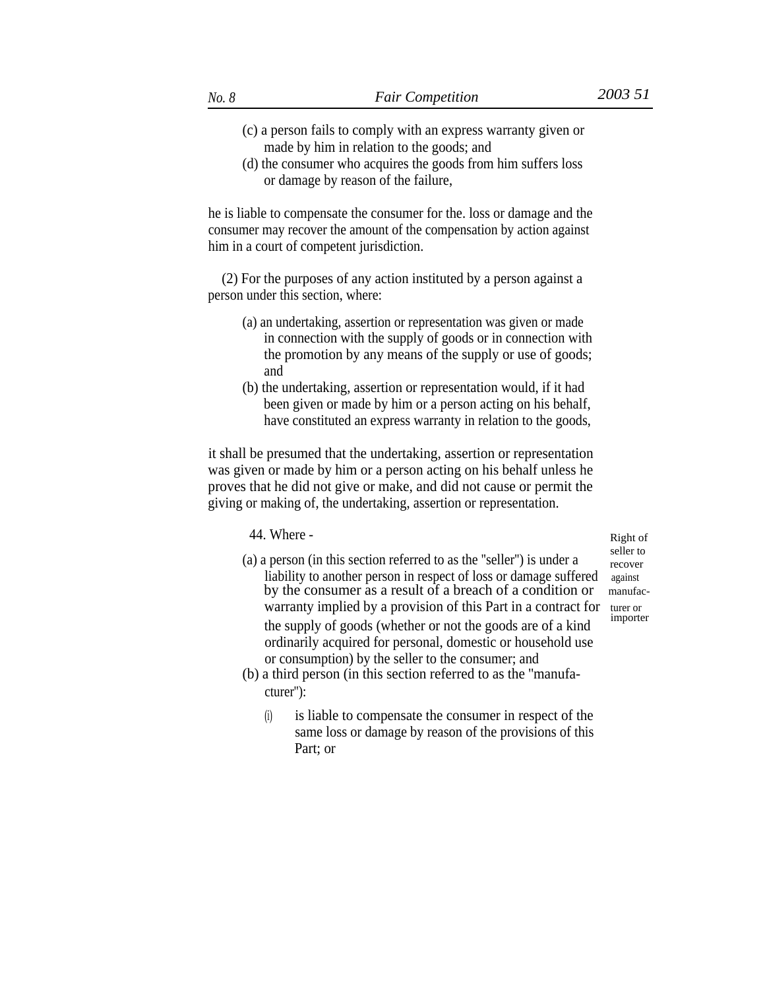- (c) a person fails to comply with an express warranty given or made by him in relation to the goods; and
- (d) the consumer who acquires the goods from him suffers loss or damage by reason of the failure,

he is liable to compensate the consumer for the. loss or damage and the consumer may recover the amount of the compensation by action against him in a court of competent jurisdiction.

(2) For the purposes of any action instituted by a person against a person under this section, where:

- (a) an undertaking, assertion or representation was given or made in connection with the supply of goods or in connection with the promotion by any means of the supply or use of goods; and
- (b) the undertaking, assertion or representation would, if it had been given or made by him or a person acting on his behalf, have constituted an express warranty in relation to the goods,

it shall be presumed that the undertaking, assertion or representation was given or made by him or a person acting on his behalf unless he proves that he did not give or make, and did not cause or permit the giving or making of, the undertaking, assertion or representation.

44. Where - Right of

- (a) a person (in this section referred to as the "seller") is under a  $\frac{\text{select to}}{\text{recover}}$ liability to another person in respect of loss or damage suffered against by the consumer as a result of a breach of a condition or manufacwarranty implied by a provision of this Part in a contract for turer or  $d$ the supply of goods (whether or not the goods are of a kind ordinarily acquired for personal, domestic or household use or consumption) by the seller to the consumer; and
- (b) a third person (in this section referred to as the ''manufacturer''):
	- is liable to compensate the consumer in respect of the same loss or damage by reason of the provisions of this Part; or (i)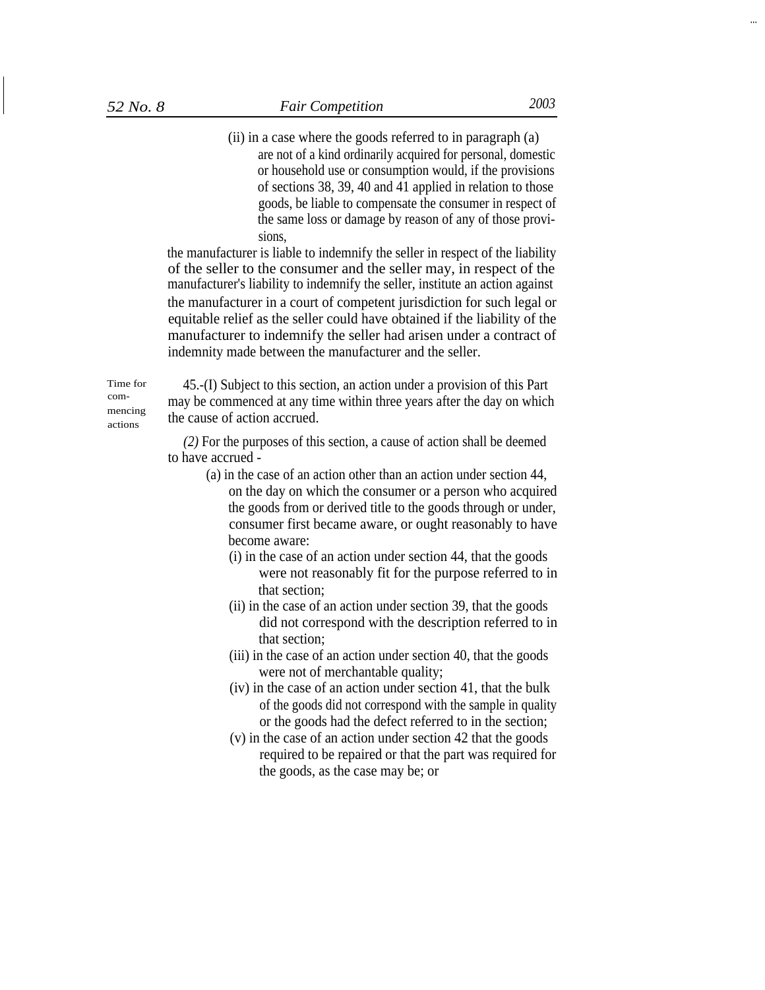(ii) in a case where the goods referred to in paragraph (a) are not of a kind ordinarily acquired for personal, domestic or household use or consumption would, if the provisions of sections 38, 39, 40 and 41 applied in relation to those goods, be liable to compensate the consumer in respect of the same loss or damage by reason of any of those provisions,

the manufacturer is liable to indemnify the seller in respect of the liability of the seller to the consumer and the seller may, in respect of the manufacturer's liability to indemnify the seller, institute an action against the manufacturer in a court of competent jurisdiction for such legal or equitable relief as the seller could have obtained if the liability of the manufacturer to indemnify the seller had arisen under a contract of indemnity made between the manufacturer and the seller.

Time for commencing actions

45.-(I) Subject to this section, an action under a provision of this Part may be commenced at any time within three years after the day on which the cause of action accrued.

*(2)* For the purposes of this section, a cause of action shall be deemed to have accrued -

- (a) in the case of an action other than an action under section 44, on the day on which the consumer or a person who acquired the goods from or derived title to the goods through or under, consumer first became aware, or ought reasonably to have become aware:
	- (i) in the case of an action under section 44, that the goods were not reasonably fit for the purpose referred to in that section;
	- (ii) in the case of an action under section 39, that the goods did not correspond with the description referred to in that section;
	- (iii) in the case of an action under section 40, that the goods were not of merchantable quality;
	- (iv) in the case of an action under section 41, that the bulk of the goods did not correspond with the sample in quality or the goods had the defect referred to in the section;
	- (v) in the case of an action under section 42 that the goods required to be repaired or that the part was required for the goods, as the case may be; or

...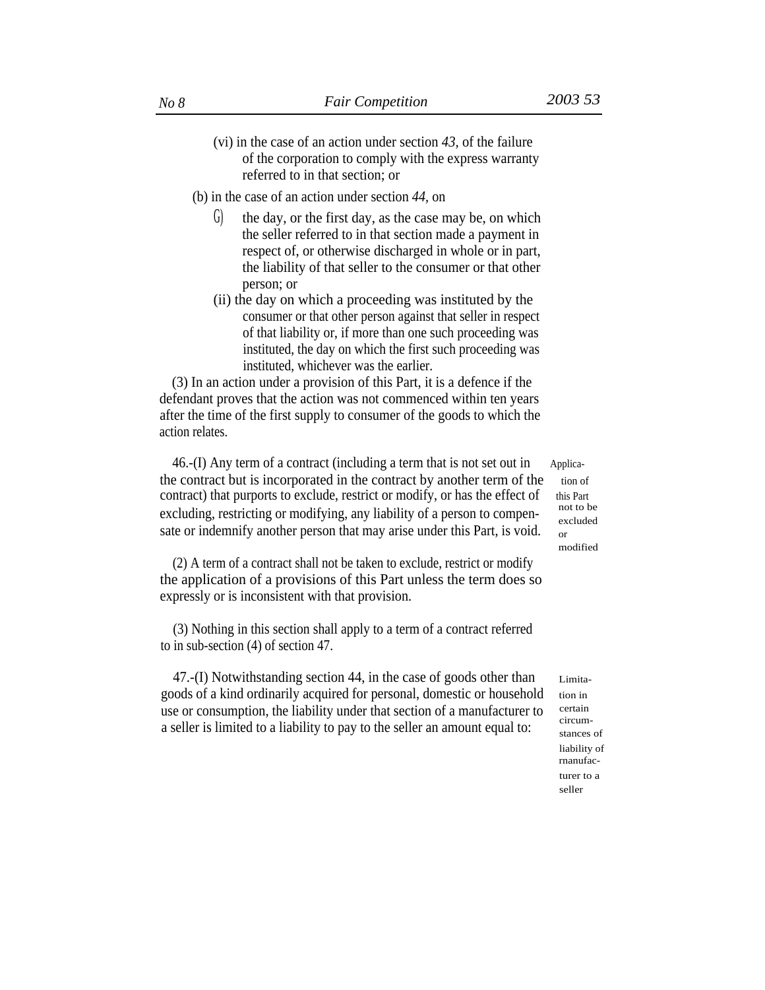- (vi) in the case of an action under section *43,* of the failure of the corporation to comply with the express warranty referred to in that section; or
- (b) in the case of an action under section *44,* on
	- $G$  the day, or the first day, as the case may be, on which the seller referred to in that section made a payment in respect of, or otherwise discharged in whole or in part, the liability of that seller to the consumer or that other person; or
	- (ii) the day on which a proceeding was instituted by the consumer or that other person against that seller in respect of that liability or, if more than one such proceeding was instituted, the day on which the first such proceeding was instituted, whichever was the earlier.

(3) In an action under a provision of this Part, it is a defence if the defendant proves that the action was not commenced within ten years after the time of the first supply to consumer of the goods to which the action relates.

 $46-(I)$  Any term of a contract (including a term that is not set out in Applicathe contract but is incorporated in the contract by another term of the tion of contract) that purports to exclude, restrict or modify, or has the effect of this Part excluding, restricting or modifying, any liability of a person to compensate or indemnify another person that may arise under this Part, is void.

(2) A term of a contract shall not be taken to exclude, restrict or modify the application of a provisions of this Part unless the term does so expressly or is inconsistent with that provision.

(3) Nothing in this section shall apply to a term of a contract referred to in sub-section (4) of section 47.

47.-(I) Notwithstanding section 44, in the case of goods other than goods of a kind ordinarily acquired for personal, domestic or household use or consumption, the liability under that section of a manufacturer to a seller is limited to a liability to pay to the seller an amount equal to:

excluded or modified

Limitation in certain circumstances of liability of rnanufacturer to a seller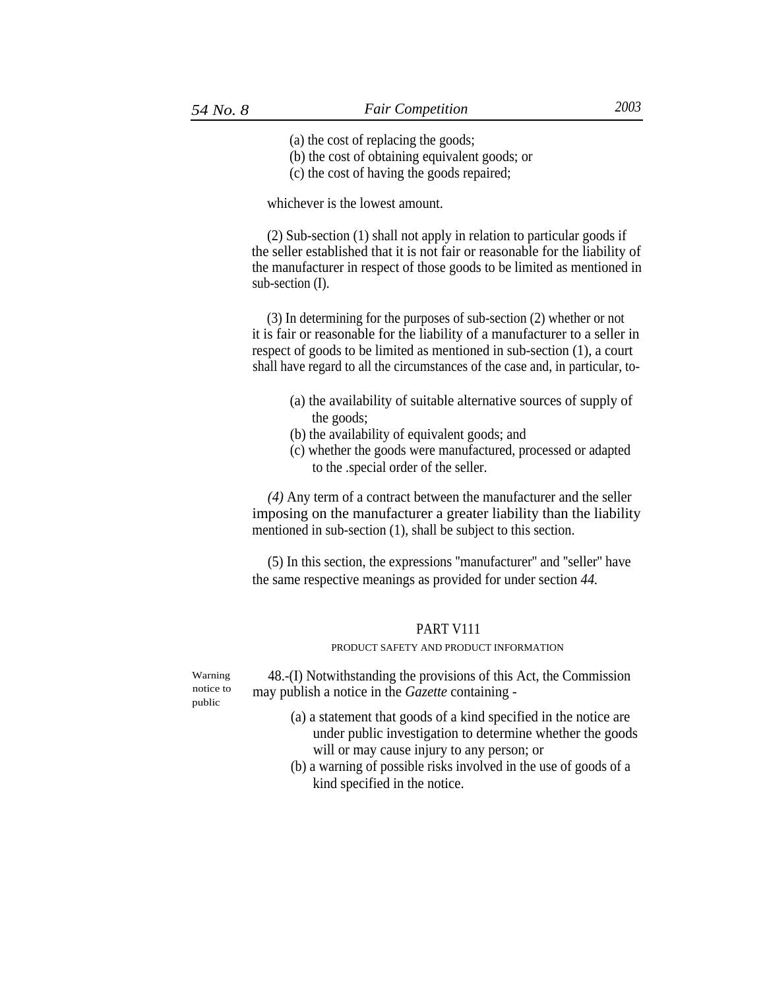(a) the cost of replacing the goods;

(b) the cost of obtaining equivalent goods; or

(c) the cost of having the goods repaired;

whichever is the lowest amount.

(2) Sub-section (1) shall not apply in relation to particular goods if the seller established that it is not fair or reasonable for the liability of the manufacturer in respect of those goods to be limited as mentioned in sub-section (I).

(3) In determining for the purposes of sub-section (2) whether or not it is fair or reasonable for the liability of a manufacturer to a seller in respect of goods to be limited as mentioned in sub-section (1), a court shall have regard to all the circumstances of the case and, in particular, to-

- (a) the availability of suitable alternative sources of supply of the goods;
- (b) the availability of equivalent goods; and
- (c) whether the goods were manufactured, processed or adapted to the .special order of the seller.

*(4)* Any term of a contract between the manufacturer and the seller imposing on the manufacturer a greater liability than the liability mentioned in sub-section (1), shall be subject to this section.

(5) In this section, the expressions ''manufacturer'' and ''seller'' have the same respective meanings as provided for under section *44.*

# PART V111

### PRODUCT SAFETY AND PRODUCT INFORMATION

Warning notice to public

48.-(I) Notwithstanding the provisions of this Act, the Commission may publish a notice in the *Gazette* containing -

- (a) a statement that goods of a kind specified in the notice are under public investigation to determine whether the goods will or may cause injury to any person; or
- (b) a warning of possible risks involved in the use of goods of a kind specified in the notice.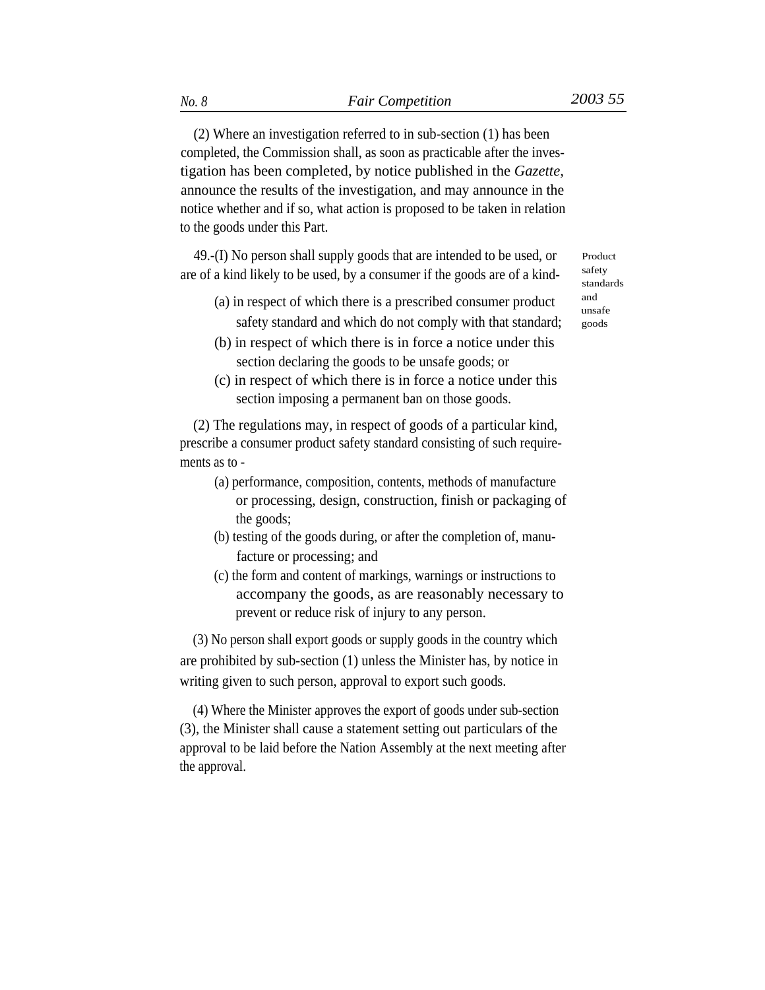(2) Where an investigation referred to in sub-section (1) has been completed, the Commission shall, as soon as practicable after the investigation has been completed, by notice published in the *Gazette,* announce the results of the investigation, and may announce in the notice whether and if so, what action is proposed to be taken in relation to the goods under this Part.

49.-(I) No person shall supply goods that are intended to be used, or are of a kind likely to be used, by a consumer if the goods are of a kind-

- (a) in respect of which there is a prescribed consumer product  $\qquad \qquad \ldots$ safety standard and which do not comply with that standard; goods
- (b) in respect of which there is in force a notice under this section declaring the goods to be unsafe goods; or
- (c) in respect of which there is in force a notice under this section imposing a permanent ban on those goods.

(2) The regulations may, in respect of goods of a particular kind, prescribe a consumer product safety standard consisting of such requirements as to -

- (a) performance, composition, contents, methods of manufacture or processing, design, construction, finish or packaging of the goods;
- (b) testing of the goods during, or after the completion of, manufacture or processing; and
- (c) the form and content of markings, warnings or instructions to accompany the goods, as are reasonably necessary to prevent or reduce risk of injury to any person.

(3) No person shall export goods or supply goods in the country which are prohibited by sub-section (1) unless the Minister has, by notice in writing given to such person, approval to export such goods.

(4) Where the Minister approves the export of goods under sub-section (3), the Minister shall cause a statement setting out particulars of the approval to be laid before the Nation Assembly at the next meeting after the approval.

Product safety standards unsafe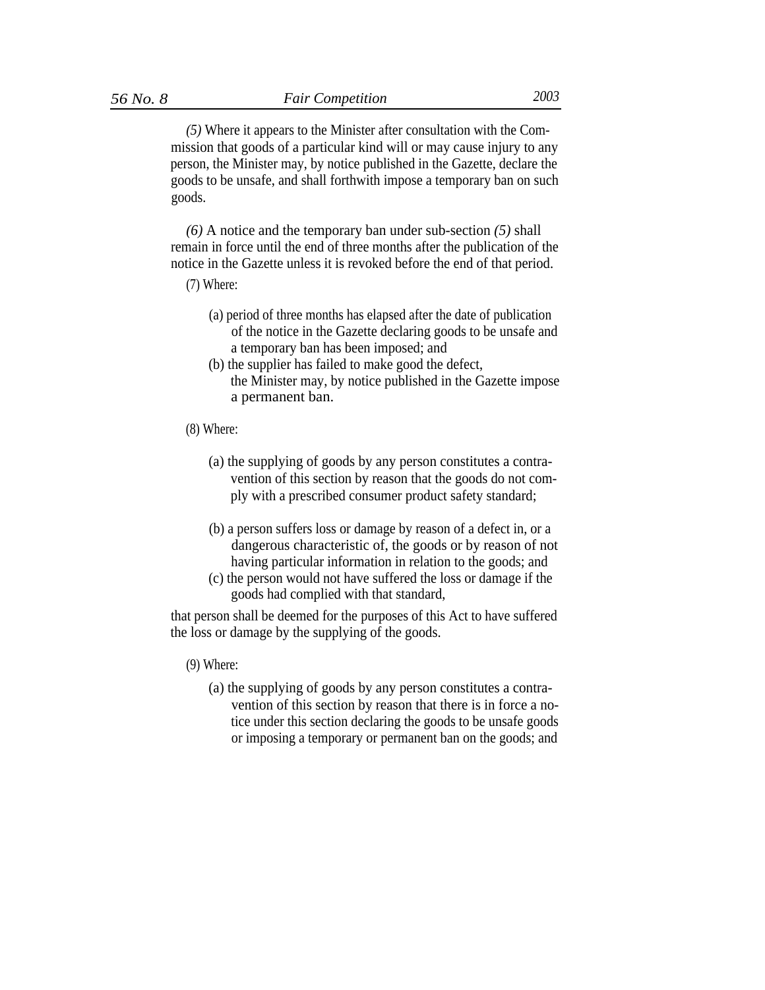*(5)* Where it appears to the Minister after consultation with the Commission that goods of a particular kind will or may cause injury to any person, the Minister may, by notice published in the Gazette, declare the goods to be unsafe, and shall forthwith impose a temporary ban on such goods.

*(6)* A notice and the temporary ban under sub-section *(5)* shall remain in force until the end of three months after the publication of the notice in the Gazette unless it is revoked before the end of that period.

- (7) Where:
	- (a) period of three months has elapsed after the date of publication of the notice in the Gazette declaring goods to be unsafe and a temporary ban has been imposed; and
	- (b) the supplier has failed to make good the defect, the Minister may, by notice published in the Gazette impose a permanent ban.
- (8) Where:
	- (a) the supplying of goods by any person constitutes a contravention of this section by reason that the goods do not comply with a prescribed consumer product safety standard;
	- (b) a person suffers loss or damage by reason of a defect in, or a dangerous characteristic of, the goods or by reason of not having particular information in relation to the goods; and
	- (c) the person would not have suffered the loss or damage if the goods had complied with that standard,

that person shall be deemed for the purposes of this Act to have suffered the loss or damage by the supplying of the goods.

### (9) Where:

(a) the supplying of goods by any person constitutes a contravention of this section by reason that there is in force a notice under this section declaring the goods to be unsafe goods or imposing a temporary or permanent ban on the goods; and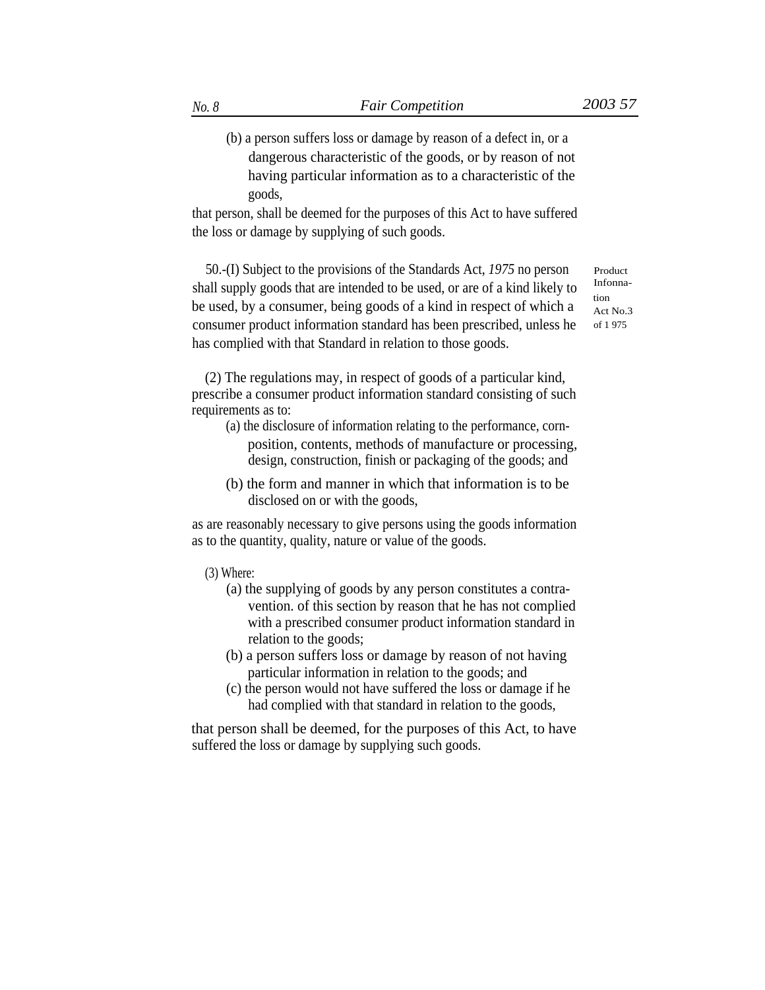(b) a person suffers loss or damage by reason of a defect in, or a dangerous characteristic of the goods, or by reason of not having particular information as to a characteristic of the goods,

that person, shall be deemed for the purposes of this Act to have suffered the loss or damage by supplying of such goods.

50.-(I) Subject to the provisions of the Standards Act, *1975* no person shall supply goods that are intended to be used, or are of a kind likely to be used, by a consumer, being goods of a kind in respect of which a consumer product information standard has been prescribed, unless he has complied with that Standard in relation to those goods.

Product Infonnation Act No.3 of 1 975

(2) The regulations may, in respect of goods of a particular kind, prescribe a consumer product information standard consisting of such requirements as to:

- (a) the disclosure of information relating to the performance, cornposition, contents, methods of manufacture or processing, design, construction, finish or packaging of the goods; and
- (b) the form and manner in which that information is to be disclosed on or with the goods,

as are reasonably necessary to give persons using the goods information as to the quantity, quality, nature or value of the goods.

- (3) Where:
	- (a) the supplying of goods by any person constitutes a contravention. of this section by reason that he has not complied with a prescribed consumer product information standard in relation to the goods;
	- (b) a person suffers loss or damage by reason of not having particular information in relation to the goods; and
	- (c) the person would not have suffered the loss or damage if he had complied with that standard in relation to the goods,

that person shall be deemed, for the purposes of this Act, to have suffered the loss or damage by supplying such goods.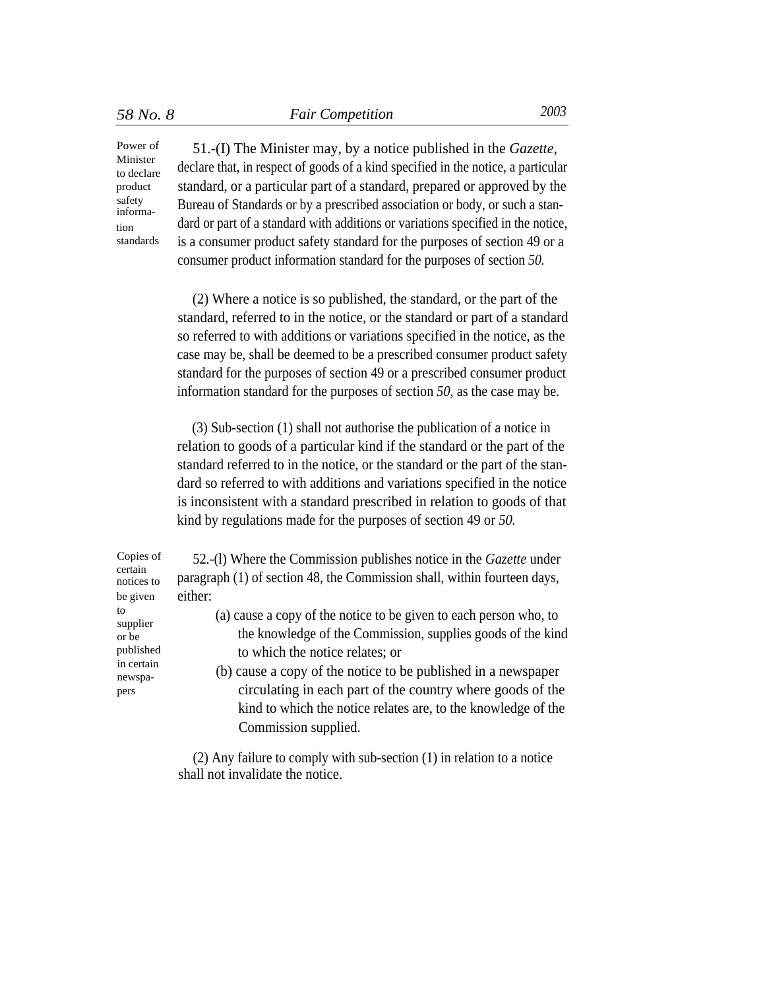Minister to declare product safety information standards

Power of 51.-(I) The Minister may, by a notice published in the *Gazette,* declare that, in respect of goods of a kind specified in the notice, a particular standard, or a particular part of a standard, prepared or approved by the Bureau of Standards or by a prescribed association or body, or such a standard or part of a standard with additions or variations specified in the notice, is a consumer product safety standard for the purposes of section 49 or a consumer product information standard for the purposes of section *50.*

> (2) Where a notice is so published, the standard, or the part of the standard, referred to in the notice, or the standard or part of a standard so referred to with additions or variations specified in the notice, as the case may be, shall be deemed to be a prescribed consumer product safety standard for the purposes of section 49 or a prescribed consumer product information standard for the purposes of section *50,* as the case may be.

> (3) Sub-section (1) shall not authorise the publication of a notice in relation to goods of a particular kind if the standard or the part of the standard referred to in the notice, or the standard or the part of the standard so referred to with additions and variations specified in the notice is inconsistent with a standard prescribed in relation to goods of that kind by regulations made for the purposes of section 49 or *50.*

certain notices to be given pers

Copies of 52.-(l) Where the Commission publishes notice in the *Gazette* under paragraph (1) of section 48, the Commission shall, within fourteen days, either:

- to (a) cause a copy of the notice to be given to each person who, to supplier or be the knowledge of the Commission, supplies goods of the kind published to which the notice relates; or in certain
- $\sum_{\text{newspa-}}$  (b) cause a copy of the notice to be published in a newspaper circulating in each part of the country where goods of the kind to which the notice relates are, to the knowledge of the Commission supplied.

(2) Any failure to comply with sub-section (1) in relation to a notice shall not invalidate the notice.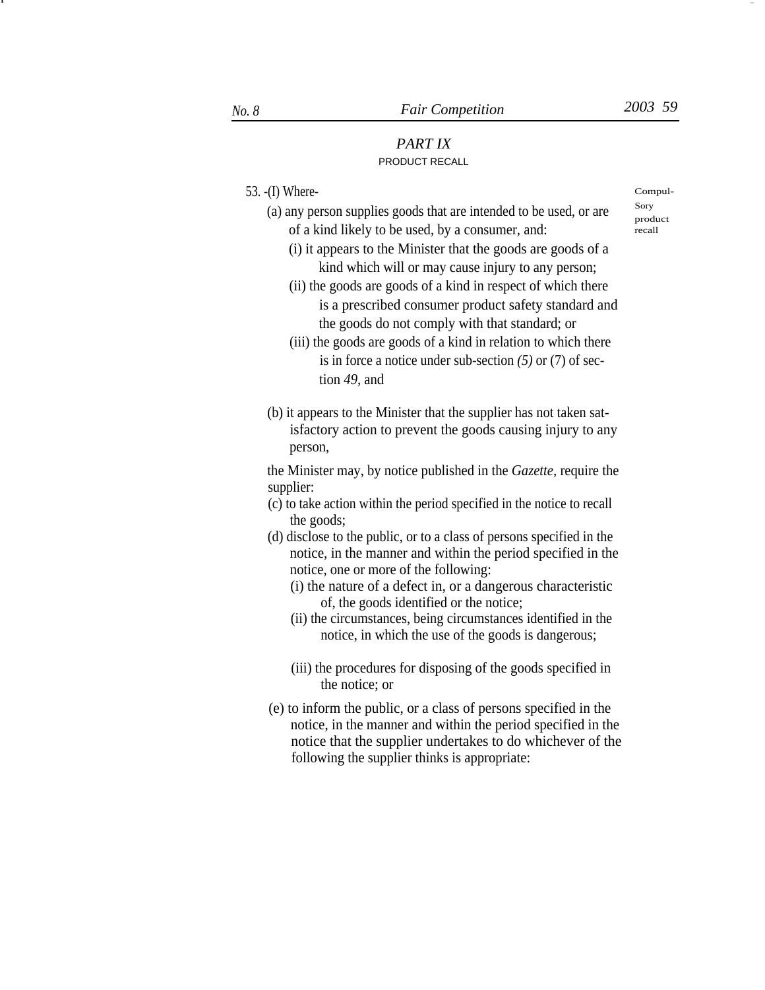product

recall

-

# *PART IX* PRODUCT RECALL

53. -(I) Where- Compul-

- (a) any person supplies goods that are intended to be used, or are  $\frac{Sory}{s}$ of a kind likely to be used, by a consumer, and:
	- (i) it appears to the Minister that the goods are goods of a kind which will or may cause injury to any person;
	- (ii) the goods are goods of a kind in respect of which there is a prescribed consumer product safety standard and the goods do not comply with that standard; or
	- (iii) the goods are goods of a kind in relation to which there is in force a notice under sub-section *(5)* or (7) of section *49,* and
- (b) it appears to the Minister that the supplier has not taken satisfactory action to prevent the goods causing injury to any person,

the Minister may, by notice published in the *Gazette,* require the supplier:

- (c) to take action within the period specified in the notice to recall the goods;
- (d) disclose to the public, or to a class of persons specified in the notice, in the manner and within the period specified in the notice, one or more of the following:
	- (i) the nature of a defect in, or a dangerous characteristic of, the goods identified or the notice;
	- (ii) the circumstances, being circumstances identified in the notice, in which the use of the goods is dangerous;
	- (iii) the procedures for disposing of the goods specified in the notice; or
- (e) to inform the public, or a class of persons specified in the notice, in the manner and within the period specified in the notice that the supplier undertakes to do whichever of the following the supplier thinks is appropriate:

I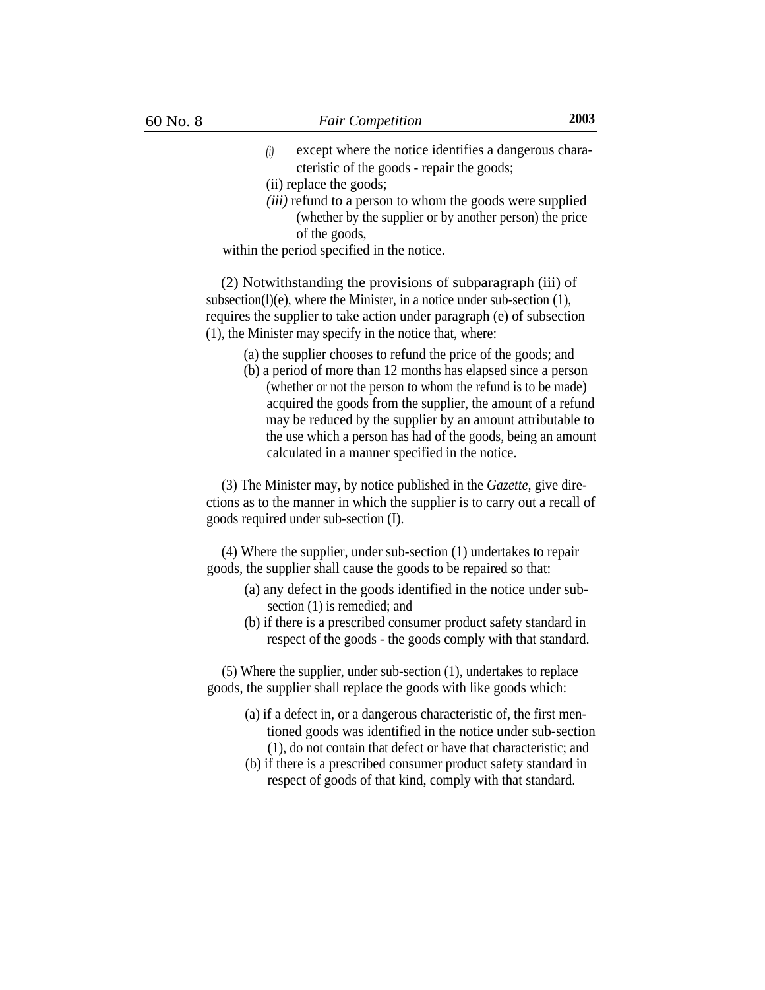- *(i)* except where the notice identifies a dangerous characteristic of the goods - repair the goods;
- (ii) replace the goods;
- *(iii)* refund to a person to whom the goods were supplied (whether by the supplier or by another person) the price of the goods,

within the period specified in the notice.

(2) Notwithstanding the provisions of subparagraph (iii) of subsection(l)(e), where the Minister, in a notice under sub-section  $(1)$ , requires the supplier to take action under paragraph (e) of subsection (1), the Minister may specify in the notice that, where:

- (a) the supplier chooses to refund the price of the goods; and
- (b) a period of more than 12 months has elapsed since a person (whether or not the person to whom the refund is to be made) acquired the goods from the supplier, the amount of a refund may be reduced by the supplier by an amount attributable to the use which a person has had of the goods, being an amount calculated in a manner specified in the notice.

(3) The Minister may, by notice published in the *Gazette,* give directions as to the manner in which the supplier is to carry out a recall of goods required under sub-section (I).

(4) Where the supplier, under sub-section (1) undertakes to repair goods, the supplier shall cause the goods to be repaired so that:

- (a) any defect in the goods identified in the notice under subsection (1) is remedied; and
- (b) if there is a prescribed consumer product safety standard in respect of the goods - the goods comply with that standard.

(5) Where the supplier, under sub-section (1), undertakes to replace goods, the supplier shall replace the goods with like goods which:

- (a) if a defect in, or a dangerous characteristic of, the first mentioned goods was identified in the notice under sub-section (1), do not contain that defect or have that characteristic; and
- (b) if there is a prescribed consumer product safety standard in respect of goods of that kind, comply with that standard.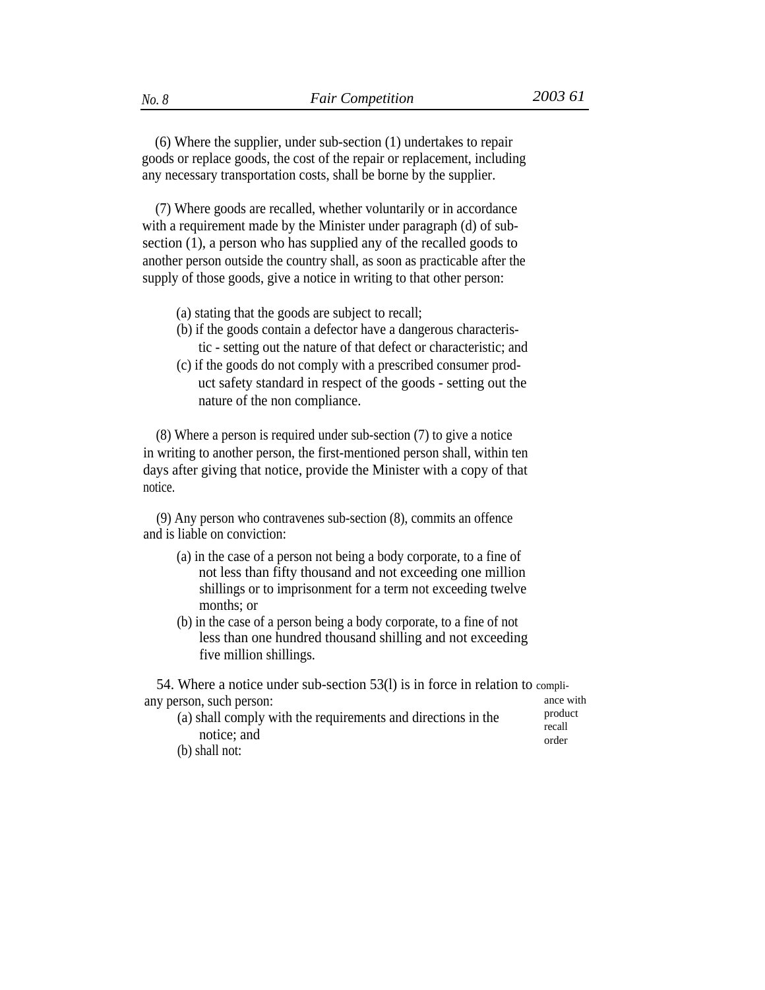(6) Where the supplier, under sub-section (1) undertakes to repair goods or replace goods, the cost of the repair or replacement, including any necessary transportation costs, shall be borne by the supplier.

(7) Where goods are recalled, whether voluntarily or in accordance with a requirement made by the Minister under paragraph (d) of subsection (1), a person who has supplied any of the recalled goods to another person outside the country shall, as soon as practicable after the supply of those goods, give a notice in writing to that other person:

- (a) stating that the goods are subject to recall;
- (b) if the goods contain a defector have a dangerous characteristic - setting out the nature of that defect or characteristic; and
- (c) if the goods do not comply with a prescribed consumer product safety standard in respect of the goods - setting out the nature of the non compliance.

(8) Where a person is required under sub-section (7) to give a notice in writing to another person, the first-mentioned person shall, within ten days after giving that notice, provide the Minister with a copy of that notice.

(9) Any person who contravenes sub-section (8), commits an offence and is liable on conviction:

- (a) in the case of a person not being a body corporate, to a fine of not less than fifty thousand and not exceeding one million shillings or to imprisonment for a term not exceeding twelve months; or
- (b) in the case of a person being a body corporate, to a fine of not less than one hundred thousand shilling and not exceeding five million shillings.

54. Where a notice under sub-section 53(l) is in force in relation to compliany person, such person: ance with ance with an ance with an ance with an angle of  $\alpha$ 

| (a) shall comply with the requirements and directions in the | product<br>recall |
|--------------------------------------------------------------|-------------------|
| notice; and                                                  | order             |
| $(b)$ shall not:                                             |                   |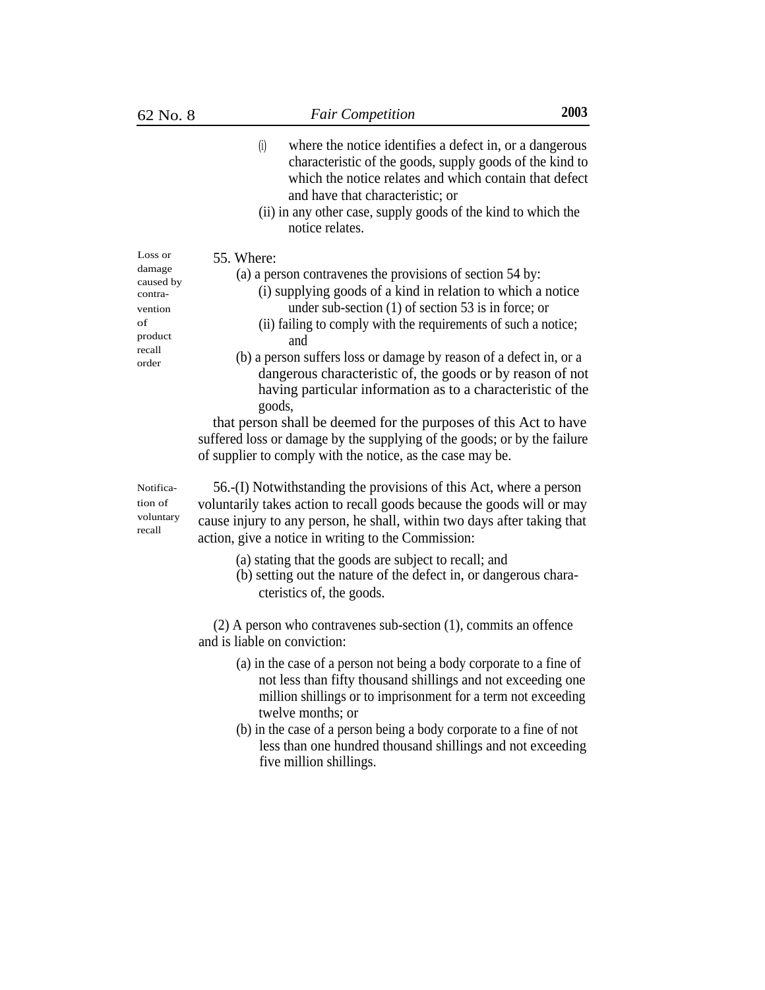contravention

- (i) where the notice identifies a defect in, or a dangerous characteristic of the goods, supply goods of the kind to which the notice relates and which contain that defect and have that characteristic; or
- (ii) in any other case, supply goods of the kind to which the notice relates.

Loss or  $55$ . Where:<br>damage  $(2)$  a per-

- damage (a) a person contravenes the provisions of section 54 by:<br>
contra(i) supplying goods of a kind in relation to which a notice
	- under sub-section (1) of section 53 is in force; or
- of (ii) failing to comply with the requirements of such a notice; product and
- $r_{\text{order}}$  (b) a person suffers loss or damage by reason of a defect in, or a dangerous characteristic of, the goods or by reason of not having particular information as to a characteristic of the goods,

that person shall be deemed for the purposes of this Act to have suffered loss or damage by the supplying of the goods; or by the failure of supplier to comply with the notice, as the case may be.

Notification of voluntary recall

56.-(I) Notwithstanding the provisions of this Act, where a person voluntarily takes action to recall goods because the goods will or may cause injury to any person, he shall, within two days after taking that action, give a notice in writing to the Commission:

- (a) stating that the goods are subject to recall; and
- (b) setting out the nature of the defect in, or dangerous characteristics of, the goods.

(2) A person who contravenes sub-section (1), commits an offence and is liable on conviction:

- (a) in the case of a person not being a body corporate to a fine of not less than fifty thousand shillings and not exceeding one million shillings or to imprisonment for a term not exceeding twelve months; or
- (b) in the case of a person being a body corporate to a fine of not less than one hundred thousand shillings and not exceeding five million shillings.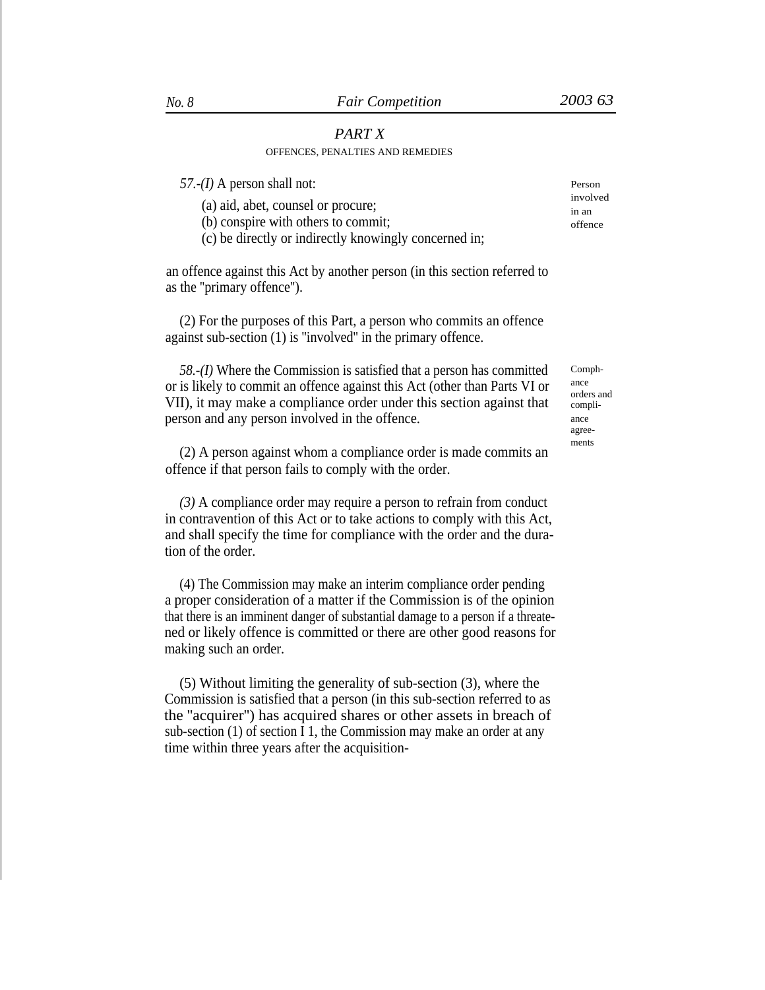# *PART X*

# OFFENCES, PENALTIES AND REMEDIES

| 57.- $(I)$ A person shall not:                        | Person   |
|-------------------------------------------------------|----------|
|                                                       | involved |
| (a) aid, abet, counsel or procure;                    | in an    |
| (b) conspire with others to commit;                   | offence  |
| (c) be directly or indirectly knowingly concerned in; |          |

an offence against this Act by another person (in this section referred to as the ''primary offence'').

(2) For the purposes of this Part, a person who commits an offence against sub-section (1) is ''involved'' in the primary offence.

*58.-(I)* Where the Commission is satisfied that a person has committed or is likely to commit an offence against this Act (other than Parts VI or VII), it may make a compliance order under this section against that person and any person involved in the offence.

(2) A person against whom a compliance order is made commits an offence if that person fails to comply with the order.

*(3)* A compliance order may require a person to refrain from conduct in contravention of this Act or to take actions to comply with this Act, and shall specify the time for compliance with the order and the duration of the order.

(4) The Commission may make an interim compliance order pending a proper consideration of a matter if the Commission is of the opinion that there is an imminent danger of substantial damage to a person if a threatened or likely offence is committed or there are other good reasons for making such an order.

(5) Without limiting the generality of sub-section (3), where the Commission is satisfied that a person (in this sub-section referred to as the ''acquirer'') has acquired shares or other assets in breach of sub-section (1) of section I 1, the Commission may make an order at any time within three years after the acquisitionCornphance orders and compliance agreements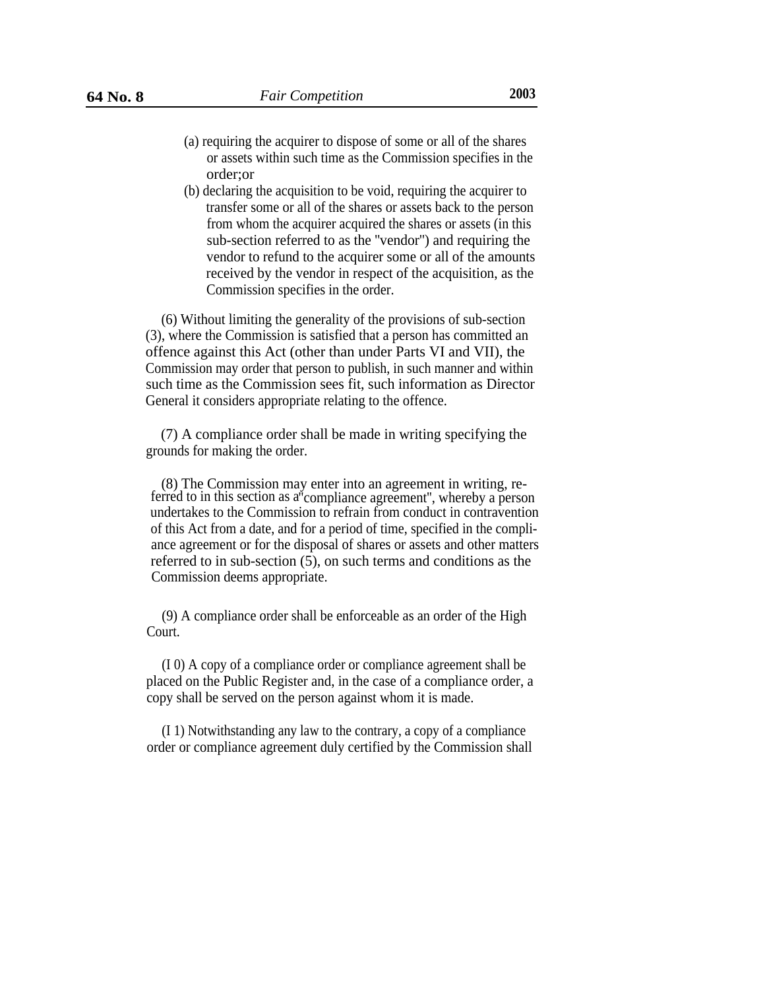- 
- (a) requiring the acquirer to dispose of some or all of the shares or assets within such time as the Commission specifies in the order;or
- (b) declaring the acquisition to be void, requiring the acquirer to transfer some or all of the shares or assets back to the person from whom the acquirer acquired the shares or assets (in this sub-section referred to as the ''vendor'') and requiring the vendor to refund to the acquirer some or all of the amounts received by the vendor in respect of the acquisition, as the Commission specifies in the order.

(6) Without limiting the generality of the provisions of sub-section (3), where the Commission is satisfied that a person has committed an offence against this Act (other than under Parts VI and VII), the Commission may order that person to publish, in such manner and within such time as the Commission sees fit, such information as Director General it considers appropriate relating to the offence.

(7) A compliance order shall be made in writing specifying the grounds for making the order.

(8) The Commission may enter into an agreement in writing, referred to in this section as a"compliance agreement'', whereby a person undertakes to the Commission to refrain from conduct in contravention of this Act from a date, and for a period of time, specified in the compliance agreement or for the disposal of shares or assets and other matters referred to in sub-section (5), on such terms and conditions as the Commission deems appropriate.

(9) A compliance order shall be enforceable as an order of the High Court.

(I 0) A copy of a compliance order or compliance agreement shall be placed on the Public Register and, in the case of a compliance order, a copy shall be served on the person against whom it is made.

(I 1) Notwithstanding any law to the contrary, a copy of a compliance order or compliance agreement duly certified by the Commission shall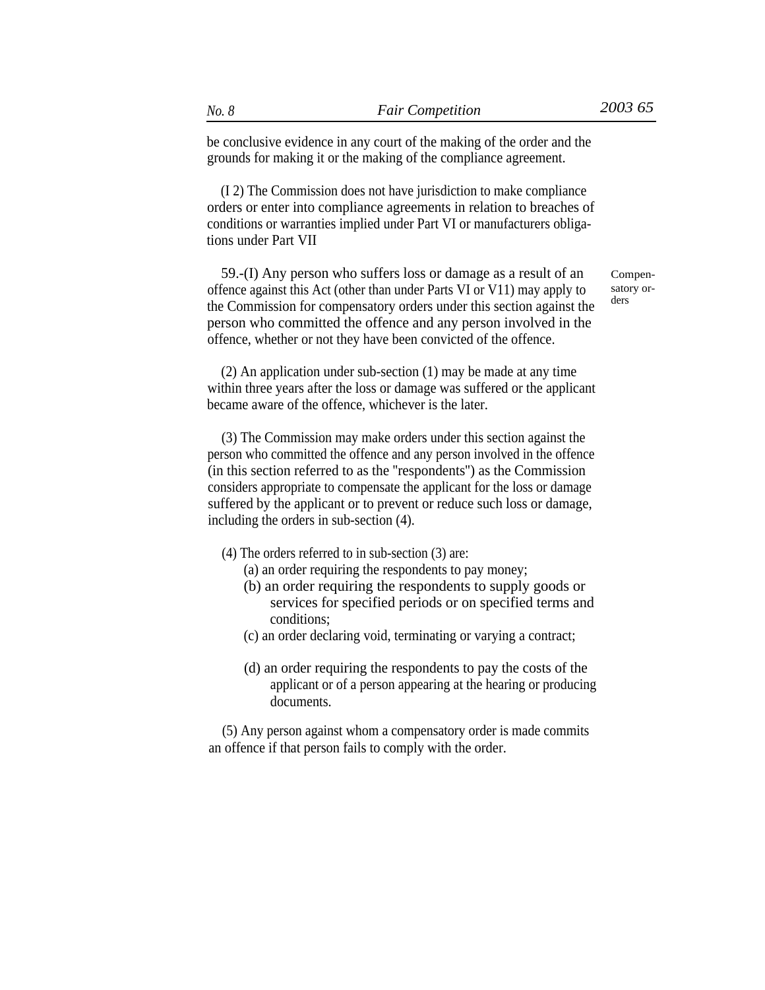be conclusive evidence in any court of the making of the order and the grounds for making it or the making of the compliance agreement.

(I 2) The Commission does not have jurisdiction to make compliance orders or enter into compliance agreements in relation to breaches of conditions or warranties implied under Part VI or manufacturers obligations under Part VII

59.-(I) Any person who suffers loss or damage as a result of an offence against this Act (other than under Parts VI or V11) may apply to the Commission for compensatory orders under this section against the person who committed the offence and any person involved in the offence, whether or not they have been convicted of the offence.

Compensatory orders

(2) An application under sub-section (1) may be made at any time within three years after the loss or damage was suffered or the applicant became aware of the offence, whichever is the later.

(3) The Commission may make orders under this section against the person who committed the offence and any person involved in the offence (in this section referred to as the ''respondents'') as the Commission considers appropriate to compensate the applicant for the loss or damage suffered by the applicant or to prevent or reduce such loss or damage, including the orders in sub-section (4).

- (4) The orders referred to in sub-section (3) are:
	- (a) an order requiring the respondents to pay money;
	- (b) an order requiring the respondents to supply goods or services for specified periods or on specified terms and conditions;
	- (c) an order declaring void, terminating or varying a contract;
	- (d) an order requiring the respondents to pay the costs of the applicant or of a person appearing at the hearing or producing documents.

(5) Any person against whom a compensatory order is made commits an offence if that person fails to comply with the order.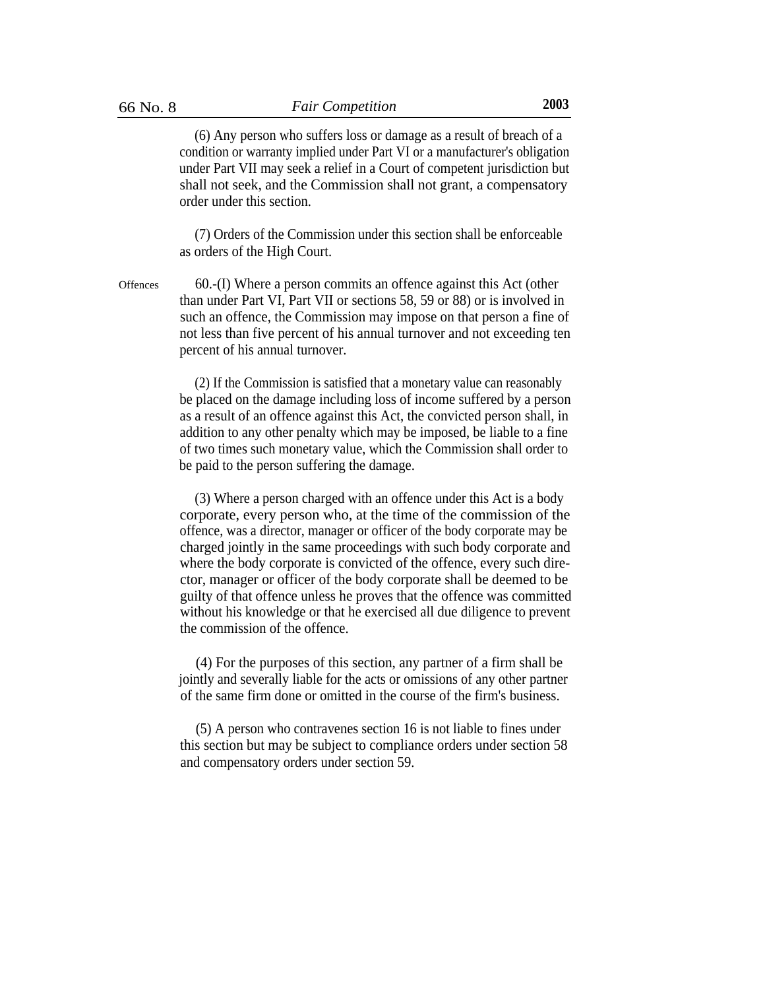(6) Any person who suffers loss or damage as a result of breach of a condition or warranty implied under Part VI or a manufacturer's obligation under Part VII may seek a relief in a Court of competent jurisdiction but shall not seek, and the Commission shall not grant, a compensatory order under this section.

(7) Orders of the Commission under this section shall be enforceable as orders of the High Court.

60.-(I) Where a person commits an offence against this Act (other than under Part VI, Part VII or sections 58, 59 or 88) or is involved in such an offence, the Commission may impose on that person a fine of not less than five percent of his annual turnover and not exceeding ten percent of his annual turnover. **Offences** 

> (2) If the Commission is satisfied that a monetary value can reasonably be placed on the damage including loss of income suffered by a person as a result of an offence against this Act, the convicted person shall, in addition to any other penalty which may be imposed, be liable to a fine of two times such monetary value, which the Commission shall order to be paid to the person suffering the damage.

> (3) Where a person charged with an offence under this Act is a body corporate, every person who, at the time of the commission of the offence, was a director, manager or officer of the body corporate may be charged jointly in the same proceedings with such body corporate and where the body corporate is convicted of the offence, every such director, manager or officer of the body corporate shall be deemed to be guilty of that offence unless he proves that the offence was committed without his knowledge or that he exercised all due diligence to prevent the commission of the offence.

> (4) For the purposes of this section, any partner of a firm shall be jointly and severally liable for the acts or omissions of any other partner of the same firm done or omitted in the course of the firm's business.

> (5) A person who contravenes section 16 is not liable to fines under this section but may be subject to compliance orders under section 58 and compensatory orders under section 59.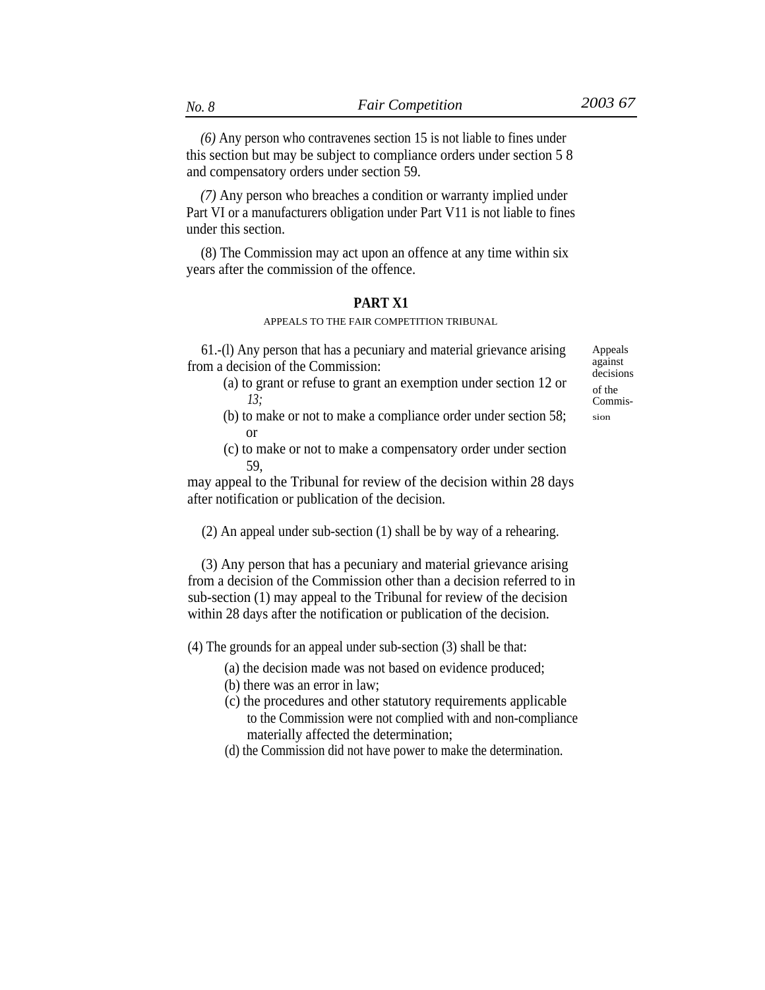*(6)* Any person who contravenes section 15 is not liable to fines under this section but may be subject to compliance orders under section 5 8 and compensatory orders under section 59.

*(7)* Any person who breaches a condition or warranty implied under Part VI or a manufacturers obligation under Part V11 is not liable to fines under this section.

(8) The Commission may act upon an offence at any time within six years after the commission of the offence.

# **PART X1**

## APPEALS TO THE FAIR COMPETITION TRIBUNAL

61.-(l) Any person that has a pecuniary and material grievance arising Appeals

- from a decision of the Commission:<br>
(a) to grant or refuse to grant an exemption under section 12 or  $\frac{13}{\text{of the}}$ <br>  $\frac{13}{\text{Commis}}$ *13;* Commis-
	- (b) to make or not to make a compliance order under section  $58$ ; sion or
	- (c) to make or not to make a compensatory order under section 59,

may appeal to the Tribunal for review of the decision within 28 days after notification or publication of the decision.

(2) An appeal under sub-section (1) shall be by way of a rehearing.

(3) Any person that has a pecuniary and material grievance arising from a decision of the Commission other than a decision referred to in sub-section (1) may appeal to the Tribunal for review of the decision within 28 days after the notification or publication of the decision.

(4) The grounds for an appeal under sub-section (3) shall be that:

- (a) the decision made was not based on evidence produced;
- (b) there was an error in law;
- (c) the procedures and other statutory requirements applicable to the Commission were not complied with and non-compliance materially affected the determination;
- (d) the Commission did not have power to make the determination.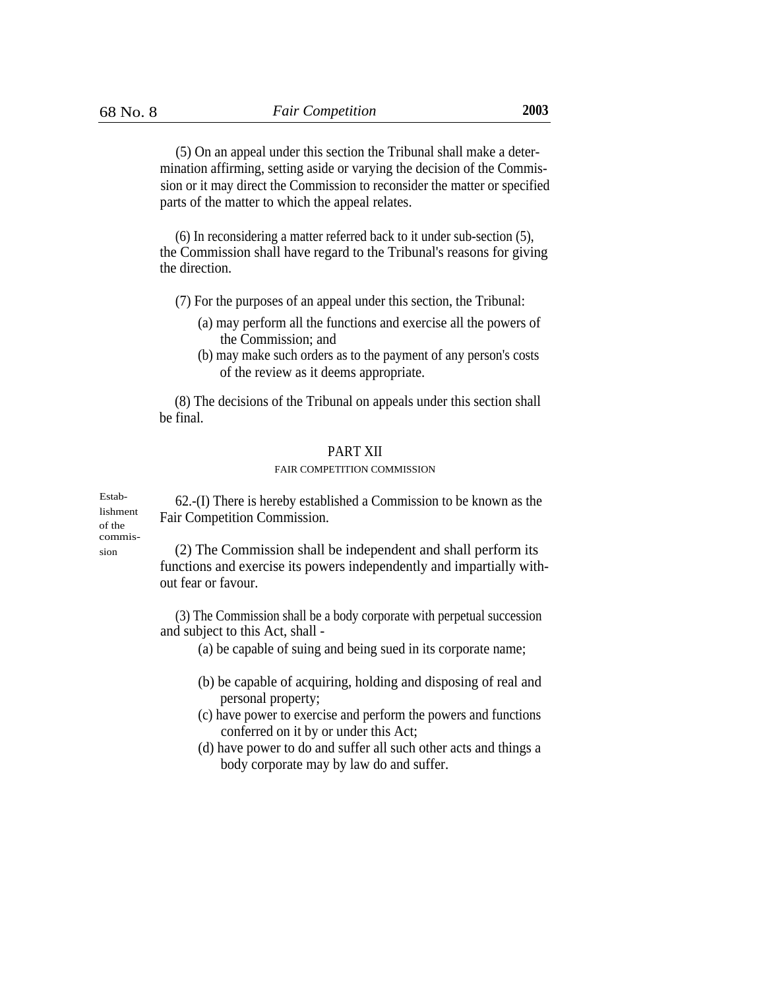(5) On an appeal under this section the Tribunal shall make a determination affirming, setting aside or varying the decision of the Commission or it may direct the Commission to reconsider the matter or specified parts of the matter to which the appeal relates.

(6) In reconsidering a matter referred back to it under sub-section (5), the Commission shall have regard to the Tribunal's reasons for giving the direction.

(7) For the purposes of an appeal under this section, the Tribunal:

- (a) may perform all the functions and exercise all the powers of the Commission; and
- (b) may make such orders as to the payment of any person's costs of the review as it deems appropriate.

(8) The decisions of the Tribunal on appeals under this section shall be final.

## PART XII

### FAIR COMPETITION COMMISSION

Estab- $62$ -(I) There is hereby established a Commission to be known as the lishment Fair Competition Commission. of the commis-

(2) The Commission shall be independent and shall perform its functions and exercise its powers independently and impartially without fear or favour.

(3) The Commission shall be a body corporate with perpetual succession and subject to this Act, shall -

(a) be capable of suing and being sued in its corporate name;

- (b) be capable of acquiring, holding and disposing of real and personal property;
- (c) have power to exercise and perform the powers and functions conferred on it by or under this Act;
- (d) have power to do and suffer all such other acts and things a body corporate may by law do and suffer.

sion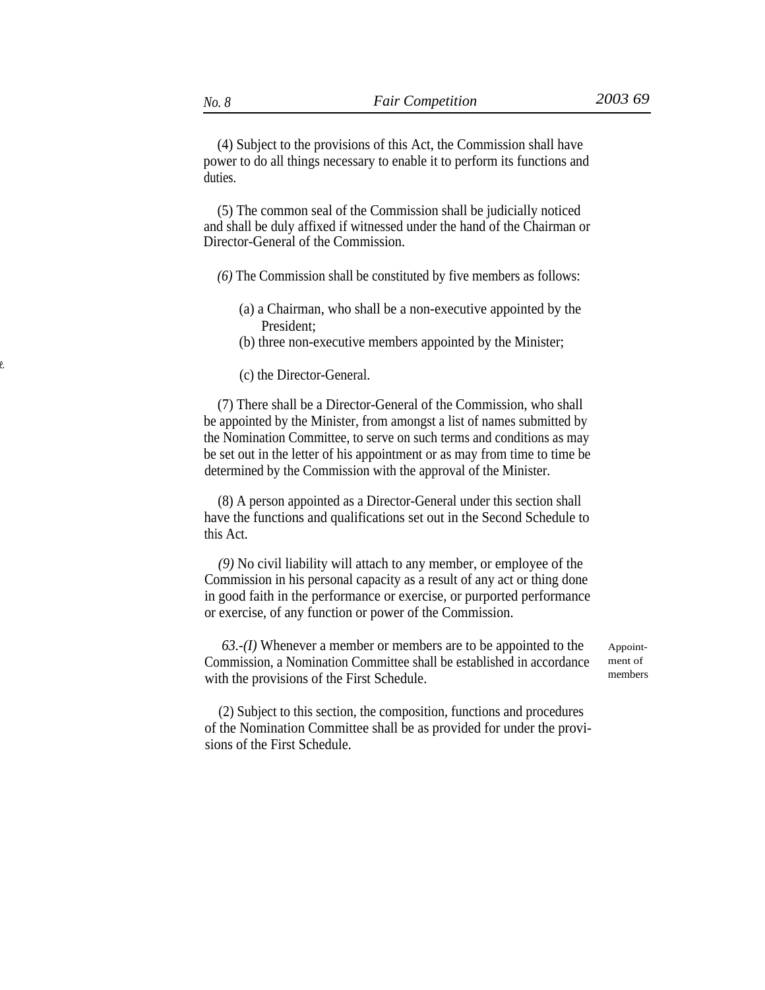(5) The common seal of the Commission shall be judicially noticed and shall be duly affixed if witnessed under the hand of the Chairman or Director-General of the Commission.

*(6)* The Commission shall be constituted by five members as follows:

- (a) a Chairman, who shall be a non-executive appointed by the President;
- (b) three non-executive members appointed by the Minister;
- (c) the Director-General.

(7) There shall be a Director-General of the Commission, who shall be appointed by the Minister, from amongst a list of names submitted by the Nomination Committee, to serve on such terms and conditions as may be set out in the letter of his appointment or as may from time to time be determined by the Commission with the approval of the Minister.

(8) A person appointed as a Director-General under this section shall have the functions and qualifications set out in the Second Schedule to this Act.

*(9)* No civil liability will attach to any member, or employee of the Commission in his personal capacity as a result of any act or thing done in good faith in the performance or exercise, or purported performance or exercise, of any function or power of the Commission.

*63.-(I)* Whenever a member or members are to be appointed to the Commission, a Nomination Committee shall be established in accordance with the provisions of the First Schedule.

Appointment of members

(2) Subject to this section, the composition, functions and procedures of the Nomination Committee shall be as provided for under the provisions of the First Schedule.

duties.

e.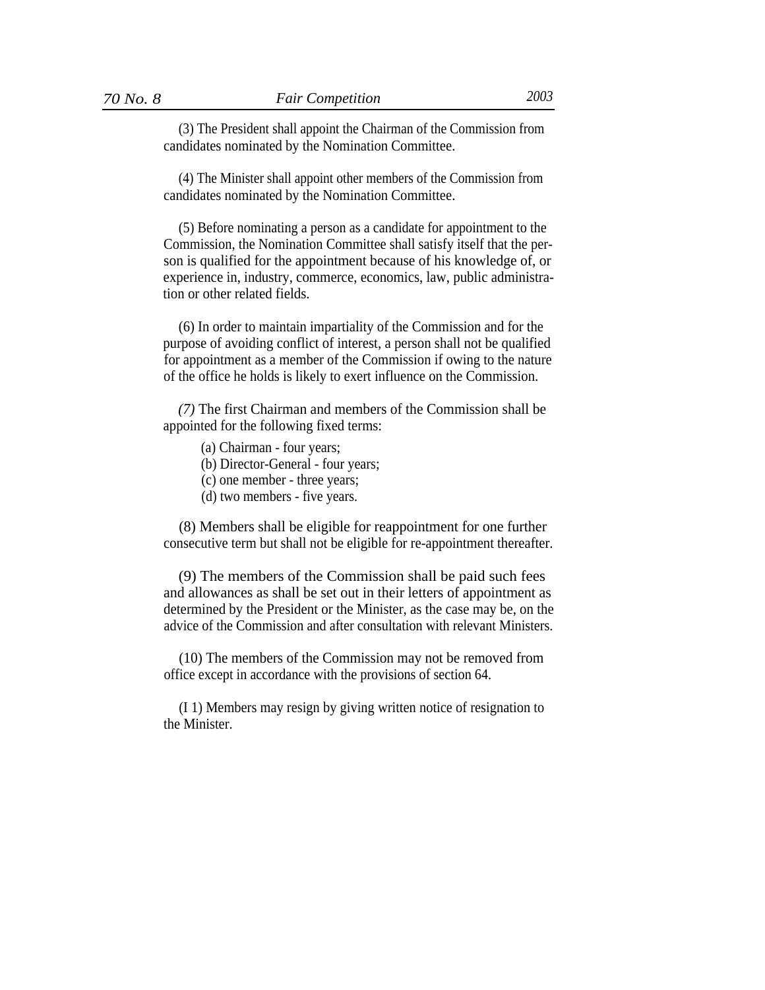(3) The President shall appoint the Chairman of the Commission from candidates nominated by the Nomination Committee.

(4) The Minister shall appoint other members of the Commission from candidates nominated by the Nomination Committee.

(5) Before nominating a person as a candidate for appointment to the Commission, the Nomination Committee shall satisfy itself that the person is qualified for the appointment because of his knowledge of, or experience in, industry, commerce, economics, law, public administration or other related fields.

(6) In order to maintain impartiality of the Commission and for the purpose of avoiding conflict of interest, a person shall not be qualified for appointment as a member of the Commission if owing to the nature of the office he holds is likely to exert influence on the Commission.

*(7)* The first Chairman and members of the Commission shall be appointed for the following fixed terms:

- (a) Chairman four years;
- (b) Director-General four years;
- (c) one member three years;
- (d) two members five years.

(8) Members shall be eligible for reappointment for one further consecutive term but shall not be eligible for re-appointment thereafter.

(9) The members of the Commission shall be paid such fees and allowances as shall be set out in their letters of appointment as determined by the President or the Minister, as the case may be, on the advice of the Commission and after consultation with relevant Ministers.

(10) The members of the Commission may not be removed from office except in accordance with the provisions of section 64.

(I 1) Members may resign by giving written notice of resignation to the Minister.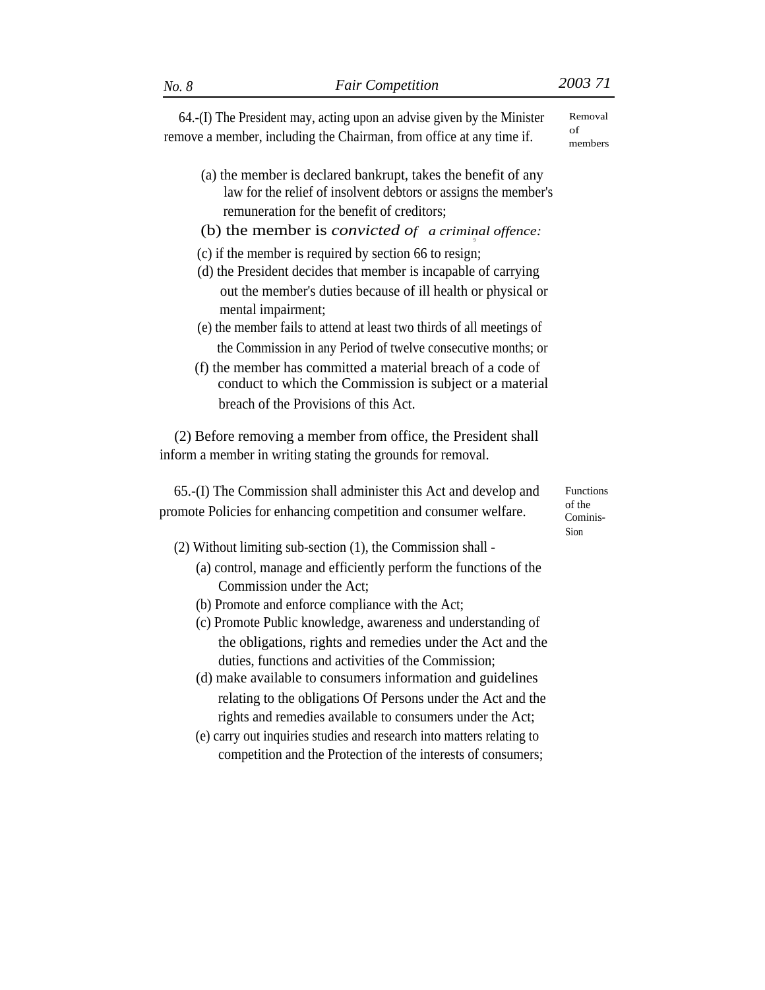64.-(I) The President may, acting upon an advise given by the Minister remove a member, including the Chairman, from office at any time if.

- (a) the member is declared bankrupt, takes the benefit of any law for the relief of insolvent debtors or assigns the member's remuneration for the benefit of creditors;
- (b) the member is *convicted of a criminal offence:* 9
- (c) if the member is required by section 66 to resign;
- (d) the President decides that member is incapable of carrying out the member's duties because of ill health or physical or mental impairment;
- (e) the member fails to attend at least two thirds of all meetings of the Commission in any Period of twelve consecutive months; or
- (f) the member has committed a material breach of a code of conduct to which the Commission is subject or a material breach of the Provisions of this Act.

(2) Before removing a member from office, the President shall inform a member in writing stating the grounds for removal.

65.-(I) The Commission shall administer this Act and develop and promote Policies for enhancing competition and consumer welfare.

- (2) Without limiting sub-section (1), the Commission shall
	- (a) control, manage and efficiently perform the functions of the Commission under the Act;
	- (b) Promote and enforce compliance with the Act;
	- (c) Promote Public knowledge, awareness and understanding of the obligations, rights and remedies under the Act and the duties, functions and activities of the Commission;
	- (d) make available to consumers information and guidelines relating to the obligations Of Persons under the Act and the rights and remedies available to consumers under the Act;
	- (e) carry out inquiries studies and research into matters relating to competition and the Protection of the interests of consumers;

Functions of the Cominis-Sion

Removal  $\alpha$ f members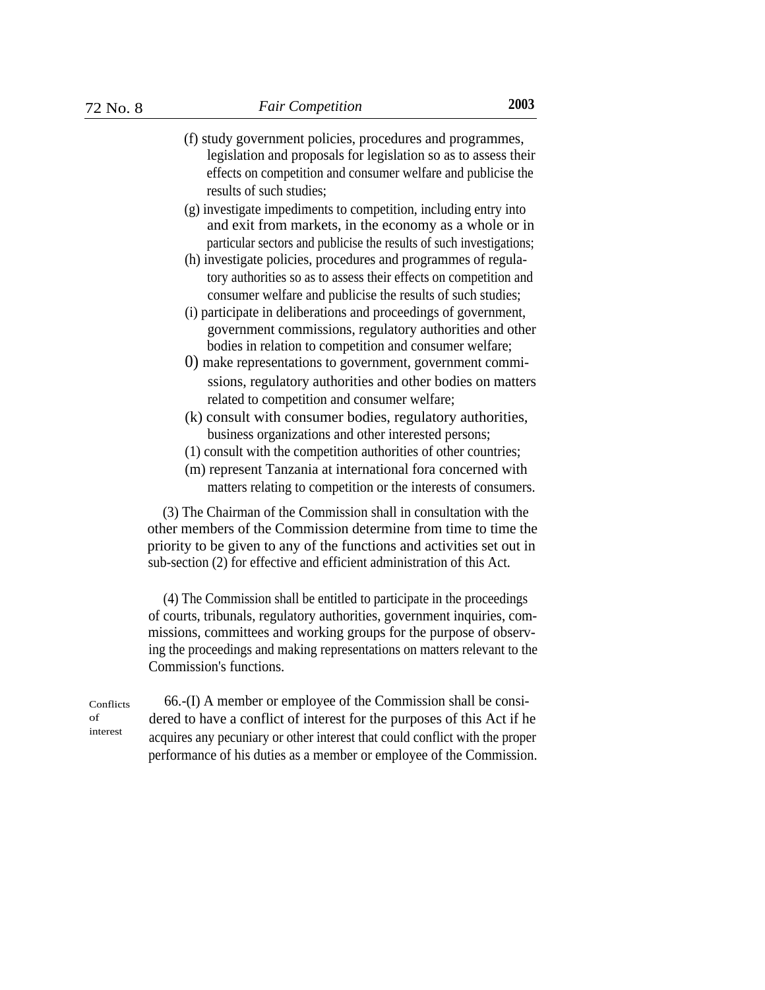- (f) study government policies, procedures and programmes, legislation and proposals for legislation so as to assess their effects on competition and consumer welfare and publicise the results of such studies;
- (g) investigate impediments to competition, including entry into and exit from markets, in the economy as a whole or in particular sectors and publicise the results of such investigations;
- (h) investigate policies, procedures and programmes of regulatory authorities so as to assess their effects on competition and consumer welfare and publicise the results of such studies;
- (i) participate in deliberations and proceedings of government, government commissions, regulatory authorities and other bodies in relation to competition and consumer welfare;
- 0) make representations to government, government commissions, regulatory authorities and other bodies on matters related to competition and consumer welfare;
- (k) consult with consumer bodies, regulatory authorities, business organizations and other interested persons;
- (1) consult with the competition authorities of other countries;
- (m) represent Tanzania at international fora concerned with matters relating to competition or the interests of consumers.

(3) The Chairman of the Commission shall in consultation with the other members of the Commission determine from time to time the priority to be given to any of the functions and activities set out in sub-section (2) for effective and efficient administration of this Act.

(4) The Commission shall be entitled to participate in the proceedings of courts, tribunals, regulatory authorities, government inquiries, commissions, committees and working groups for the purpose of observing the proceedings and making representations on matters relevant to the Commission's functions.

Conflicts of interest

66.-(I) A member or employee of the Commission shall be considered to have a conflict of interest for the purposes of this Act if he acquires any pecuniary or other interest that could conflict with the proper performance of his duties as a member or employee of the Commission.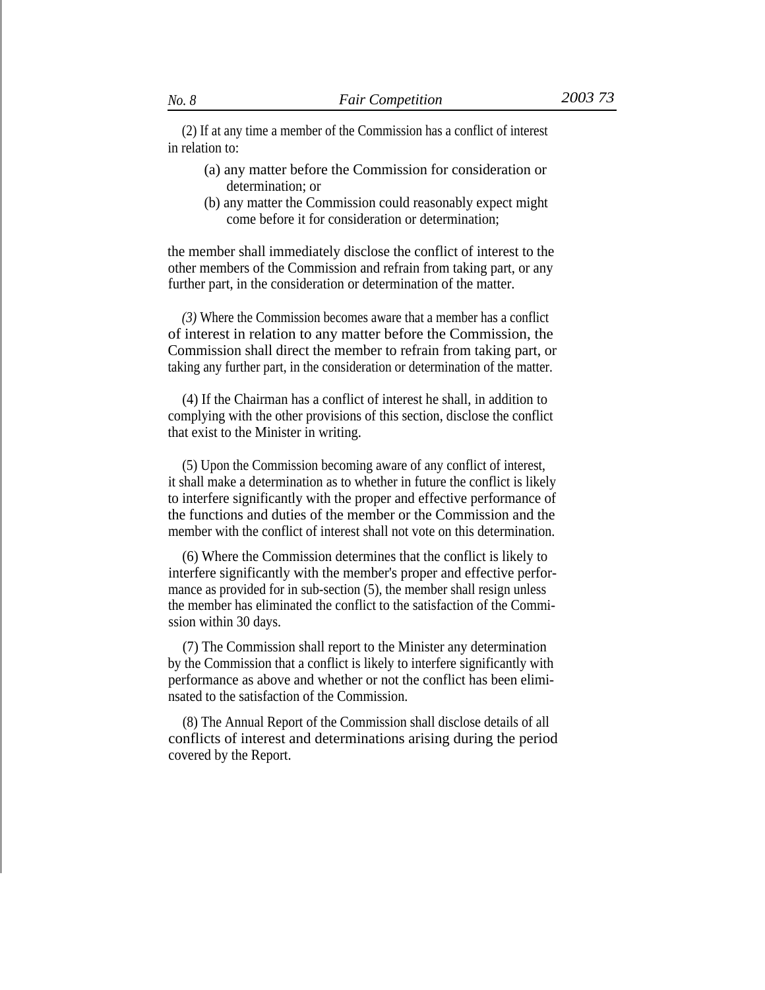(2) If at any time a member of the Commission has a conflict of interest in relation to:

- (a) any matter before the Commission for consideration or determination; or
- (b) any matter the Commission could reasonably expect might come before it for consideration or determination;

the member shall immediately disclose the conflict of interest to the other members of the Commission and refrain from taking part, or any further part, in the consideration or determination of the matter.

*(3)* Where the Commission becomes aware that a member has a conflict of interest in relation to any matter before the Commission, the Commission shall direct the member to refrain from taking part, or taking any further part, in the consideration or determination of the matter.

(4) If the Chairman has a conflict of interest he shall, in addition to complying with the other provisions of this section, disclose the conflict that exist to the Minister in writing.

(5) Upon the Commission becoming aware of any conflict of interest, it shall make a determination as to whether in future the conflict is likely to interfere significantly with the proper and effective performance of the functions and duties of the member or the Commission and the member with the conflict of interest shall not vote on this determination.

(6) Where the Commission determines that the conflict is likely to interfere significantly with the member's proper and effective performance as provided for in sub-section (5), the member shall resign unless the member has eliminated the conflict to the satisfaction of the Commission within 30 days.

(7) The Commission shall report to the Minister any determination by the Commission that a conflict is likely to interfere significantly with performance as above and whether or not the conflict has been eliminsated to the satisfaction of the Commission.

(8) The Annual Report of the Commission shall disclose details of all conflicts of interest and determinations arising during the period covered by the Report.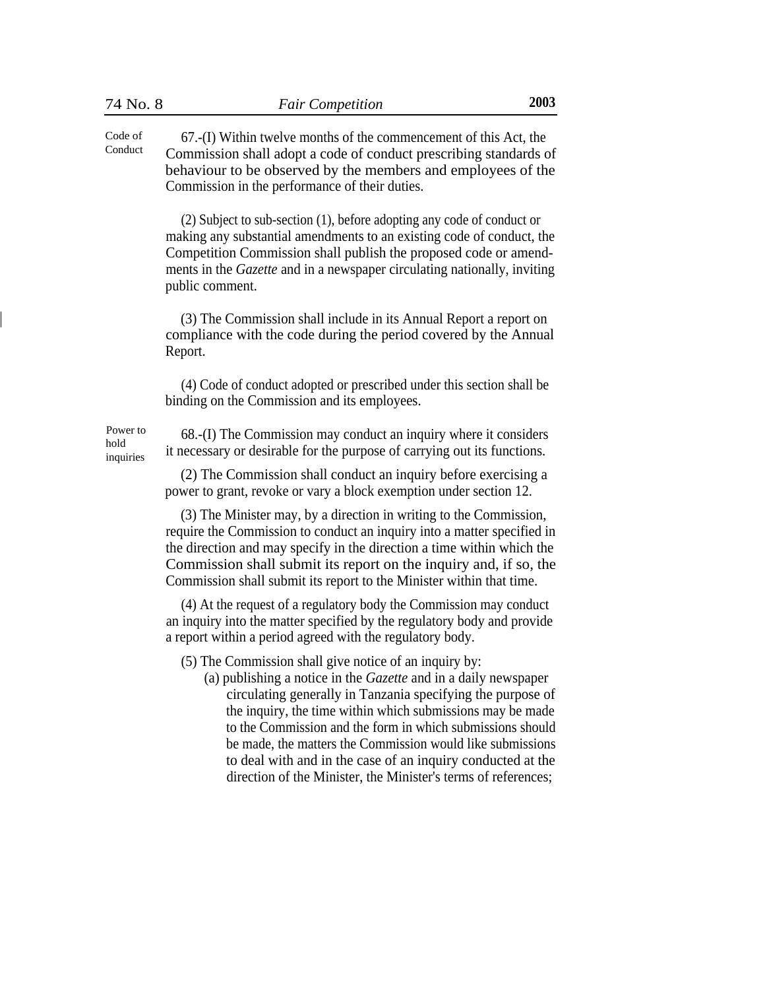67.-(I) Within twelve months of the commencement of this Act, the Commission shall adopt a code of conduct prescribing standards of behaviour to be observed by the members and employees of the Commission in the performance of their duties. Code of Conduct

> (2) Subject to sub-section (1), before adopting any code of conduct or making any substantial amendments to an existing code of conduct, the Competition Commission shall publish the proposed code or amendments in the *Gazette* and in a newspaper circulating nationally, inviting public comment.

> (3) The Commission shall include in its Annual Report a report on compliance with the code during the period covered by the Annual Report.

(4) Code of conduct adopted or prescribed under this section shall be binding on the Commission and its employees.

inquiries

Power to 68.-(I) The Commission may conduct an inquiry where it considers hold it necessary or desirable for the purpose of carrying out its functions.

> (2) The Commission shall conduct an inquiry before exercising a power to grant, revoke or vary a block exemption under section 12.

(3) The Minister may, by a direction in writing to the Commission, require the Commission to conduct an inquiry into a matter specified in the direction and may specify in the direction a time within which the Commission shall submit its report on the inquiry and, if so, the Commission shall submit its report to the Minister within that time.

(4) At the request of a regulatory body the Commission may conduct an inquiry into the matter specified by the regulatory body and provide a report within a period agreed with the regulatory body.

(5) The Commission shall give notice of an inquiry by:

(a) publishing a notice in the *Gazette* and in a daily newspaper circulating generally in Tanzania specifying the purpose of the inquiry, the time within which submissions may be made to the Commission and the form in which submissions should be made, the matters the Commission would like submissions to deal with and in the case of an inquiry conducted at the direction of the Minister, the Minister's terms of references;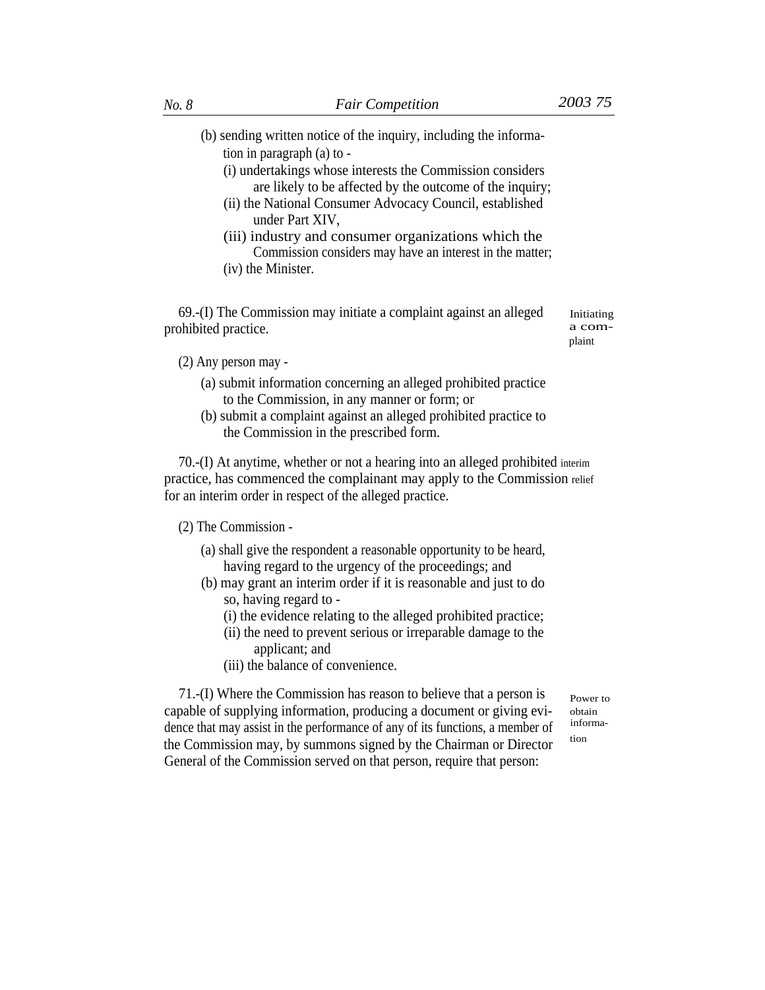- (b) sending written notice of the inquiry, including the information in paragraph (a) to -
	- (i) undertakings whose interests the Commission considers are likely to be affected by the outcome of the inquiry;
	- (ii) the National Consumer Advocacy Council, established under Part XIV,
	- (iii) industry and consumer organizations which the Commission considers may have an interest in the matter;
	- (iv) the Minister.

69.-(I) The Commission may initiate a complaint against an alleged prohibited practice.

Initiating a complaint

(2) Any person may -

- (a) submit information concerning an alleged prohibited practice to the Commission, in any manner or form; or
- (b) submit a complaint against an alleged prohibited practice to the Commission in the prescribed form.

70.-(I) At anytime, whether or not a hearing into an alleged prohibited interim practice, has commenced the complainant may apply to the Commission relief for an interim order in respect of the alleged practice.

(2) The Commission -

- (a) shall give the respondent a reasonable opportunity to be heard, having regard to the urgency of the proceedings; and
- (b) may grant an interim order if it is reasonable and just to do so, having regard to -
	- (i) the evidence relating to the alleged prohibited practice;
	- (ii) the need to prevent serious or irreparable damage to the applicant; and
	- (iii) the balance of convenience.

71.-(I) Where the Commission has reason to believe that a person is capable of supplying information, producing a document or giving evidence that may assist in the performance of any of its functions, a member of the Commission may, by summons signed by the Chairman or Director General of the Commission served on that person, require that person:

Power to obtain information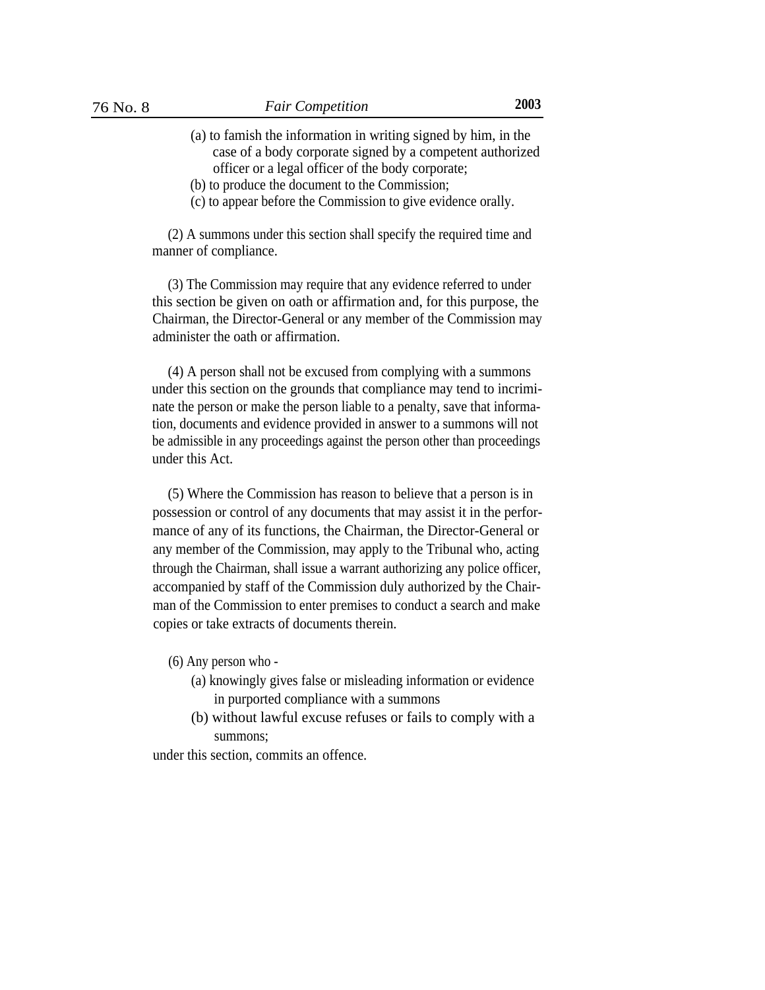- (a) to famish the information in writing signed by him, in the case of a body corporate signed by a competent authorized officer or a legal officer of the body corporate;
- (b) to produce the document to the Commission;
- (c) to appear before the Commission to give evidence orally.

(2) A summons under this section shall specify the required time and manner of compliance.

(3) The Commission may require that any evidence referred to under this section be given on oath or affirmation and, for this purpose, the Chairman, the Director-General or any member of the Commission may administer the oath or affirmation.

(4) A person shall not be excused from complying with a summons under this section on the grounds that compliance may tend to incriminate the person or make the person liable to a penalty, save that information, documents and evidence provided in answer to a summons will not be admissible in any proceedings against the person other than proceedings under this Act.

(5) Where the Commission has reason to believe that a person is in possession or control of any documents that may assist it in the performance of any of its functions, the Chairman, the Director-General or any member of the Commission, may apply to the Tribunal who, acting through the Chairman, shall issue a warrant authorizing any police officer, accompanied by staff of the Commission duly authorized by the Chairman of the Commission to enter premises to conduct a search and make copies or take extracts of documents therein.

(6) Any person who -

- (a) knowingly gives false or misleading information or evidence in purported compliance with a summons
- (b) without lawful excuse refuses or fails to comply with a summons;

under this section, commits an offence.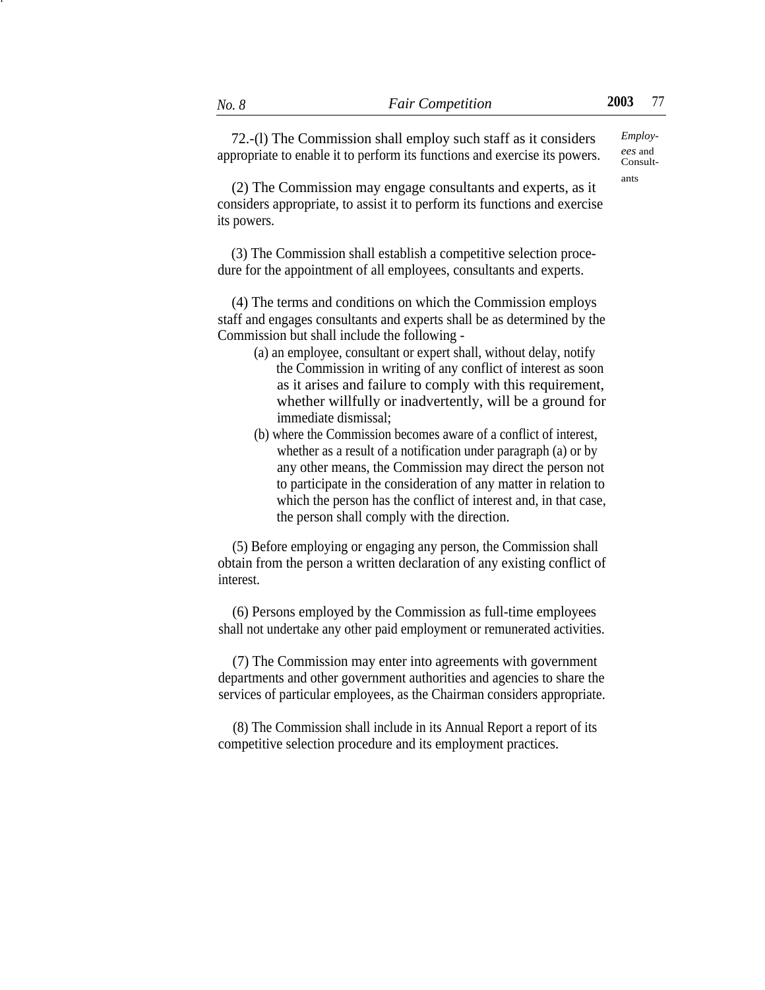72.-(l) The Commission shall employ such staff as it considers *Employ*appropriate to enable it to perform its functions and exercise its powers.

Consultants

(2) The Commission may engage consultants and experts, as it considers appropriate, to assist it to perform its functions and exercise its powers.

(3) The Commission shall establish a competitive selection procedure for the appointment of all employees, consultants and experts.

(4) The terms and conditions on which the Commission employs staff and engages consultants and experts shall be as determined by the Commission but shall include the following -

- (a) an employee, consultant or expert shall, without delay, notify the Commission in writing of any conflict of interest as soon as it arises and failure to comply with this requirement, whether willfully or inadvertently, will be a ground for immediate dismissal;
- (b) where the Commission becomes aware of a conflict of interest, whether as a result of a notification under paragraph (a) or by any other means, the Commission may direct the person not to participate in the consideration of any matter in relation to which the person has the conflict of interest and, in that case, the person shall comply with the direction.

(5) Before employing or engaging any person, the Commission shall obtain from the person a written declaration of any existing conflict of interest.

(6) Persons employed by the Commission as full-time employees shall not undertake any other paid employment or remunerated activities.

(7) The Commission may enter into agreements with government departments and other government authorities and agencies to share the services of particular employees, as the Chairman considers appropriate.

(8) The Commission shall include in its Annual Report a report of its competitive selection procedure and its employment practices.

 $\ddot{\phantom{0}}$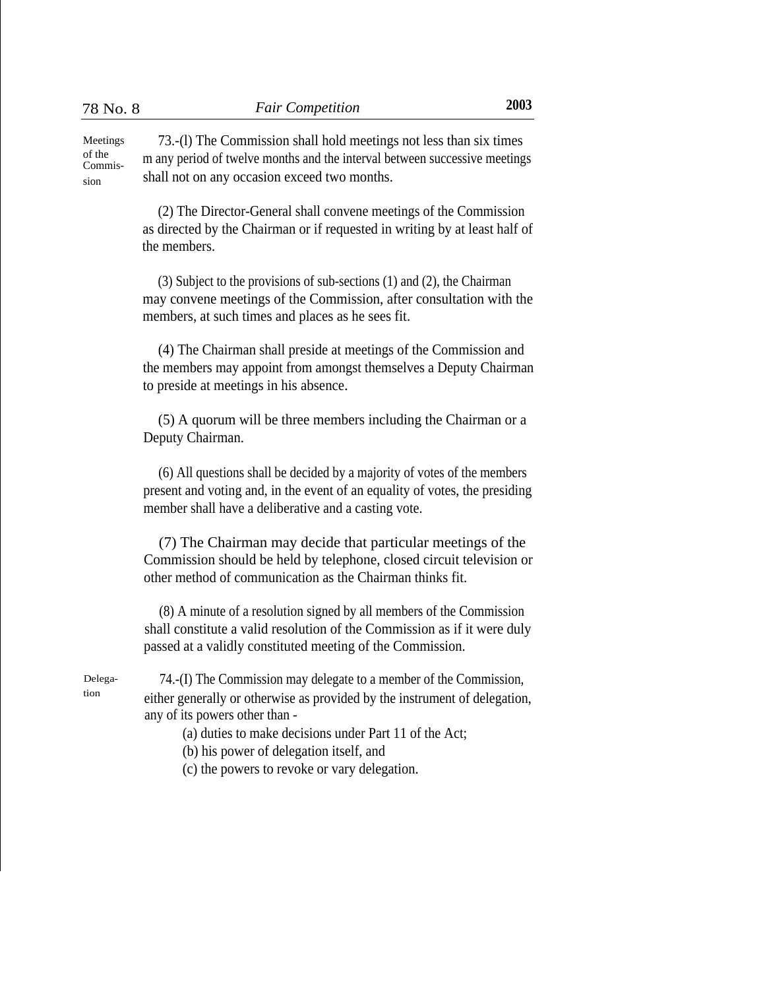73.-(l) The Commission shall hold meetings not less than six times m any period of twelve months and the interval between successive meetings shall not on any occasion exceed two months. Meetings of the Commission

> (2) The Director-General shall convene meetings of the Commission as directed by the Chairman or if requested in writing by at least half of the members.

> (3) Subject to the provisions of sub-sections (1) and (2), the Chairman may convene meetings of the Commission, after consultation with the members, at such times and places as he sees fit.

> (4) The Chairman shall preside at meetings of the Commission and the members may appoint from amongst themselves a Deputy Chairman to preside at meetings in his absence.

(5) A quorum will be three members including the Chairman or a Deputy Chairman.

(6) All questions shall be decided by a majority of votes of the members present and voting and, in the event of an equality of votes, the presiding member shall have a deliberative and a casting vote.

(7) The Chairman may decide that particular meetings of the Commission should be held by telephone, closed circuit television or other method of communication as the Chairman thinks fit.

(8) A minute of a resolution signed by all members of the Commission shall constitute a valid resolution of the Commission as if it were duly passed at a validly constituted meeting of the Commission.

Delegation

74.-(I) The Commission may delegate to a member of the Commission, either generally or otherwise as provided by the instrument of delegation, any of its powers other than -

(a) duties to make decisions under Part 11 of the Act;

- (b) his power of delegation itself, and
- (c) the powers to revoke or vary delegation.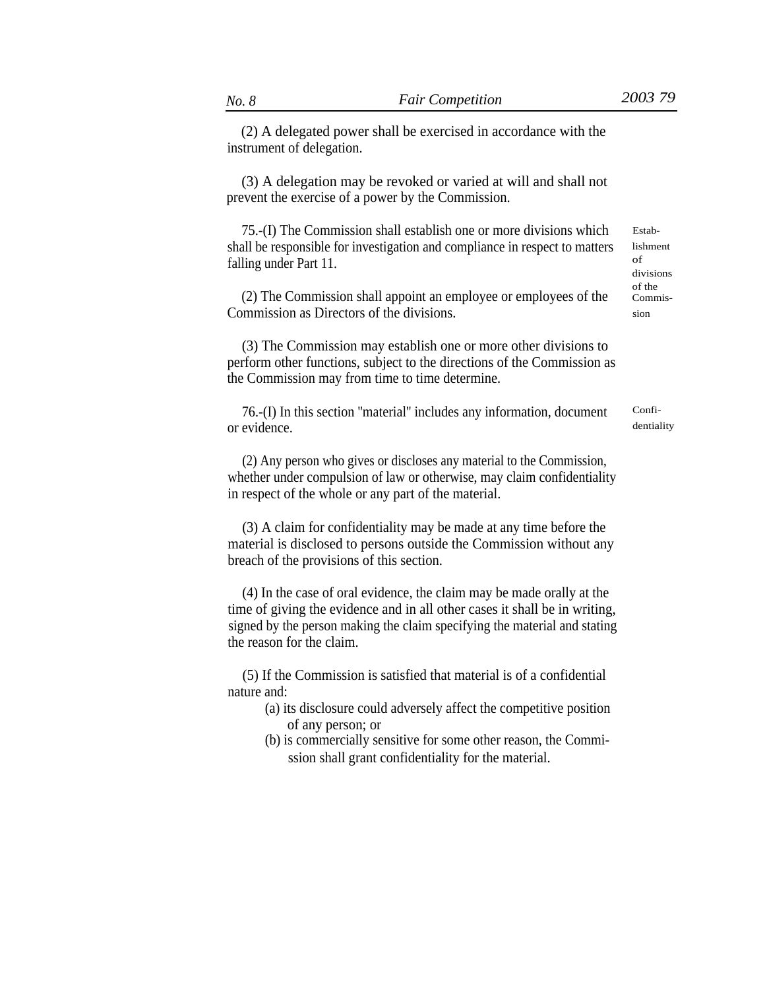(2) A delegated power shall be exercised in accordance with the instrument of delegation.

(3) A delegation may be revoked or varied at will and shall not prevent the exercise of a power by the Commission.

75.-(I) The Commission shall establish one or more divisions which shall be responsible for investigation and compliance in respect to matters falling under Part 11.

(2) The Commission shall appoint an employee or employees of the Commission as Directors of the divisions.

(3) The Commission may establish one or more other divisions to perform other functions, subject to the directions of the Commission as the Commission may from time to time determine.

76.-(I) In this section ''material'' includes any information, document or evidence.

(2) Any person who gives or discloses any material to the Commission, whether under compulsion of law or otherwise, may claim confidentiality in respect of the whole or any part of the material.

(3) A claim for confidentiality may be made at any time before the material is disclosed to persons outside the Commission without any breach of the provisions of this section.

(4) In the case of oral evidence, the claim may be made orally at the time of giving the evidence and in all other cases it shall be in writing, signed by the person making the claim specifying the material and stating the reason for the claim.

(5) If the Commission is satisfied that material is of a confidential nature and:

- (a) its disclosure could adversely affect the competitive position of any person; or
- (b) is commercially sensitive for some other reason, the Commission shall grant confidentiality for the material.

Establishment of divisions of the Commission

Confidentiality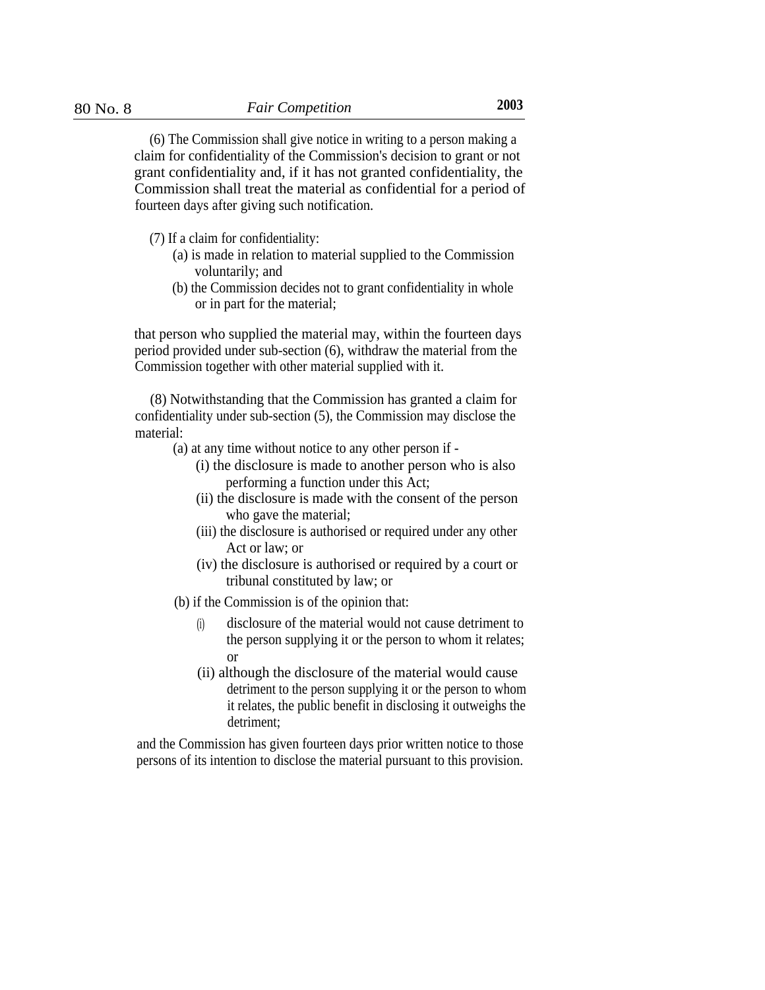(6) The Commission shall give notice in writing to a person making a claim for confidentiality of the Commission's decision to grant or not grant confidentiality and, if it has not granted confidentiality, the Commission shall treat the material as confidential for a period of fourteen days after giving such notification.

- (7) If a claim for confidentiality:
	- (a) is made in relation to material supplied to the Commission voluntarily; and
	- (b) the Commission decides not to grant confidentiality in whole or in part for the material;

that person who supplied the material may, within the fourteen days period provided under sub-section (6), withdraw the material from the Commission together with other material supplied with it.

(8) Notwithstanding that the Commission has granted a claim for confidentiality under sub-section (5), the Commission may disclose the material:

- (a) at any time without notice to any other person if
	- (i) the disclosure is made to another person who is also performing a function under this Act;
	- (ii) the disclosure is made with the consent of the person who gave the material;
	- (iii) the disclosure is authorised or required under any other Act or law; or
	- (iv) the disclosure is authorised or required by a court or tribunal constituted by law; or
- (b) if the Commission is of the opinion that:
	- disclosure of the material would not cause detriment to the person supplying it or the person to whom it relates; (i) or
	- (ii) although the disclosure of the material would cause detriment to the person supplying it or the person to whom it relates, the public benefit in disclosing it outweighs the detriment;

and the Commission has given fourteen days prior written notice to those persons of its intention to disclose the material pursuant to this provision.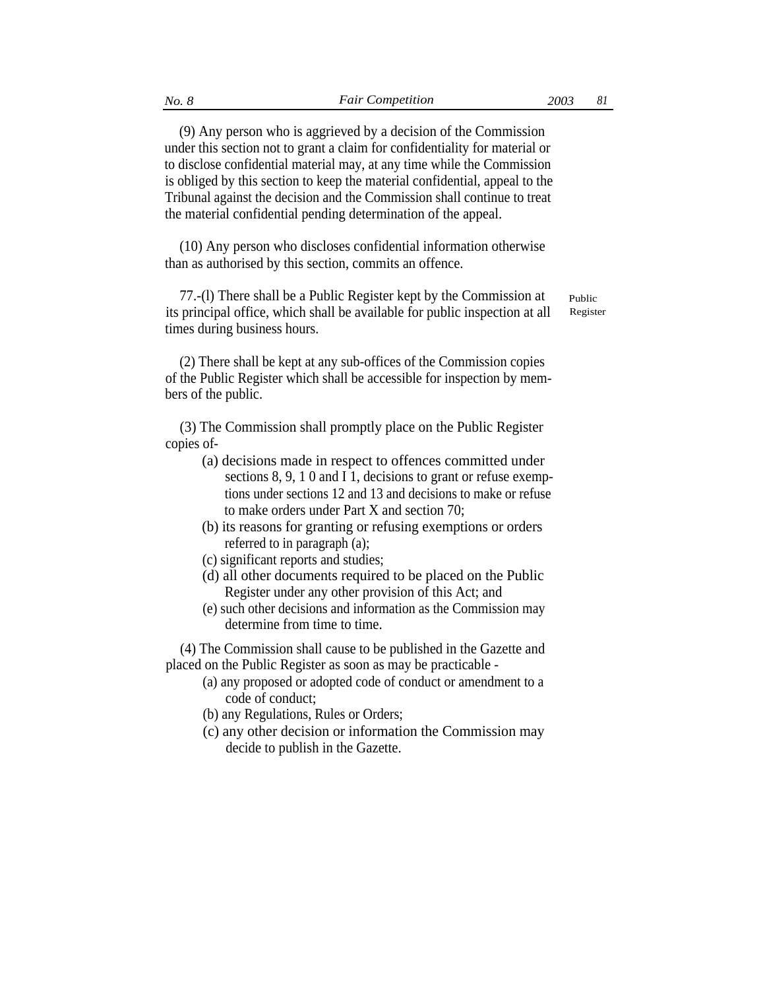(9) Any person who is aggrieved by a decision of the Commission under this section not to grant a claim for confidentiality for material or to disclose confidential material may, at any time while the Commission is obliged by this section to keep the material confidential, appeal to the Tribunal against the decision and the Commission shall continue to treat the material confidential pending determination of the appeal.

(10) Any person who discloses confidential information otherwise than as authorised by this section, commits an offence.

77.-(l) There shall be a Public Register kept by the Commission at its principal office, which shall be available for public inspection at all times during business hours.

(2) There shall be kept at any sub-offices of the Commission copies of the Public Register which shall be accessible for inspection by members of the public.

(3) The Commission shall promptly place on the Public Register copies of-

- (a) decisions made in respect to offences committed under sections 8, 9, 1 0 and I 1, decisions to grant or refuse exemptions under sections 12 and 13 and decisions to make or refuse to make orders under Part X and section 70;
- (b) its reasons for granting or refusing exemptions or orders referred to in paragraph (a);
- (c) significant reports and studies;
- (d) all other documents required to be placed on the Public Register under any other provision of this Act; and
- (e) such other decisions and information as the Commission may determine from time to time.

(4) The Commission shall cause to be published in the Gazette and placed on the Public Register as soon as may be practicable -

- (a) any proposed or adopted code of conduct or amendment to a code of conduct;
- (b) any Regulations, Rules or Orders;
- (c) any other decision or information the Commission may decide to publish in the Gazette.

Public Register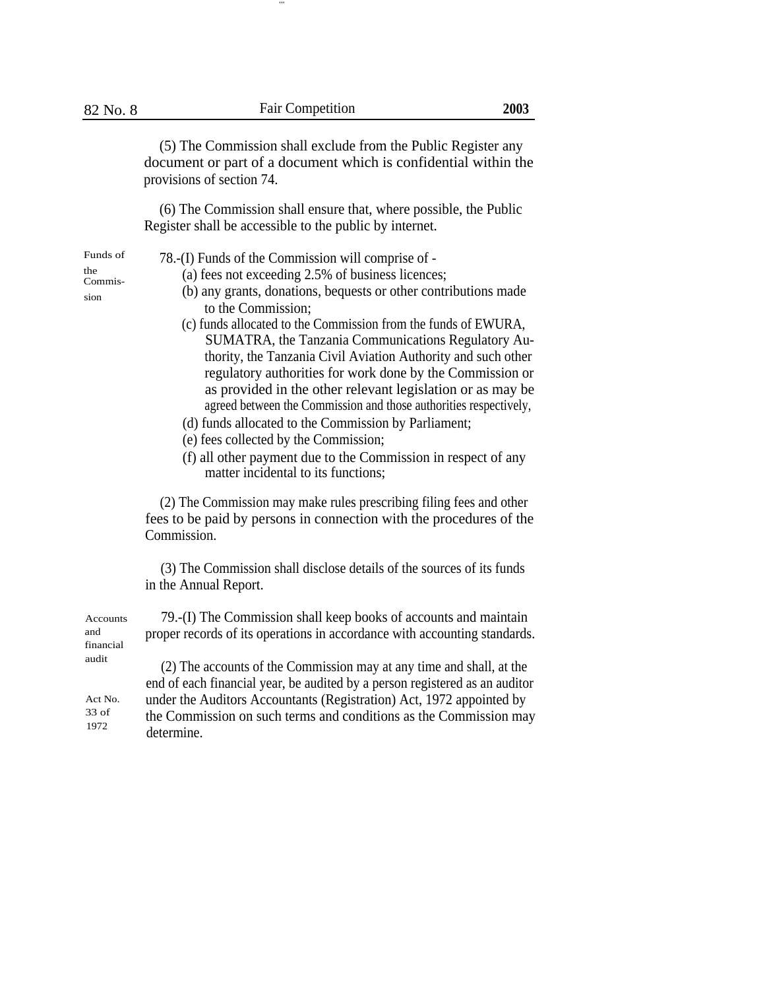...

(5) The Commission shall exclude from the Public Register any document or part of a document which is confidential within the provisions of section 74.

(6) The Commission shall ensure that, where possible, the Public Register shall be accessible to the public by internet.

- Funds of 78.-(I) Funds of the Commission will comprise of the  $(0.625 \times 10^{-10})$  for a parameter of  $(0.625 \times 10^{-10})$  Funds of business linear set
- $t_{\text{Commission}}^{the}$  (a) fees not exceeding 2.5% of business licences;
- (b) any grants, donations, bequests or other contributions made to the Commission;
	- (c) funds allocated to the Commission from the funds of EWURA, SUMATRA, the Tanzania Communications Regulatory Authority, the Tanzania Civil Aviation Authority and such other regulatory authorities for work done by the Commission or as provided in the other relevant legislation or as may be agreed between the Commission and those authorities respectively,
	- (d) funds allocated to the Commission by Parliament;
	- (e) fees collected by the Commission;
	- (f) all other payment due to the Commission in respect of any matter incidental to its functions;

(2) The Commission may make rules prescribing filing fees and other fees to be paid by persons in connection with the procedures of the Commission.

(3) The Commission shall disclose details of the sources of its funds in the Annual Report.

| Accounts  | 79.-(I) The Commission shall keep books of accounts and maintain                                                                                    |
|-----------|-----------------------------------------------------------------------------------------------------------------------------------------------------|
| and       | proper records of its operations in accordance with accounting standards.                                                                           |
| financial |                                                                                                                                                     |
| audit     | (2) The accounts of the Commission may at any time and shall, at the<br>end of each financial year, be audited by a person registered as an auditor |
| Act No.   | under the Auditors Accountants (Registration) Act, 1972 appointed by                                                                                |
| $33$ of   | the Commission on such terms and conditions as the Commission may                                                                                   |
| 1972      | determine.                                                                                                                                          |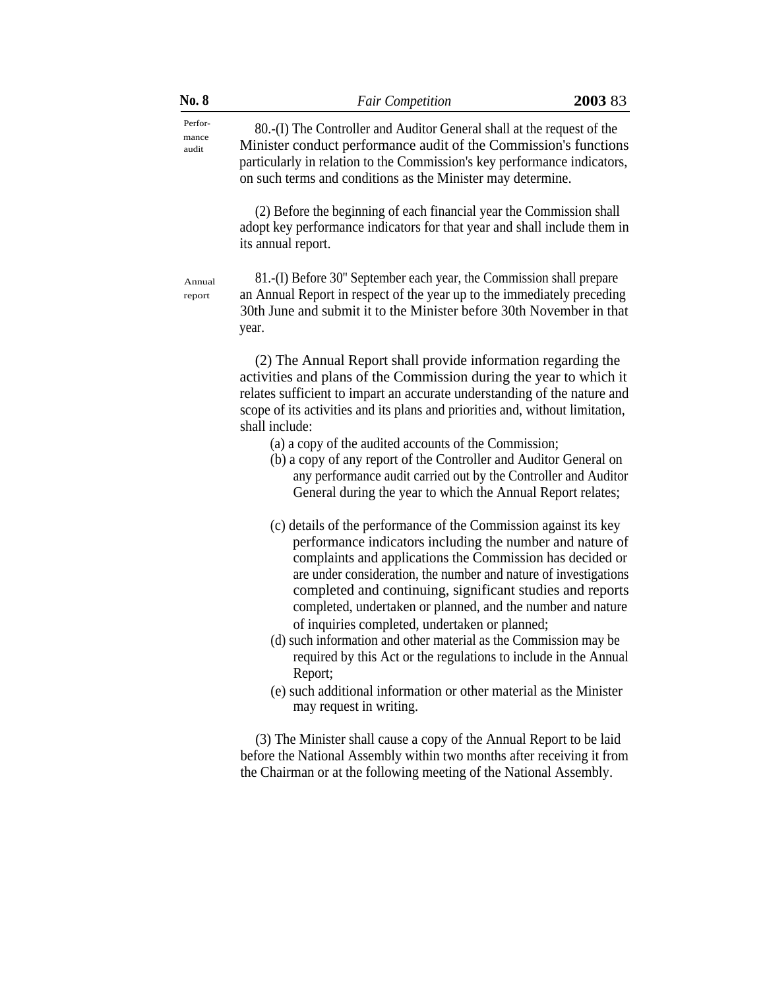| Perfor-<br>80.-(I) The Controller and Auditor General shall at the request of the<br>mance<br>Minister conduct performance audit of the Commission's functions<br>audit<br>particularly in relation to the Commission's key performance indicators,<br>on such terms and conditions as the Minister may determine.<br>(2) Before the beginning of each financial year the Commission shall<br>adopt key performance indicators for that year and shall include them in<br>its annual report.<br>81.-(I) Before 30" September each year, the Commission shall prepare<br>Annual<br>an Annual Report in respect of the year up to the immediately preceding<br>report<br>30th June and submit it to the Minister before 30th November in that<br>year.<br>(2) The Annual Report shall provide information regarding the<br>activities and plans of the Commission during the year to which it<br>relates sufficient to impart an accurate understanding of the nature and<br>scope of its activities and its plans and priorities and, without limitation,<br>shall include:<br>(a) a copy of the audited accounts of the Commission;<br>(b) a copy of any report of the Controller and Auditor General on<br>any performance audit carried out by the Controller and Auditor<br>General during the year to which the Annual Report relates;<br>(c) details of the performance of the Commission against its key<br>performance indicators including the number and nature of<br>complaints and applications the Commission has decided or<br>are under consideration, the number and nature of investigations<br>completed and continuing, significant studies and reports<br>completed, undertaken or planned, and the number and nature<br>of inquiries completed, undertaken or planned;<br>(d) such information and other material as the Commission may be<br>required by this Act or the regulations to include in the Annual<br>Report;<br>(e) such additional information or other material as the Minister<br>may request in writing.<br>(3) The Minister shall cause a copy of the Annual Report to be laid<br>before the National Assembly within two months after receiving it from<br>the Chairman or at the following meeting of the National Assembly. | No. 8 | <b>Fair Competition</b> | 2003 83 |
|----------------------------------------------------------------------------------------------------------------------------------------------------------------------------------------------------------------------------------------------------------------------------------------------------------------------------------------------------------------------------------------------------------------------------------------------------------------------------------------------------------------------------------------------------------------------------------------------------------------------------------------------------------------------------------------------------------------------------------------------------------------------------------------------------------------------------------------------------------------------------------------------------------------------------------------------------------------------------------------------------------------------------------------------------------------------------------------------------------------------------------------------------------------------------------------------------------------------------------------------------------------------------------------------------------------------------------------------------------------------------------------------------------------------------------------------------------------------------------------------------------------------------------------------------------------------------------------------------------------------------------------------------------------------------------------------------------------------------------------------------------------------------------------------------------------------------------------------------------------------------------------------------------------------------------------------------------------------------------------------------------------------------------------------------------------------------------------------------------------------------------------------------------------------------------------------------------------------------------------------------------------------|-------|-------------------------|---------|
|                                                                                                                                                                                                                                                                                                                                                                                                                                                                                                                                                                                                                                                                                                                                                                                                                                                                                                                                                                                                                                                                                                                                                                                                                                                                                                                                                                                                                                                                                                                                                                                                                                                                                                                                                                                                                                                                                                                                                                                                                                                                                                                                                                                                                                                                      |       |                         |         |
|                                                                                                                                                                                                                                                                                                                                                                                                                                                                                                                                                                                                                                                                                                                                                                                                                                                                                                                                                                                                                                                                                                                                                                                                                                                                                                                                                                                                                                                                                                                                                                                                                                                                                                                                                                                                                                                                                                                                                                                                                                                                                                                                                                                                                                                                      |       |                         |         |
|                                                                                                                                                                                                                                                                                                                                                                                                                                                                                                                                                                                                                                                                                                                                                                                                                                                                                                                                                                                                                                                                                                                                                                                                                                                                                                                                                                                                                                                                                                                                                                                                                                                                                                                                                                                                                                                                                                                                                                                                                                                                                                                                                                                                                                                                      |       |                         |         |
|                                                                                                                                                                                                                                                                                                                                                                                                                                                                                                                                                                                                                                                                                                                                                                                                                                                                                                                                                                                                                                                                                                                                                                                                                                                                                                                                                                                                                                                                                                                                                                                                                                                                                                                                                                                                                                                                                                                                                                                                                                                                                                                                                                                                                                                                      |       |                         |         |
|                                                                                                                                                                                                                                                                                                                                                                                                                                                                                                                                                                                                                                                                                                                                                                                                                                                                                                                                                                                                                                                                                                                                                                                                                                                                                                                                                                                                                                                                                                                                                                                                                                                                                                                                                                                                                                                                                                                                                                                                                                                                                                                                                                                                                                                                      |       |                         |         |
|                                                                                                                                                                                                                                                                                                                                                                                                                                                                                                                                                                                                                                                                                                                                                                                                                                                                                                                                                                                                                                                                                                                                                                                                                                                                                                                                                                                                                                                                                                                                                                                                                                                                                                                                                                                                                                                                                                                                                                                                                                                                                                                                                                                                                                                                      |       |                         |         |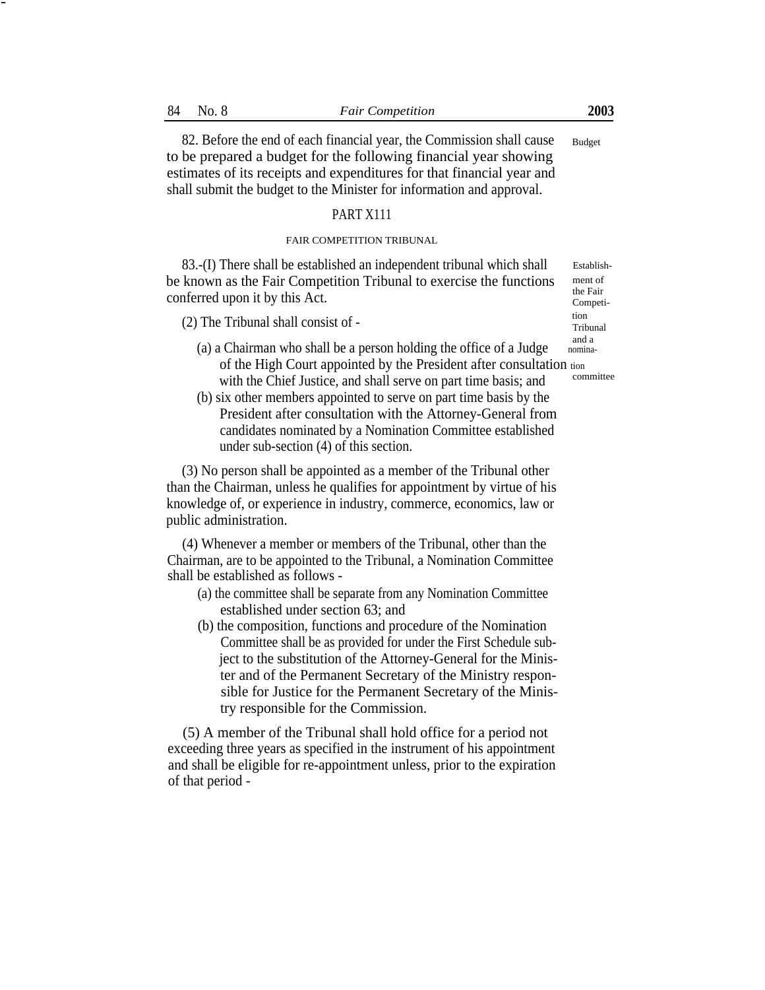-

82. Before the end of each financial year, the Commission shall cause to be prepared a budget for the following financial year showing estimates of its receipts and expenditures for that financial year and shall submit the budget to the Minister for information and approval. Budget

#### PART X111

### FAIR COMPETITION TRIBUNAL

83.-(I) There shall be established an independent tribunal which shall be known as the Fair Competition Tribunal to exercise the functions conferred upon it by this Act.

(2) The Tribunal shall consist of  $-$  Tribunal shall consist of  $-$  Tribunal

- (a) a Chairman who shall be a person holding the office of a Judge nominaof the High Court appointed by the President after consultation tion<br>with the Chief Institute and shall serves are not time basis and with the Chief Justice, and shall serve on part time basis; and
- (b) six other members appointed to serve on part time basis by the President after consultation with the Attorney-General from candidates nominated by a Nomination Committee established under sub-section (4) of this section.

(3) No person shall be appointed as a member of the Tribunal other than the Chairman, unless he qualifies for appointment by virtue of his knowledge of, or experience in industry, commerce, economics, law or public administration.

(4) Whenever a member or members of the Tribunal, other than the Chairman, are to be appointed to the Tribunal, a Nomination Committee shall be established as follows -

- (a) the committee shall be separate from any Nomination Committee established under section 63; and
- (b) the composition, functions and procedure of the Nomination Committee shall be as provided for under the First Schedule subject to the substitution of the Attorney-General for the Minister and of the Permanent Secretary of the Ministry responsible for Justice for the Permanent Secretary of the Ministry responsible for the Commission.

(5) A member of the Tribunal shall hold office for a period not exceeding three years as specified in the instrument of his appointment and shall be eligible for re-appointment unless, prior to the expiration of that period -

Establishment of the Fair Competi-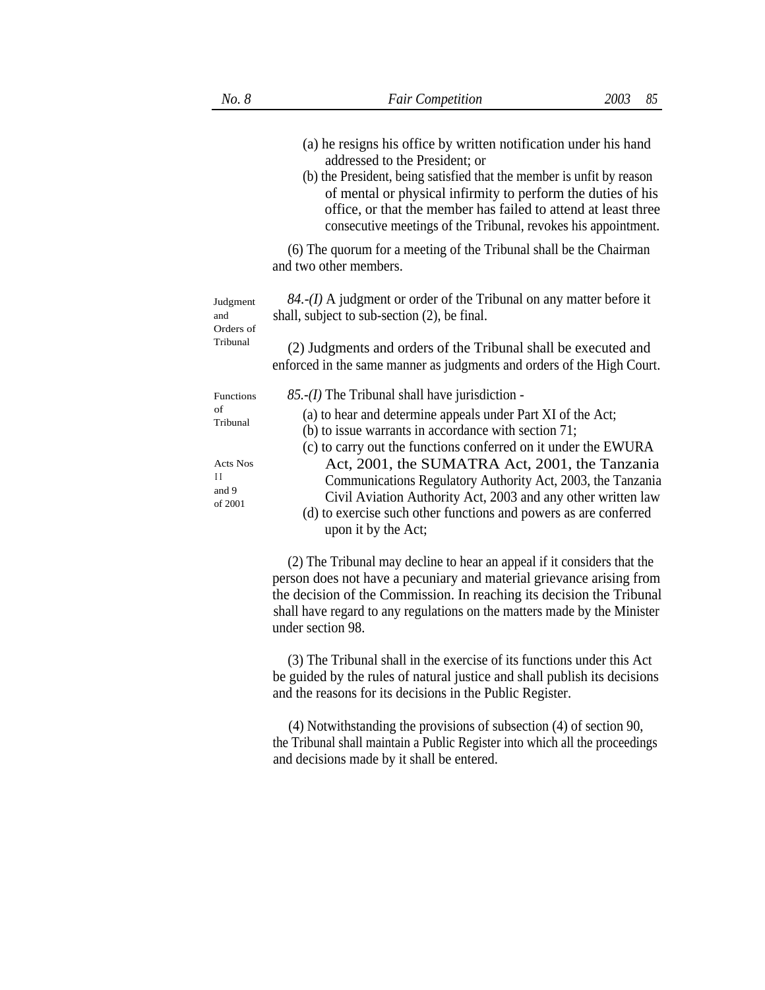|  |                                                | (a) he resigns his office by written notification under his hand<br>addressed to the President; or<br>(b) the President, being satisfied that the member is unfit by reason<br>of mental or physical infirmity to perform the duties of his<br>office, or that the member has failed to attend at least three<br>consecutive meetings of the Tribunal, revokes his appointment. |
|--|------------------------------------------------|---------------------------------------------------------------------------------------------------------------------------------------------------------------------------------------------------------------------------------------------------------------------------------------------------------------------------------------------------------------------------------|
|  |                                                | (6) The quorum for a meeting of the Tribunal shall be the Chairman<br>and two other members.                                                                                                                                                                                                                                                                                    |
|  | Judgment<br>and<br>Orders of                   | $84.$ -(I) A judgment or order of the Tribunal on any matter before it<br>shall, subject to sub-section (2), be final.                                                                                                                                                                                                                                                          |
|  | Tribunal                                       | (2) Judgments and orders of the Tribunal shall be executed and<br>enforced in the same manner as judgments and orders of the High Court.                                                                                                                                                                                                                                        |
|  | Functions                                      | $85. -(I)$ The Tribunal shall have jurisdiction -                                                                                                                                                                                                                                                                                                                               |
|  | of<br>Tribunal                                 | (a) to hear and determine appeals under Part XI of the Act;<br>(b) to issue warrants in accordance with section 71;<br>(c) to carry out the functions conferred on it under the EWURA                                                                                                                                                                                           |
|  | <b>Acts Nos</b><br>$_{II}$<br>and 9<br>of 2001 | Act, 2001, the SUMATRA Act, 2001, the Tanzania<br>Communications Regulatory Authority Act, 2003, the Tanzania<br>Civil Aviation Authority Act, 2003 and any other written law<br>(d) to exercise such other functions and powers as are conferred<br>upon it by the Act;                                                                                                        |
|  |                                                |                                                                                                                                                                                                                                                                                                                                                                                 |

(2) The Tribunal may decline to hear an appeal if it considers that the person does not have a pecuniary and material grievance arising from the decision of the Commission. In reaching its decision the Tribunal shall have regard to any regulations on the matters made by the Minister under section 98.

(3) The Tribunal shall in the exercise of its functions under this Act be guided by the rules of natural justice and shall publish its decisions and the reasons for its decisions in the Public Register.

(4) Notwithstanding the provisions of subsection (4) of section 90, the Tribunal shall maintain a Public Register into which all the proceedings and decisions made by it shall be entered.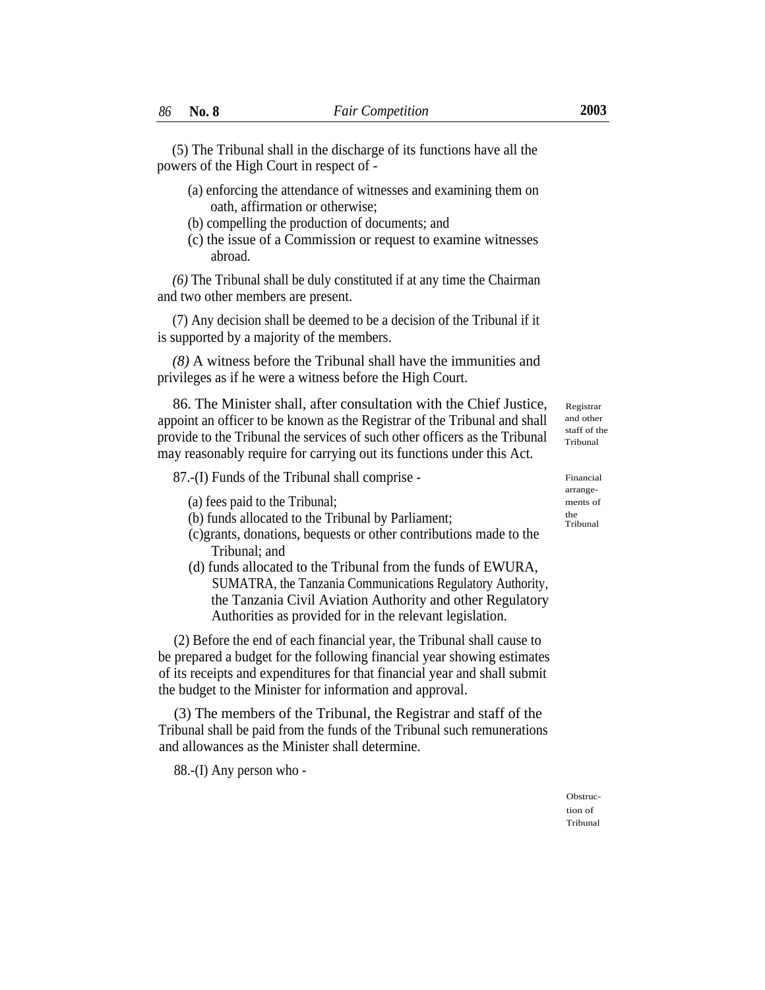(5) The Tribunal shall in the discharge of its functions have all the powers of the High Court in respect of -

- (a) enforcing the attendance of witnesses and examining them on oath, affirmation or otherwise;
- (b) compelling the production of documents; and
- (c) the issue of a Commission or request to examine witnesses abroad.

*(6)* The Tribunal shall be duly constituted if at any time the Chairman and two other members are present.

(7) Any decision shall be deemed to be a decision of the Tribunal if it is supported by a majority of the members.

*(8)* A witness before the Tribunal shall have the immunities and privileges as if he were a witness before the High Court.

86. The Minister shall, after consultation with the Chief Justice, appoint an officer to be known as the Registrar of the Tribunal and shall provide to the Tribunal the services of such other officers as the Tribunal may reasonably require for carrying out its functions under this Act.

87.-(I) Funds of the Tribunal shall comprise - Financial

(a) fees paid to the Tribunal; ments of

(b) funds allocated to the Tribunal by Parliament;  $t_{\text{rel}}$ 

- (c)grants, donations, bequests or other contributions made to the Tribunal; and
- (d) funds allocated to the Tribunal from the funds of EWURA, SUMATRA, the Tanzania Communications Regulatory Authority, the Tanzania Civil Aviation Authority and other Regulatory Authorities as provided for in the relevant legislation.

(2) Before the end of each financial year, the Tribunal shall cause to be prepared a budget for the following financial year showing estimates of its receipts and expenditures for that financial year and shall submit the budget to the Minister for information and approval.

(3) The members of the Tribunal, the Registrar and staff of the Tribunal shall be paid from the funds of the Tribunal such remunerations and allowances as the Minister shall determine.

88.-(I) Any person who -

Registrar and other staff of the Tribunal

arrange- Tribunal

Obstruction of Tribunal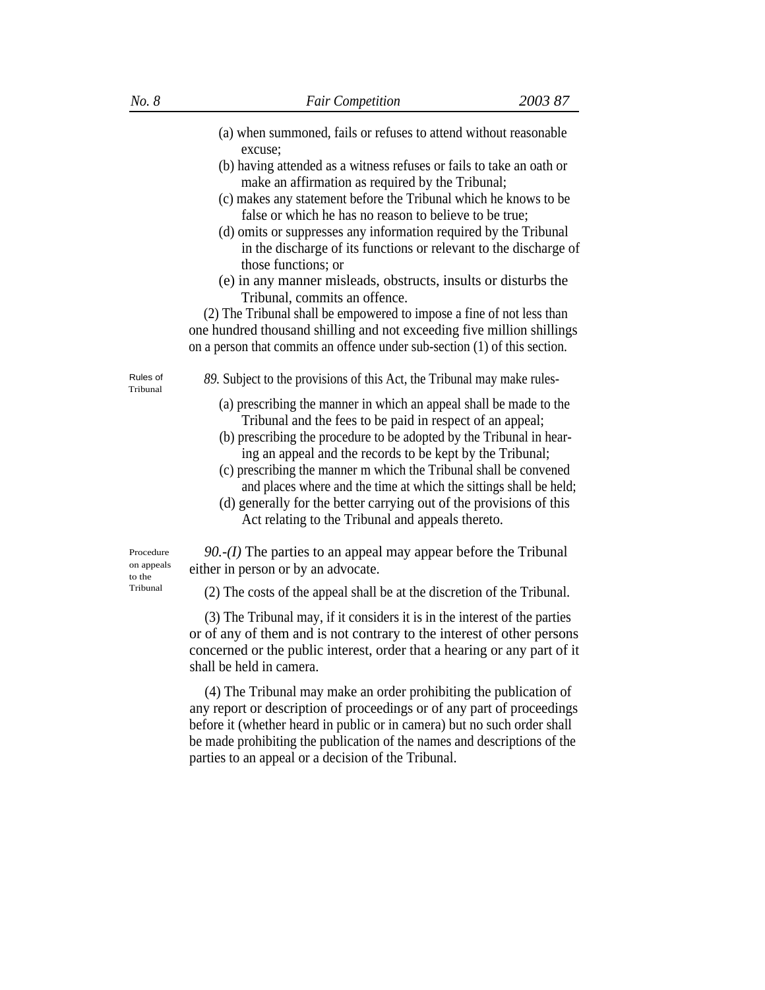- (a) when summoned, fails or refuses to attend without reasonable excuse;
- (b) having attended as a witness refuses or fails to take an oath or make an affirmation as required by the Tribunal;
- (c) makes any statement before the Tribunal which he knows to be false or which he has no reason to believe to be true;
- (d) omits or suppresses any information required by the Tribunal in the discharge of its functions or relevant to the discharge of those functions; or
- (e) in any manner misleads, obstructs, insults or disturbs the Tribunal, commits an offence.

(2) The Tribunal shall be empowered to impose a fine of not less than one hundred thousand shilling and not exceeding five million shillings on a person that commits an offence under sub-section (1) of this section.

Tribunal

Rules of 89. Subject to the provisions of this Act, the Tribunal may make rules-

- (a) prescribing the manner in which an appeal shall be made to the Tribunal and the fees to be paid in respect of an appeal;
- (b) prescribing the procedure to be adopted by the Tribunal in hearing an appeal and the records to be kept by the Tribunal;
- (c) prescribing the manner m which the Tribunal shall be convened and places where and the time at which the sittings shall be held;
- (d) generally for the better carrying out of the provisions of this Act relating to the Tribunal and appeals thereto.

*90.-(I)* The parties to an appeal may appear before the Tribunal either in person or by an advocate.

 $T<sub>ribunal</sub>$  (2) The costs of the appeal shall be at the discretion of the Tribunal.

(3) The Tribunal may, if it considers it is in the interest of the parties or of any of them and is not contrary to the interest of other persons concerned or the public interest, order that a hearing or any part of it shall be held in camera.

(4) The Tribunal may make an order prohibiting the publication of any report or description of proceedings or of any part of proceedings before it (whether heard in public or in camera) but no such order shall be made prohibiting the publication of the names and descriptions of the parties to an appeal or a decision of the Tribunal.

Procedure on appeals to the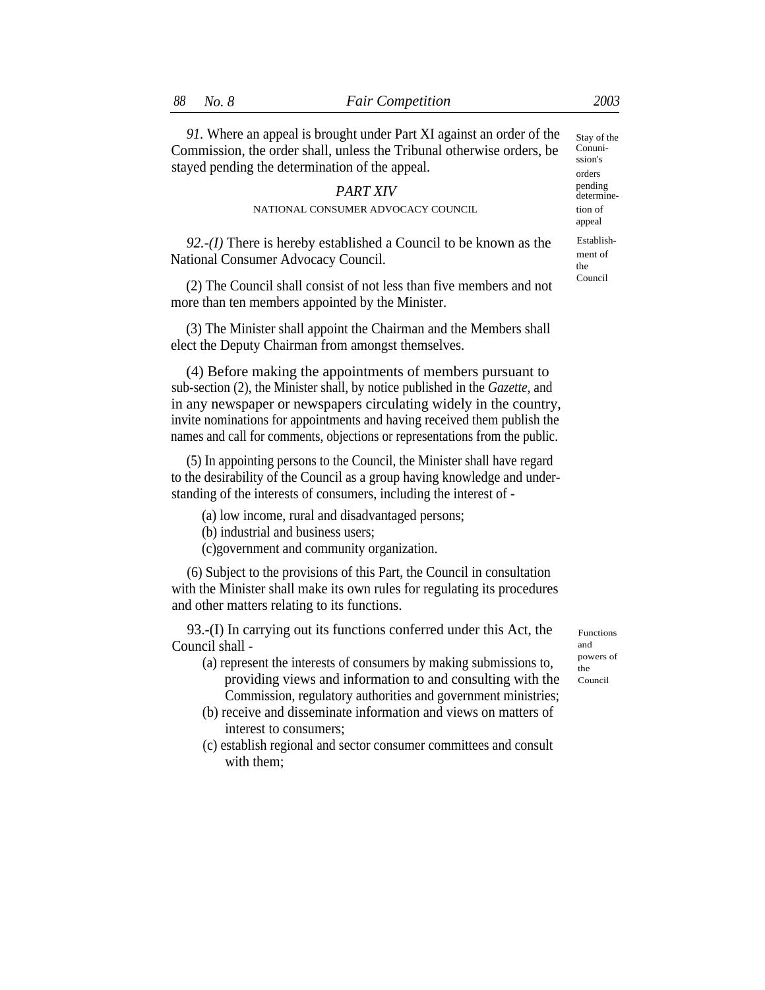*91.* Where an appeal is brought under Part XI against an order of the Commission, the order shall, unless the Tribunal otherwise orders, be stayed pending the determination of the appeal.

# **PART XIV** pending determine-

### NATIONAL CONSUMER ADVOCACY COUNCIL tion of

*92.-(I)* There is hereby established a Council to be known as the National Consumer Advocacy Council.

Council (2) The Council shall consist of not less than five members and not more than ten members appointed by the Minister.

(3) The Minister shall appoint the Chairman and the Members shall elect the Deputy Chairman from amongst themselves.

(4) Before making the appointments of members pursuant to sub-section (2), the Minister shall, by notice published in the *Gazette,* and in any newspaper or newspapers circulating widely in the country, invite nominations for appointments and having received them publish the names and call for comments, objections or representations from the public.

(5) In appointing persons to the Council, the Minister shall have regard to the desirability of the Council as a group having knowledge and understanding of the interests of consumers, including the interest of -

(a) low income, rural and disadvantaged persons;

(b) industrial and business users;

(c)government and community organization.

(6) Subject to the provisions of this Part, the Council in consultation with the Minister shall make its own rules for regulating its procedures and other matters relating to its functions.

93.-(I) In carrying out its functions conferred under this Act, the  $_{\text{Functions}}$  $\frac{1}{2}$  Council shall - and  $\frac{1}{2}$  and  $\frac{1}{2}$  and  $\frac{1}{2}$  and  $\frac{1}{2}$  convers of

- (a) represent the interests of consumers by making submissions to,  $\frac{p}{r_{\text{the}}}$ providing views and information to and consulting with the Council Commission, regulatory authorities and government ministries;
- (b) receive and disseminate information and views on matters of interest to consumers;
- (c) establish regional and sector consumer committees and consult with them;

Stay of the Conunission's orders appeal Establishment of the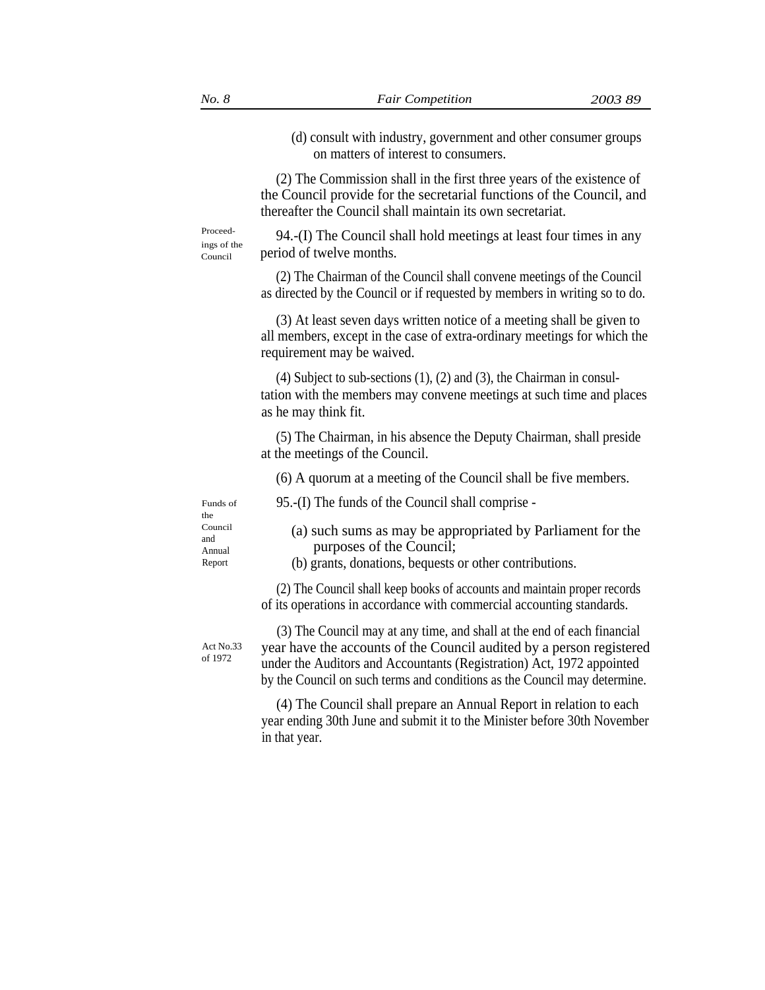(d) consult with industry, government and other consumer groups on matters of interest to consumers.

(2) The Commission shall in the first three years of the existence of the Council provide for the secretarial functions of the Council, and thereafter the Council shall maintain its own secretariat.

Council

Proceed- 94.-(I) The Council shall hold meetings at least four times in any  $\frac{1}{2}$ period of twelve months.

> (2) The Chairman of the Council shall convene meetings of the Council as directed by the Council or if requested by members in writing so to do.

> (3) At least seven days written notice of a meeting shall be given to all members, except in the case of extra-ordinary meetings for which the requirement may be waived.

> (4) Subject to sub-sections (1), (2) and (3), the Chairman in consultation with the members may convene meetings at such time and places as he may think fit.

(5) The Chairman, in his absence the Deputy Chairman, shall preside at the meetings of the Council.

(6) A quorum at a meeting of the Council shall be five members.

Funds of 95.-(I) The funds of the Council shall comprise -

the and

- Council (a) such sums as may be appropriated by Parliament for the Annual purposes of the Council;
- Report (b) grants, donations, bequests or other contributions.

(2) The Council shall keep books of accounts and maintain proper records of its operations in accordance with commercial accounting standards.

Act No.33 of 1972

(3) The Council may at any time, and shall at the end of each financial year have the accounts of the Council audited by a person registered under the Auditors and Accountants (Registration) Act, 1972 appointed by the Council on such terms and conditions as the Council may determine.

(4) The Council shall prepare an Annual Report in relation to each year ending 30th June and submit it to the Minister before 30th November in that year.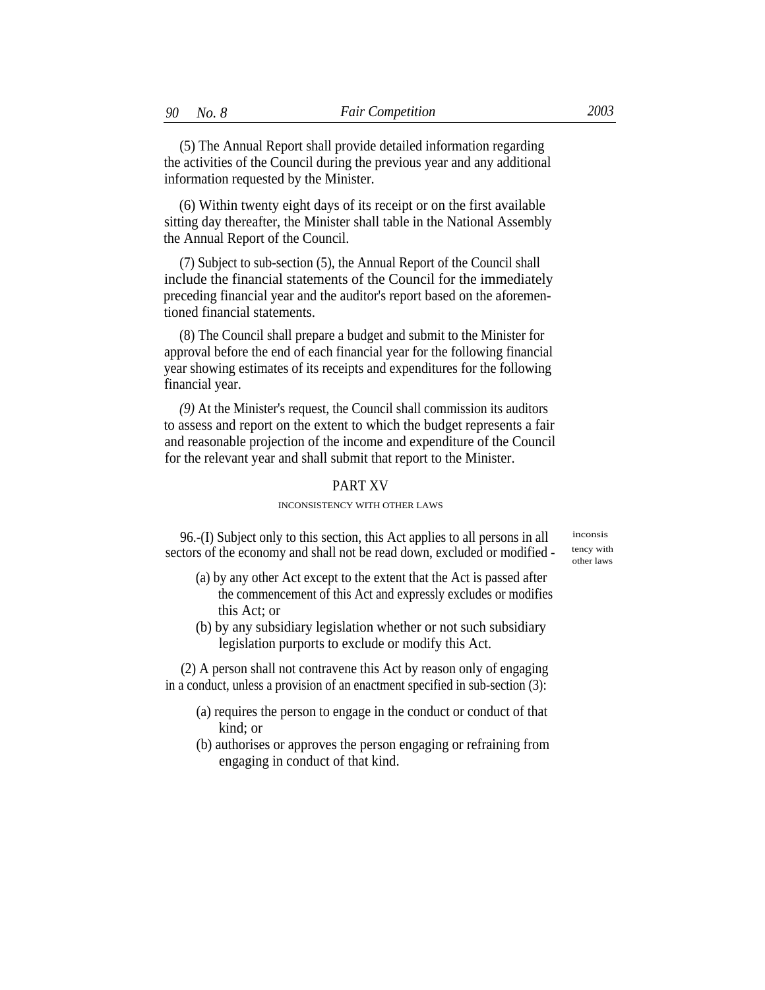(5) The Annual Report shall provide detailed information regarding the activities of the Council during the previous year and any additional information requested by the Minister.

(6) Within twenty eight days of its receipt or on the first available sitting day thereafter, the Minister shall table in the National Assembly the Annual Report of the Council.

(7) Subject to sub-section (5), the Annual Report of the Council shall include the financial statements of the Council for the immediately preceding financial year and the auditor's report based on the aforementioned financial statements.

(8) The Council shall prepare a budget and submit to the Minister for approval before the end of each financial year for the following financial year showing estimates of its receipts and expenditures for the following financial year.

*(9)* At the Minister's request, the Council shall commission its auditors to assess and report on the extent to which the budget represents a fair and reasonable projection of the income and expenditure of the Council for the relevant year and shall submit that report to the Minister.

## PART XV

### INCONSISTENCY WITH OTHER LAWS

96.-(I) Subject only to this section, this Act applies to all persons in all sectors of the economy and shall not be read down, excluded or modified -

inconsis tency with other laws

- (a) by any other Act except to the extent that the Act is passed after the commencement of this Act and expressly excludes or modifies this Act; or
- (b) by any subsidiary legislation whether or not such subsidiary legislation purports to exclude or modify this Act.

(2) A person shall not contravene this Act by reason only of engaging in a conduct, unless a provision of an enactment specified in sub-section (3):

- (a) requires the person to engage in the conduct or conduct of that kind; or
- (b) authorises or approves the person engaging or refraining from engaging in conduct of that kind.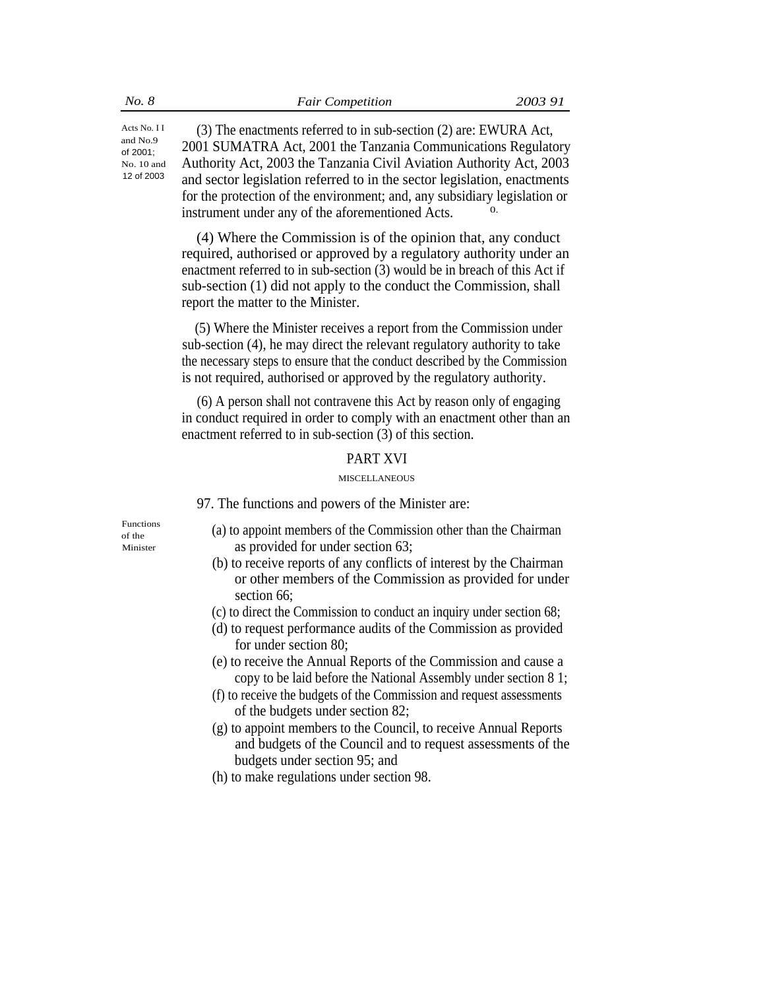(3) The enactments referred to in sub-section (2) are: EWURA Act, 2001 SUMATRA Act, 2001 the Tanzania Communications Regulatory Authority Act, 2003 the Tanzania Civil Aviation Authority Act, 2003 and sector legislation referred to in the sector legislation, enactments Acts No. I I and No.9 of 2001; No. 10 and 12 of 2003 for the protection of the environment; and, any subsidiary legislation or instrument under any of the aforementioned Acts.

> (4) Where the Commission is of the opinion that, any conduct required, authorised or approved by a regulatory authority under an enactment referred to in sub-section (3) would be in breach of this Act if sub-section (1) did not apply to the conduct the Commission, shall report the matter to the Minister.

> (5) Where the Minister receives a report from the Commission under sub-section (4), he may direct the relevant regulatory authority to take the necessary steps to ensure that the conduct described by the Commission is not required, authorised or approved by the regulatory authority.

> (6) A person shall not contravene this Act by reason only of engaging in conduct required in order to comply with an enactment other than an enactment referred to in sub-section (3) of this section.

## PART XVI

#### MISCELLANEOUS

97. The functions and powers of the Minister are:

- Functions (a) to appoint members of the Commission other than the Chairman of the Minister as provided for under section 63;
	- (b) to receive reports of any conflicts of interest by the Chairman or other members of the Commission as provided for under section 66;
	- (c) to direct the Commission to conduct an inquiry under section 68;
	- (d) to request performance audits of the Commission as provided for under section 80;
	- (e) to receive the Annual Reports of the Commission and cause a copy to be laid before the National Assembly under section 8 1;
	- (f) to receive the budgets of the Commission and request assessments of the budgets under section 82;
	- (g) to appoint members to the Council, to receive Annual Reports and budgets of the Council and to request assessments of the budgets under section 95; and
	- (h) to make regulations under section 98.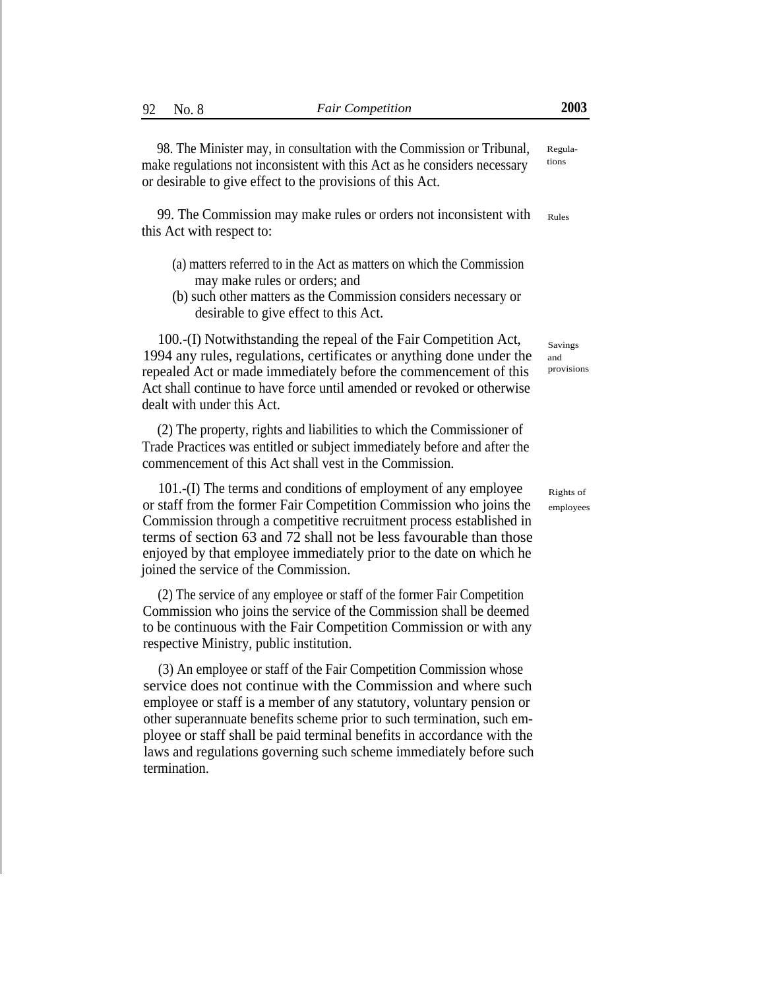98. The Minister may, in consultation with the Commission or Tribunal, make regulations not inconsistent with this Act as he considers necessary or desirable to give effect to the provisions of this Act. Regulations

99. The Commission may make rules or orders not inconsistent with this Act with respect to: Rules

- (a) matters referred to in the Act as matters on which the Commission may make rules or orders; and
- (b) such other matters as the Commission considers necessary or desirable to give effect to this Act.

100.-(I) Notwithstanding the repeal of the Fair Competition Act, 1994 any rules, regulations, certificates or anything done under the repealed Act or made immediately before the commencement of this Act shall continue to have force until amended or revoked or otherwise dealt with under this Act.

(2) The property, rights and liabilities to which the Commissioner of Trade Practices was entitled or subject immediately before and after the commencement of this Act shall vest in the Commission.

101.-(I) The terms and conditions of employment of any employee or staff from the former Fair Competition Commission who joins the Commission through a competitive recruitment process established in terms of section 63 and 72 shall not be less favourable than those enjoyed by that employee immediately prior to the date on which he joined the service of the Commission.

(2) The service of any employee or staff of the former Fair Competition Commission who joins the service of the Commission shall be deemed to be continuous with the Fair Competition Commission or with any respective Ministry, public institution.

(3) An employee or staff of the Fair Competition Commission whose service does not continue with the Commission and where such employee or staff is a member of any statutory, voluntary pension or other superannuate benefits scheme prior to such termination, such employee or staff shall be paid terminal benefits in accordance with the laws and regulations governing such scheme immediately before such termination.

Savings and provisions

Rights of employees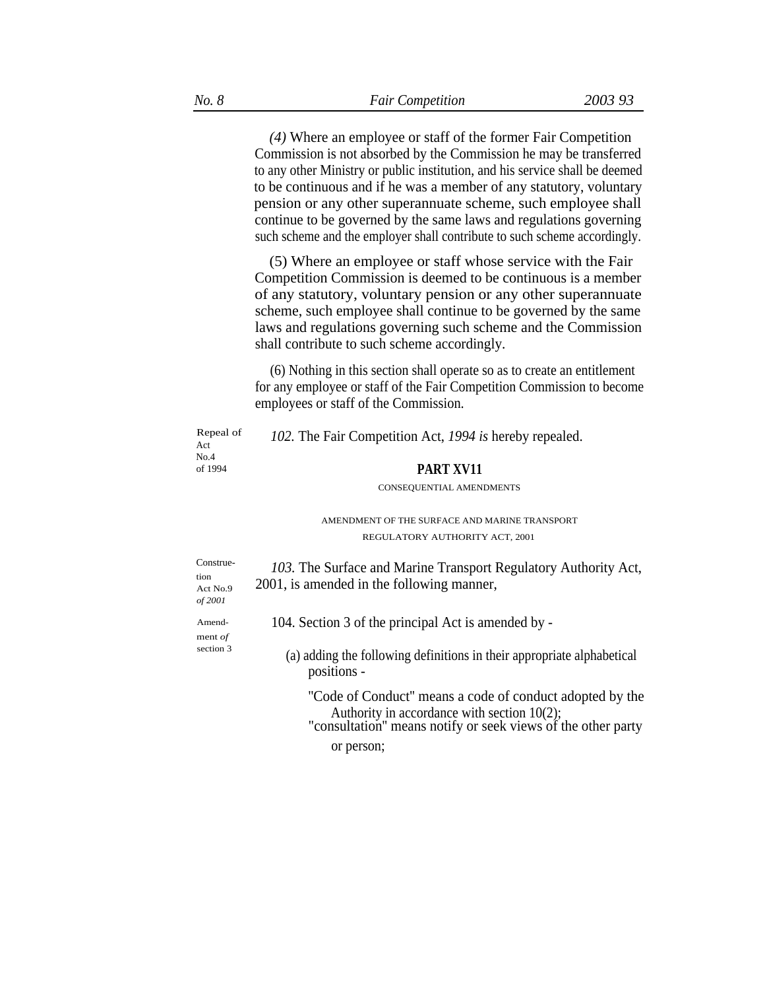*(4)* Where an employee or staff of the former Fair Competition Commission is not absorbed by the Commission he may be transferred to any other Ministry or public institution, and his service shall be deemed to be continuous and if he was a member of any statutory, voluntary pension or any other superannuate scheme, such employee shall continue to be governed by the same laws and regulations governing such scheme and the employer shall contribute to such scheme accordingly.

(5) Where an employee or staff whose service with the Fair Competition Commission is deemed to be continuous is a member of any statutory, voluntary pension or any other superannuate scheme, such employee shall continue to be governed by the same laws and regulations governing such scheme and the Commission shall contribute to such scheme accordingly.

(6) Nothing in this section shall operate so as to create an entitlement for any employee or staff of the Fair Competition Commission to become employees or staff of the Commission.

| Repeal of<br>Act<br>No.4                 | 102. The Fair Competition Act, 1994 is hereby repealed.                                                                                                                    |
|------------------------------------------|----------------------------------------------------------------------------------------------------------------------------------------------------------------------------|
| of 1994                                  | PART XV11                                                                                                                                                                  |
|                                          | CONSEQUENTIAL AMENDMENTS                                                                                                                                                   |
|                                          | AMENDMENT OF THE SURFACE AND MARINE TRANSPORT                                                                                                                              |
|                                          | REGULATORY AUTHORITY ACT, 2001                                                                                                                                             |
| Construe-<br>tion<br>Act No.9<br>of 2001 | 103. The Surface and Marine Transport Regulatory Authority Act,<br>2001, is amended in the following manner,                                                               |
| Amend-<br>ment $of$                      | 104. Section 3 of the principal Act is amended by -                                                                                                                        |
| section 3                                | (a) adding the following definitions in their appropriate alphabetical<br>positions -                                                                                      |
|                                          | "Code of Conduct" means a code of conduct adopted by the<br>Authority in accordance with section $10(2)$ ;<br>"consultation" means notify or seek views of the other party |
|                                          | or person;                                                                                                                                                                 |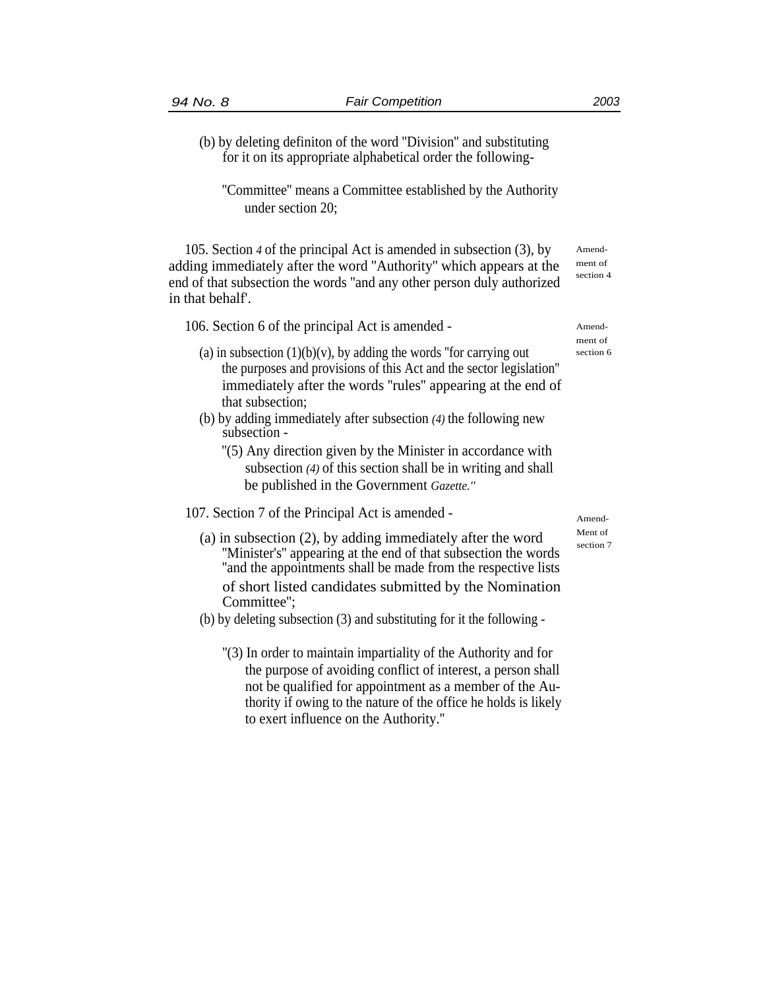- 
- (b) by deleting definiton of the word ''Division'' and substituting for it on its appropriate alphabetical order the following-
	- ''Committee'' means a Committee established by the Authority under section 20;

105. Section *4* of the principal Act is amended in subsection (3), by adding immediately after the word ''Authority'' which appears at the end of that subsection the words ''and any other person duly authorized in that behalf'.

106. Section 6 of the principal Act is amended - Amend-

- (a) in subsection  $(1)(b)(v)$ , by adding the words "for carrying out section 6 the purposes and provisions of this Act and the sector legislation'' immediately after the words ''rules'' appearing at the end of that subsection;
- (b) by adding immediately after subsection *(4)* the following new subsection -
	- ''(5) Any direction given by the Minister in accordance with subsection *(4)* of this section shall be in writing and shall be published in the Government *Gazette.''*

# 107. Section 7 of the Principal Act is amended -

- (a) in subsection (2), by adding immediately after the word<br>"Minister's" appearing at the end of that subsection the words ''and the appointments shall be made from the respective lists of short listed candidates submitted by the Nomination Committee'';
- (b) by deleting subsection (3) and substituting for it the following
	- ''(3) In order to maintain impartiality of the Authority and for the purpose of avoiding conflict of interest, a person shall not be qualified for appointment as a member of the Authority if owing to the nature of the office he holds is likely to exert influence on the Authority.''

ment of

Amendment of section 4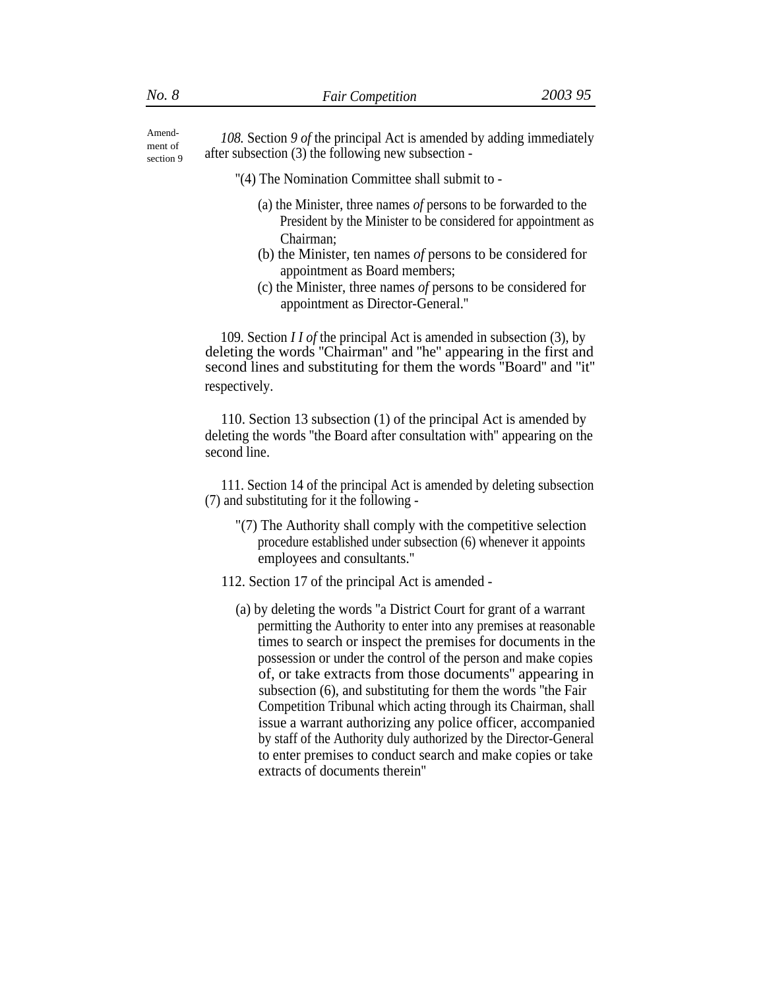Amend-<br> *108.* Section 9 of the principal Act is amended by adding immediately after subsection  $(3)$  the following new subsection section 9

''(4) The Nomination Committee shall submit to -

- (a) the Minister, three names *of* persons to be forwarded to the President by the Minister to be considered for appointment as Chairman;
- (b) the Minister, ten names *of* persons to be considered for appointment as Board members;
- (c) the Minister, three names *of* persons to be considered for appointment as Director-General.''

109. Section *I I of* the principal Act is amended in subsection (3), by deleting the words ''Chairman'' and ''he'' appearing in the first and second lines and substituting for them the words ''Board'' and ''it'' respectively.

110. Section 13 subsection (1) of the principal Act is amended by deleting the words ''the Board after consultation with'' appearing on the second line.

111. Section 14 of the principal Act is amended by deleting subsection (7) and substituting for it the following -

- "(7) The Authority shall comply with the competitive selection procedure established under subsection (6) whenever it appoints employees and consultants.''
- 112. Section 17 of the principal Act is amended
	- (a) by deleting the words ''a District Court for grant of a warrant permitting the Authority to enter into any premises at reasonable times to search or inspect the premises for documents in the possession or under the control of the person and make copies of, or take extracts from those documents'' appearing in subsection (6), and substituting for them the words ''the Fair Competition Tribunal which acting through its Chairman, shall issue a warrant authorizing any police officer, accompanied by staff of the Authority duly authorized by the Director-General to enter premises to conduct search and make copies or take extracts of documents therein''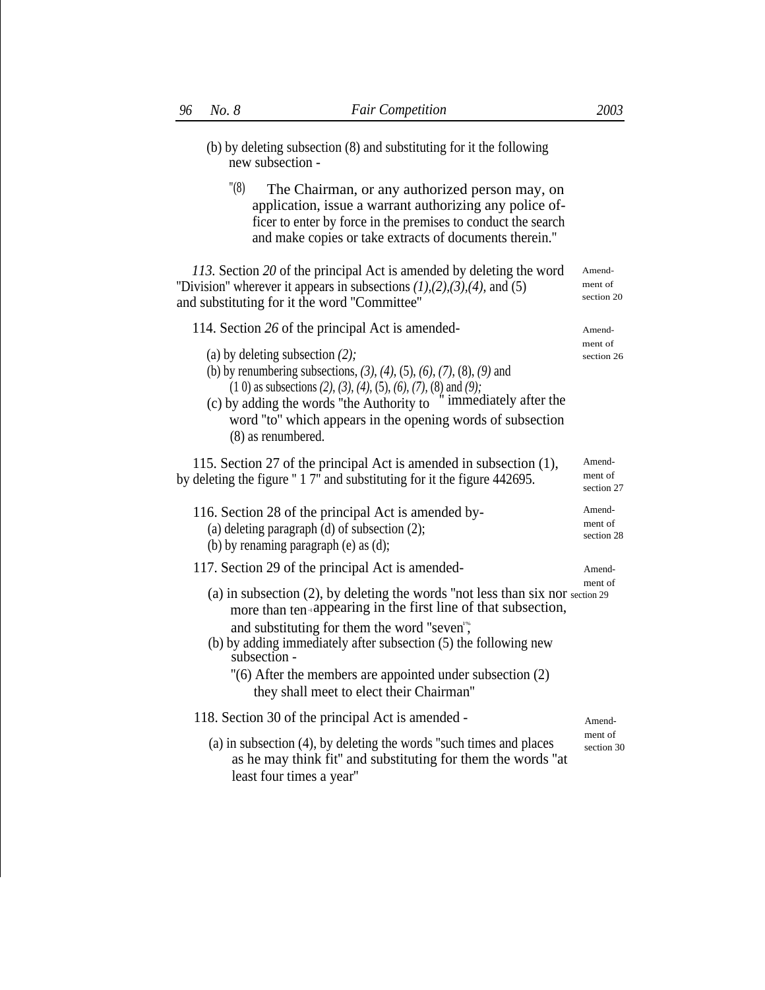- (b) by deleting subsection (8) and substituting for it the following new subsection -
	- "(8) The Chairman, or any authorized person may, on application, issue a warrant authorizing any police officer to enter by force in the premises to conduct the search and make copies or take extracts of documents therein.''

*113.* Section *20* of the principal Act is amended by deleting the word ''Division'' wherever it appears in subsections *(1),(2),(3),(4),* and (5) and substituting for it the word ''Committee''

114. Section 26 of the principal Act is amended-

- (a) by deleting subsection *(2);*
- (b) by renumbering subsections, *(3), (4),* (5), *(6), (7),* (8), *(9)* and (1 0) as subsections  $(2)$ ,  $(3)$ ,  $(4)$ ,  $(5)$ ,  $(6)$ ,  $(7)$ ,  $(8)$  and  $(9)$ ;<br>**our adding the words "the Authority to** " immediately after the
- (c) by adding the words "the Authority to word ''to'' which appears in the opening words of subsection (8) as renumbered.

115. Section 27 of the principal Act is amended in subsection (1), by deleting the figure '' 1 7'' and substituting for it the figure 442695.

- 116. Section 28 of the principal Act is amended by-<br> $(2)$ (a) deleting paragraph (d) of subsection  $(2)$ ; (b) by renaming paragraph (e) as (d);
- 117. Section 29 of the principal Act is amended- Amend-
	- (a) in subsection (2), by deleting the words ''not less than six nor section 29 more than ten appearing in the first line of that subsection, and substituting for them the word "seven",
	- (b) by adding immediately after subsection (5) the following new subsection -
		- ''(6) After the members are appointed under subsection (2) they shall meet to elect their Chairman''

118. Section 30 of the principal Act is amended - Amend-

(a) in subsection (4), by deleting the words "such times and places section 30 as he may think fit'' and substituting for them the words ''at least four times a year''

ment of section 20

ment of

Amend-

section 26

Amendment of section 27

section 28

ment of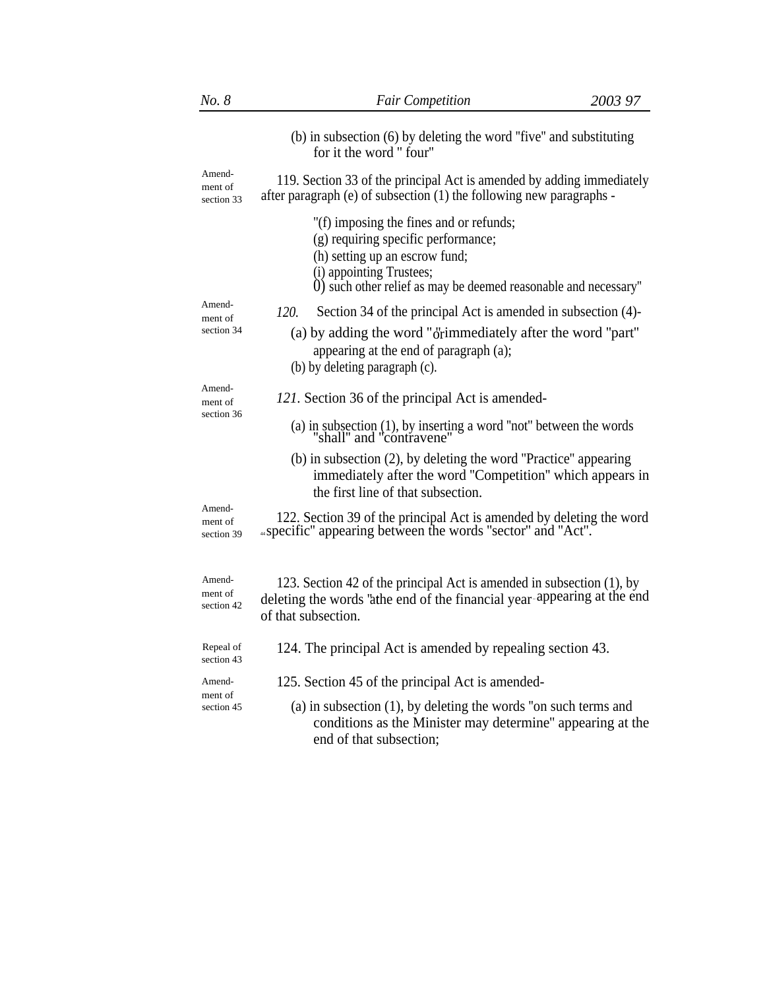| No. 8                           | <b>Fair Competition</b>                                                                                                                                                                                         | 2003 97 |
|---------------------------------|-----------------------------------------------------------------------------------------------------------------------------------------------------------------------------------------------------------------|---------|
|                                 | (b) in subsection (6) by deleting the word "five" and substituting<br>for it the word "four"                                                                                                                    |         |
| Amend-<br>ment of<br>section 33 | 119. Section 33 of the principal Act is amended by adding immediately<br>after paragraph (e) of subsection (1) the following new paragraphs -                                                                   |         |
|                                 | "(f) imposing the fines and or refunds;<br>(g) requiring specific performance;<br>(h) setting up an escrow fund;<br>(i) appointing Trustees;<br>0) such other relief as may be deemed reasonable and necessary" |         |
| Amend-<br>ment of               | Section 34 of the principal Act is amended in subsection (4)-<br>120.                                                                                                                                           |         |
| section 34                      | (a) by adding the word "orimmediately after the word "part"<br>appearing at the end of paragraph (a);<br>(b) by deleting paragraph (c).                                                                         |         |
| Amend-<br>ment of<br>section 36 | 121. Section 36 of the principal Act is amended-                                                                                                                                                                |         |
|                                 | (a) in subsection (1), by inserting a word "not" between the words "shall" and "contravene"                                                                                                                     |         |
|                                 | (b) in subsection (2), by deleting the word "Practice" appearing<br>immediately after the word "Competition" which appears in<br>the first line of that subsection.                                             |         |
| Amend-<br>ment of<br>section 39 | 122. Section 39 of the principal Act is amended by deleting the word<br>"specific" appearing between the words "sector" and "Act".                                                                              |         |
| Amend-<br>ment of<br>section 42 | 123. Section 42 of the principal Act is amended in subsection (1), by<br>deleting the words 'athe end of the financial year appearing at the end<br>of that subsection.                                         |         |
| Repeal of<br>section 43         | 124. The principal Act is amended by repealing section 43.                                                                                                                                                      |         |
| Amend-                          | 125. Section 45 of the principal Act is amended-                                                                                                                                                                |         |
| ment of<br>section 45           | $(a)$ in subsection $(1)$ , by deleting the words "on such terms and<br>conditions as the Minister may determine" appearing at the<br>end of that subsection;                                                   |         |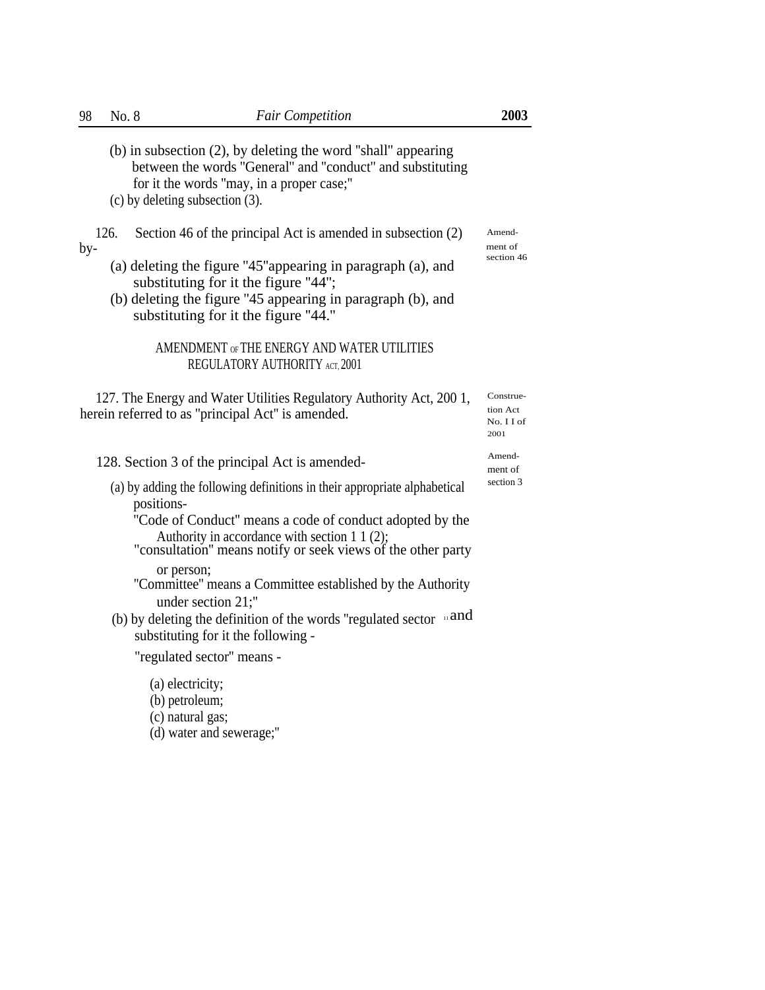|     | (b) in subsection (2), by deleting the word "shall" appearing<br>between the words "General" and "conduct" and substituting<br>for it the words "may, in a proper case;"<br>$(c)$ by deleting subsection $(3)$ . |                                             |
|-----|------------------------------------------------------------------------------------------------------------------------------------------------------------------------------------------------------------------|---------------------------------------------|
| by- | 126.<br>Section 46 of the principal Act is amended in subsection (2)                                                                                                                                             | Amend-<br>ment of                           |
|     | (a) deleting the figure "45" appearing in paragraph (a), and<br>substituting for it the figure "44";<br>(b) deleting the figure "45 appearing in paragraph (b), and<br>substituting for it the figure "44."      | section 46                                  |
|     | AMENDMENT OF THE ENERGY AND WATER UTILITIES<br>REGULATORY AUTHORITY ACT, 2001                                                                                                                                    |                                             |
|     | 127. The Energy and Water Utilities Regulatory Authority Act, 2001,<br>herein referred to as "principal Act" is amended.                                                                                         | Construe-<br>tion Act<br>No. I I of<br>2001 |
|     | 128. Section 3 of the principal Act is amended-                                                                                                                                                                  | Amend-<br>ment of                           |
|     | (a) by adding the following definitions in their appropriate alphabetical<br>positions-                                                                                                                          | section 3                                   |
|     | "Code of Conduct" means a code of conduct adopted by the<br>Authority in accordance with section 1 1 (2);<br>"consultation" means notify or seek views of the other party                                        |                                             |
|     | or person;<br>"Committee" means a Committee established by the Authority<br>under section 21;"                                                                                                                   |                                             |
|     | (b) by deleting the definition of the words "regulated sector $\mathbb{R}^n$ and<br>substituting for it the following -                                                                                          |                                             |
|     | "regulated sector" means -                                                                                                                                                                                       |                                             |
|     | (a) electricity;<br>(b) petroleum;<br>(c) natural gas;<br>(d) water and sewerage;"                                                                                                                               |                                             |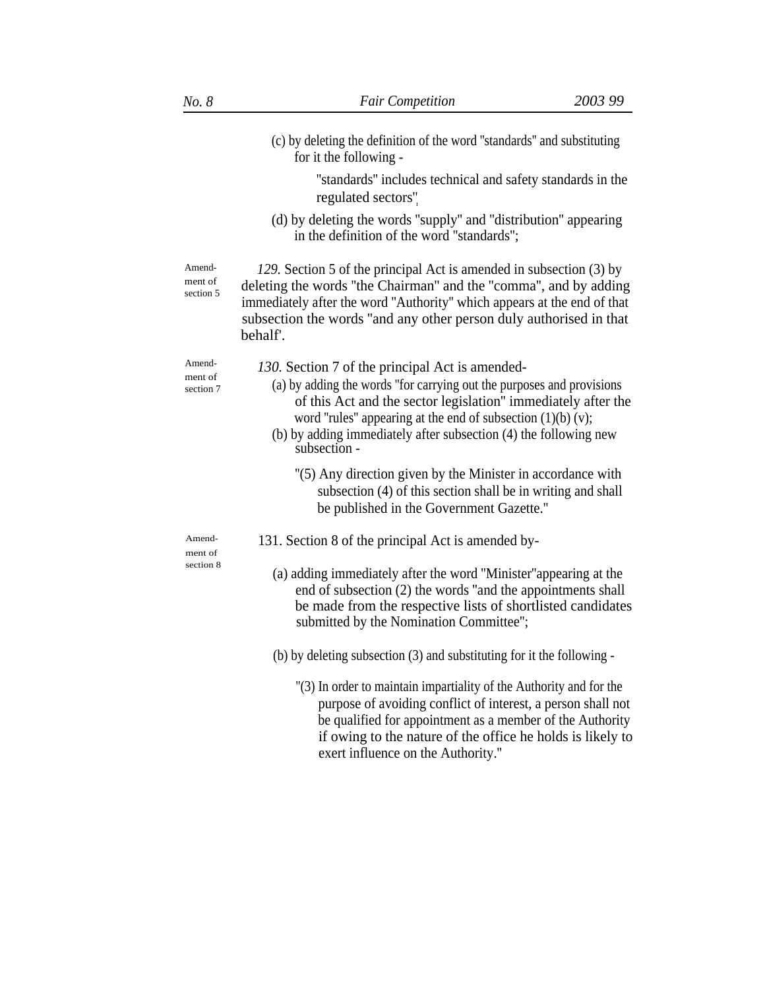|                                | (c) by deleting the definition of the word "standards" and substituting<br>for it the following -                                                                                                                                                                                                                                              |
|--------------------------------|------------------------------------------------------------------------------------------------------------------------------------------------------------------------------------------------------------------------------------------------------------------------------------------------------------------------------------------------|
|                                | "standards" includes technical and safety standards in the<br>regulated sectors".                                                                                                                                                                                                                                                              |
|                                | (d) by deleting the words "supply" and "distribution" appearing<br>in the definition of the word "standards";                                                                                                                                                                                                                                  |
| Amend-<br>ment of<br>section 5 | 129. Section 5 of the principal Act is amended in subsection (3) by<br>deleting the words "the Chairman" and the "comma", and by adding<br>immediately after the word "Authority" which appears at the end of that<br>subsection the words "and any other person duly authorised in that<br>behalf'.                                           |
| Amend-<br>ment of<br>section 7 | 130. Section 7 of the principal Act is amended-<br>(a) by adding the words "for carrying out the purposes and provisions<br>of this Act and the sector legislation" immediately after the<br>word "rules" appearing at the end of subsection $(1)(b)(v)$ ;<br>(b) by adding immediately after subsection (4) the following new<br>subsection - |
|                                | "(5) Any direction given by the Minister in accordance with<br>subsection (4) of this section shall be in writing and shall<br>be published in the Government Gazette."                                                                                                                                                                        |
| Amend-<br>ment of              | 131. Section 8 of the principal Act is amended by-                                                                                                                                                                                                                                                                                             |
| section 8                      | (a) adding immediately after the word "Minister" appearing at the<br>end of subsection (2) the words "and the appointments shall<br>be made from the respective lists of shortlisted candidates<br>submitted by the Nomination Committee";                                                                                                     |
|                                | (b) by deleting subsection (3) and substituting for it the following -                                                                                                                                                                                                                                                                         |
|                                | "(3) In order to maintain impartiality of the Authority and for the<br>purpose of avoiding conflict of interest, a person shall not<br>be qualified for appointment as a member of the Authority<br>if owing to the nature of the office he holds is likely to<br>exert influence on the Authority."                                           |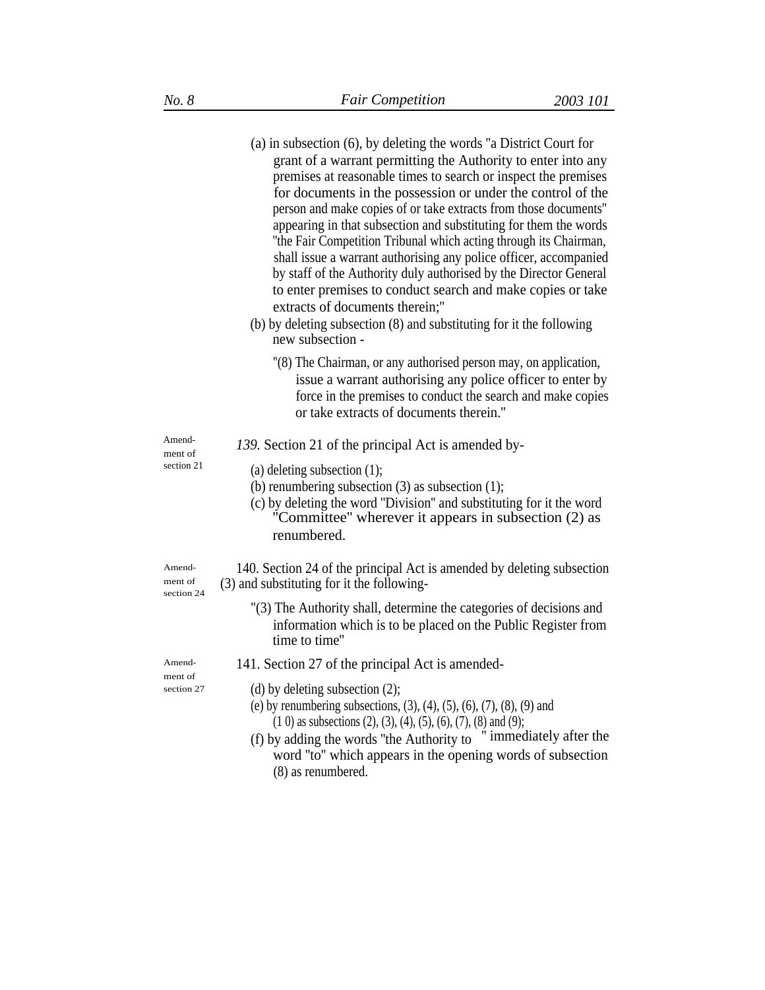|                                 | $(a)$ in subsection $(6)$ , by deleting the words "a District Court for<br>grant of a warrant permitting the Authority to enter into any<br>premises at reasonable times to search or inspect the premises<br>for documents in the possession or under the control of the<br>person and make copies of or take extracts from those documents"<br>appearing in that subsection and substituting for them the words<br>"the Fair Competition Tribunal which acting through its Chairman,<br>shall issue a warrant authorising any police officer, accompanied<br>by staff of the Authority duly authorised by the Director General<br>to enter premises to conduct search and make copies or take<br>extracts of documents therein;"<br>(b) by deleting subsection (8) and substituting for it the following<br>new subsection - |
|---------------------------------|--------------------------------------------------------------------------------------------------------------------------------------------------------------------------------------------------------------------------------------------------------------------------------------------------------------------------------------------------------------------------------------------------------------------------------------------------------------------------------------------------------------------------------------------------------------------------------------------------------------------------------------------------------------------------------------------------------------------------------------------------------------------------------------------------------------------------------|
|                                 | "(8) The Chairman, or any authorised person may, on application,<br>issue a warrant authorising any police officer to enter by<br>force in the premises to conduct the search and make copies<br>or take extracts of documents therein."                                                                                                                                                                                                                                                                                                                                                                                                                                                                                                                                                                                       |
| Amend-<br>ment of               | 139. Section 21 of the principal Act is amended by-                                                                                                                                                                                                                                                                                                                                                                                                                                                                                                                                                                                                                                                                                                                                                                            |
| section 21                      | (a) deleting subsection $(1)$ ;<br>(b) renumbering subsection $(3)$ as subsection $(1)$ ;<br>(c) by deleting the word "Division" and substituting for it the word<br>"Committee" wherever it appears in subsection (2) as<br>renumbered.                                                                                                                                                                                                                                                                                                                                                                                                                                                                                                                                                                                       |
| Amend-<br>ment of<br>section 24 | 140. Section 24 of the principal Act is amended by deleting subsection<br>(3) and substituting for it the following-                                                                                                                                                                                                                                                                                                                                                                                                                                                                                                                                                                                                                                                                                                           |
|                                 | "(3) The Authority shall, determine the categories of decisions and<br>information which is to be placed on the Public Register from<br>time to time"                                                                                                                                                                                                                                                                                                                                                                                                                                                                                                                                                                                                                                                                          |
| Amend-                          | 141. Section 27 of the principal Act is amended-                                                                                                                                                                                                                                                                                                                                                                                                                                                                                                                                                                                                                                                                                                                                                                               |
| ment of<br>section 27           | (d) by deleting subsection $(2)$ ;<br>(e) by renumbering subsections, $(3)$ , $(4)$ , $(5)$ , $(6)$ , $(7)$ , $(8)$ , $(9)$ and<br>$(1\ 0)$ as subsections $(2), (3), (4), (5), (6), (7), (8)$ and $(9)$ ;<br>" immediately after the<br>(f) by adding the words "the Authority to<br>word "to" which appears in the opening words of subsection<br>(8) as renumbered.                                                                                                                                                                                                                                                                                                                                                                                                                                                         |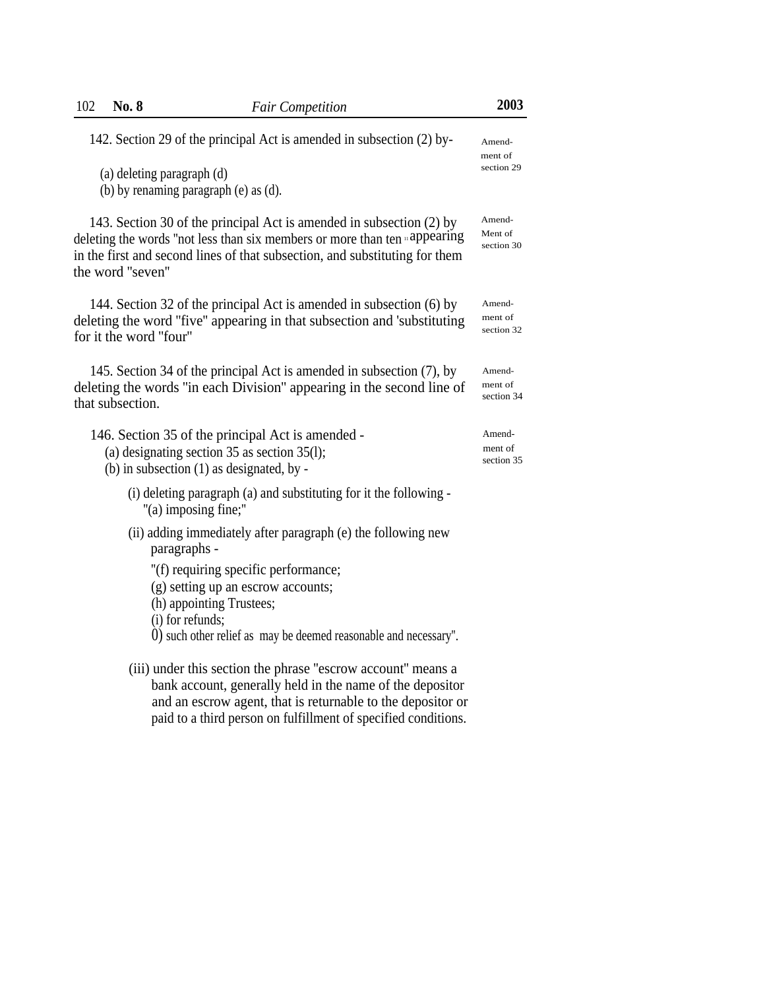| 102<br><b>No. 8</b>    | <b>Fair Competition</b>                                                                                                                                                                                                                                    | 2003                            |
|------------------------|------------------------------------------------------------------------------------------------------------------------------------------------------------------------------------------------------------------------------------------------------------|---------------------------------|
|                        | 142. Section 29 of the principal Act is amended in subsection (2) by-                                                                                                                                                                                      | Amend-<br>ment of               |
|                        | (a) deleting paragraph (d)<br>(b) by renaming paragraph (e) as (d).                                                                                                                                                                                        | section 29                      |
| the word "seven"       | 143. Section 30 of the principal Act is amended in subsection (2) by<br>deleting the words "not less than six members or more than ten appearing<br>in the first and second lines of that subsection, and substituting for them                            | Amend-<br>Ment of<br>section 30 |
| for it the word "four" | 144. Section 32 of the principal Act is amended in subsection (6) by<br>deleting the word "five" appearing in that subsection and 'substituting                                                                                                            | Amend-<br>ment of<br>section 32 |
| that subsection.       | 145. Section 34 of the principal Act is amended in subsection (7), by<br>deleting the words "in each Division" appearing in the second line of                                                                                                             | Amend-<br>ment of<br>section 34 |
|                        | 146. Section 35 of the principal Act is amended -<br>(a) designating section 35 as section 35(1);<br>(b) in subsection $(1)$ as designated, by -                                                                                                           | Amend-<br>ment of<br>section 35 |
|                        | (i) deleting paragraph (a) and substituting for it the following -<br>"(a) imposing fine;"                                                                                                                                                                 |                                 |
|                        | (ii) adding immediately after paragraph (e) the following new<br>paragraphs -                                                                                                                                                                              |                                 |
|                        | "(f) requiring specific performance;<br>(g) setting up an escrow accounts;<br>(h) appointing Trustees;<br>(i) for refunds;                                                                                                                                 |                                 |
|                        | 0) such other relief as may be deemed reasonable and necessary".                                                                                                                                                                                           |                                 |
|                        | (iii) under this section the phrase "escrow account" means a<br>bank account, generally held in the name of the depositor<br>and an escrow agent, that is returnable to the depositor or<br>paid to a third person on fulfillment of specified conditions. |                                 |
|                        |                                                                                                                                                                                                                                                            |                                 |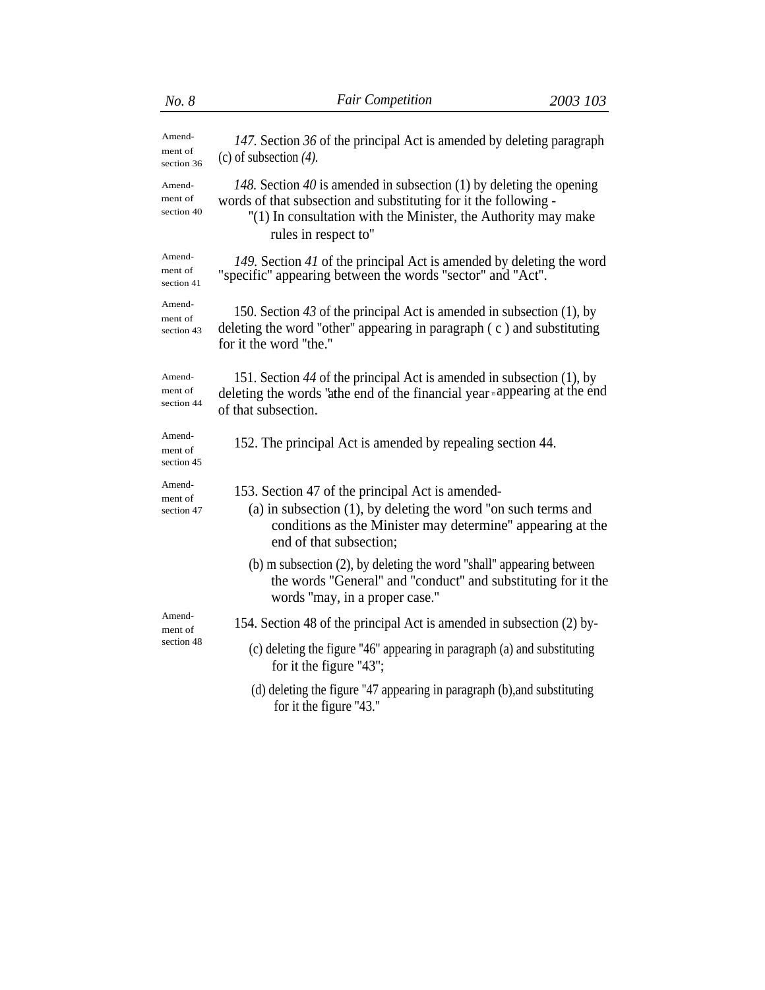| No. 8                           | <b>Fair Competition</b>                                                                                                                                                                                                            | 2003 103 |
|---------------------------------|------------------------------------------------------------------------------------------------------------------------------------------------------------------------------------------------------------------------------------|----------|
| Amend-<br>ment of<br>section 36 | 147. Section 36 of the principal Act is amended by deleting paragraph<br>(c) of subsection $(4)$ .                                                                                                                                 |          |
| Amend-<br>ment of<br>section 40 | 148. Section 40 is amended in subsection (1) by deleting the opening<br>words of that subsection and substituting for it the following -<br>"(1) In consultation with the Minister, the Authority may make<br>rules in respect to" |          |
| Amend-<br>ment of<br>section 41 | 149. Section 41 of the principal Act is amended by deleting the word<br>"specific" appearing between the words "sector" and "Act".                                                                                                 |          |
| Amend-<br>ment of<br>section 43 | 150. Section 43 of the principal Act is amended in subsection $(1)$ , by<br>deleting the word "other" appearing in paragraph $(c)$ and substituting<br>for it the word "the."                                                      |          |
| Amend-<br>ment of<br>section 44 | 151. Section 44 of the principal Act is amended in subsection (1), by<br>deleting the words 'athe end of the financial year sappearing at the end<br>of that subsection.                                                           |          |
| Amend-<br>ment of<br>section 45 | 152. The principal Act is amended by repealing section 44.                                                                                                                                                                         |          |
| Amend-<br>ment of<br>section 47 | 153. Section 47 of the principal Act is amended-<br>$(a)$ in subsection $(1)$ , by deleting the word "on such terms and<br>conditions as the Minister may determine" appearing at the<br>end of that subsection;                   |          |
|                                 | $(b)$ m subsection $(2)$ , by deleting the word "shall" appearing between<br>the words "General" and "conduct" and substituting for it the<br>words "may, in a proper case."                                                       |          |
| Amend-<br>ment of               | 154. Section 48 of the principal Act is amended in subsection (2) by-                                                                                                                                                              |          |
| section 48                      | (c) deleting the figure "46" appearing in paragraph (a) and substituting<br>for it the figure "43";                                                                                                                                |          |
|                                 | (d) deleting the figure "47 appearing in paragraph (b), and substituting<br>for it the figure "43."                                                                                                                                |          |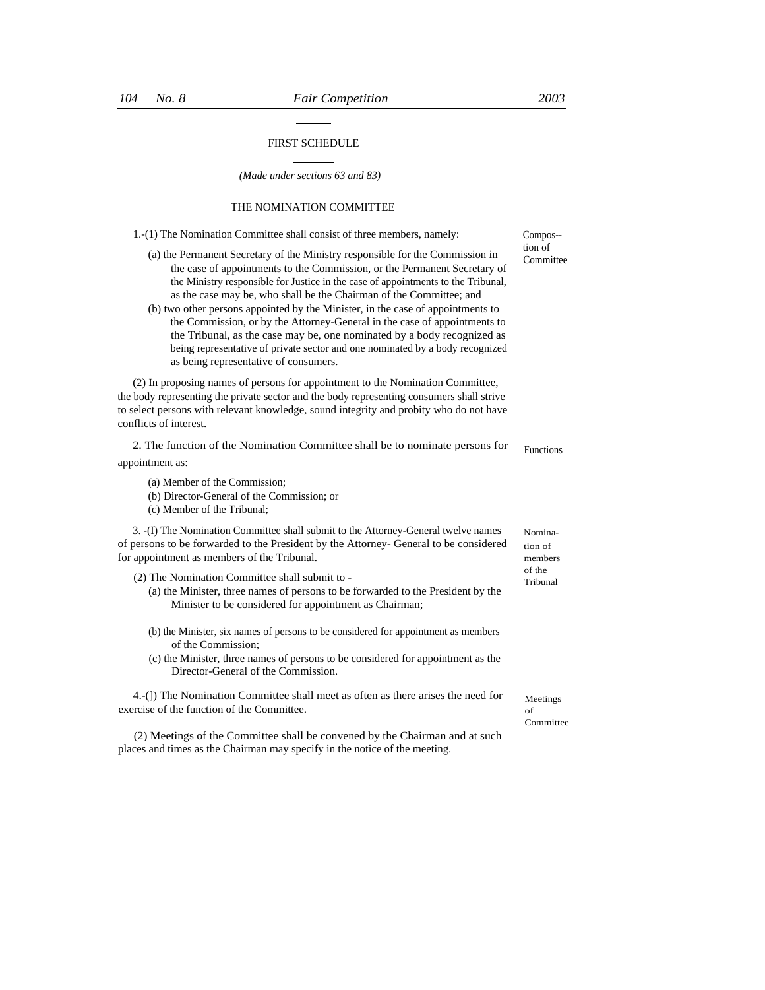# FIRST SCHEDULE

*(Made under sections 63 and 83)*

# THE NOMINATION COMMITTEE

| 1.-(1) The Nomination Committee shall consist of three members, namely:                                                                                                                                                                                                                                                                                                                                                                                                                                                                                                                                                                                                                     | Compos--                      |
|---------------------------------------------------------------------------------------------------------------------------------------------------------------------------------------------------------------------------------------------------------------------------------------------------------------------------------------------------------------------------------------------------------------------------------------------------------------------------------------------------------------------------------------------------------------------------------------------------------------------------------------------------------------------------------------------|-------------------------------|
| (a) the Permanent Secretary of the Ministry responsible for the Commission in<br>the case of appointments to the Commission, or the Permanent Secretary of<br>the Ministry responsible for Justice in the case of appointments to the Tribunal,<br>as the case may be, who shall be the Chairman of the Committee; and<br>(b) two other persons appointed by the Minister, in the case of appointments to<br>the Commission, or by the Attorney-General in the case of appointments to<br>the Tribunal, as the case may be, one nominated by a body recognized as<br>being representative of private sector and one nominated by a body recognized<br>as being representative of consumers. | tion of<br>Committee          |
| (2) In proposing names of persons for appointment to the Nomination Committee,<br>the body representing the private sector and the body representing consumers shall strive<br>to select persons with relevant knowledge, sound integrity and probity who do not have<br>conflicts of interest.                                                                                                                                                                                                                                                                                                                                                                                             |                               |
| 2. The function of the Nomination Committee shall be to nominate persons for                                                                                                                                                                                                                                                                                                                                                                                                                                                                                                                                                                                                                | <b>Functions</b>              |
| appointment as:                                                                                                                                                                                                                                                                                                                                                                                                                                                                                                                                                                                                                                                                             |                               |
| (a) Member of the Commission;<br>(b) Director-General of the Commission; or<br>(c) Member of the Tribunal;                                                                                                                                                                                                                                                                                                                                                                                                                                                                                                                                                                                  |                               |
| 3. -(I) The Nomination Committee shall submit to the Attorney-General twelve names<br>of persons to be forwarded to the President by the Attorney- General to be considered<br>for appointment as members of the Tribunal.                                                                                                                                                                                                                                                                                                                                                                                                                                                                  | Nomina-<br>tion of<br>members |
| (2) The Nomination Committee shall submit to -<br>(a) the Minister, three names of persons to be forwarded to the President by the<br>Minister to be considered for appointment as Chairman;                                                                                                                                                                                                                                                                                                                                                                                                                                                                                                | of the<br>Tribunal            |
| (b) the Minister, six names of persons to be considered for appointment as members<br>of the Commission;<br>(c) the Minister, three names of persons to be considered for appointment as the<br>Director-General of the Commission.                                                                                                                                                                                                                                                                                                                                                                                                                                                         |                               |
| 4.-(1) The Nomination Committee shall meet as often as there arises the need for<br>exercise of the function of the Committee.                                                                                                                                                                                                                                                                                                                                                                                                                                                                                                                                                              | Meetings<br>of<br>Committee   |
| (2) Meetings of the Committee shall be convened by the Chairman and at such<br>places and times as the Chairman may specify in the notice of the meeting.                                                                                                                                                                                                                                                                                                                                                                                                                                                                                                                                   |                               |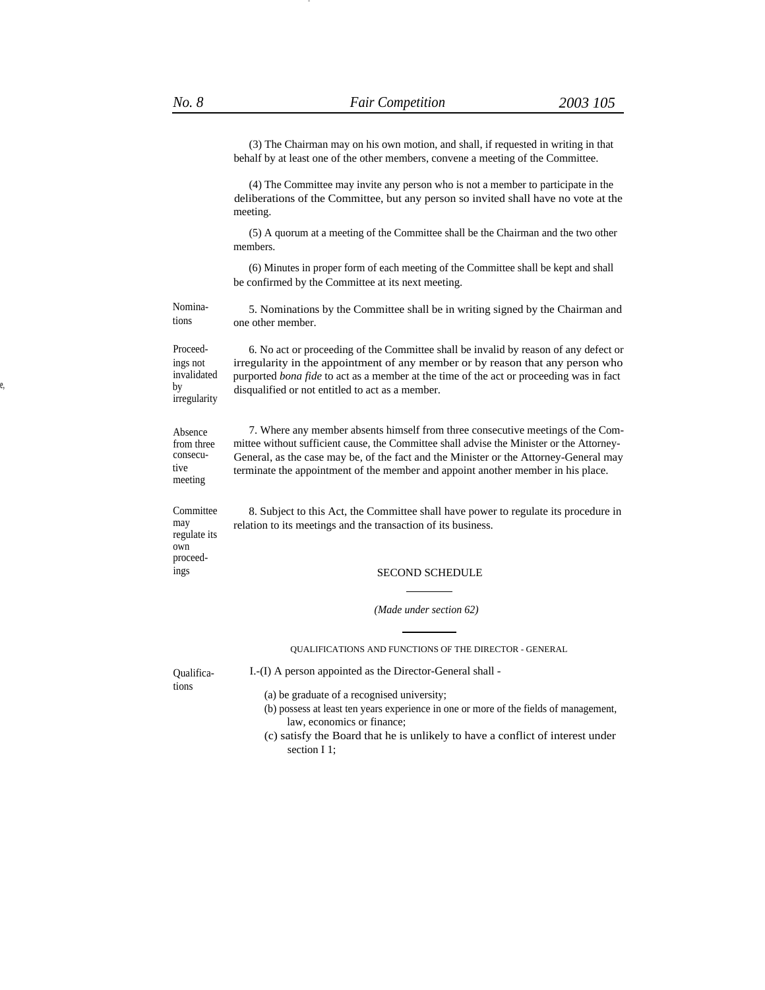-

(3) The Chairman may on his own motion, and shall, if requested in writing in that behalf by at least one of the other members, convene a meeting of the Committee.

(4) The Committee may invite any person who is not a member to participate in the deliberations of the Committee, but any person so invited shall have no vote at the meeting.

(5) A quorum at a meeting of the Committee shall be the Chairman and the two other members.

(6) Minutes in proper form of each meeting of the Committee shall be kept and shall be confirmed by the Committee at its next meeting.

Nomina-<br>5. Nominations by the Committee shall be in writing signed by the Chairman and<br>tions one other member.

ings not invalidated e, by irregularity

Proceed- 6. No act or proceeding of the Committee shall be invalid by reason of any defect or irregularity in the appointment of any member or by reason that any person who purported *bona fide* to act as a member at the time of the act or proceeding was in fact disqualified or not entitled to act as a member.

Absence from three consecutive meeting

regulate its own proceed-

7. Where any member absents himself from three consecutive meetings of the Committee without sufficient cause, the Committee shall advise the Minister or the Attorney-General, as the case may be, of the fact and the Minister or the Attorney-General may terminate the appointment of the member and appoint another member in his place.

Committee 8. Subject to this Act, the Committee shall have power to regulate its procedure in may relation to its meetings and the transaction of its business.

#### ings SECOND SCHEDULE

*(Made under section 62)*

QUALIFICATIONS AND FUNCTIONS OF THE DIRECTOR - GENERAL

Qualifica- I.-(I) A person appointed as the Director-General shall tions

- (a) be graduate of a recognised university;
- (b) possess at least ten years experience in one or more of the fields of management, law, economics or finance;
- (c) satisfy the Board that he is unlikely to have a conflict of interest under section I 1;